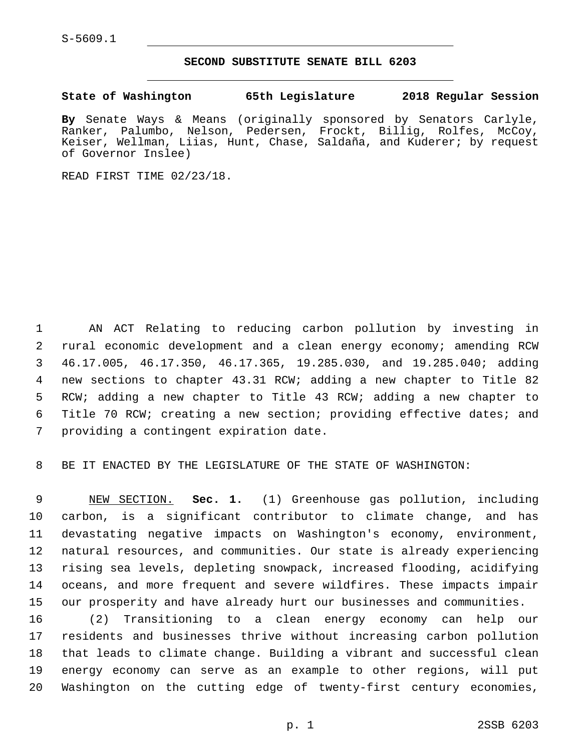#### **SECOND SUBSTITUTE SENATE BILL 6203**

**State of Washington 65th Legislature 2018 Regular Session**

**By** Senate Ways & Means (originally sponsored by Senators Carlyle, Ranker, Palumbo, Nelson, Pedersen, Frockt, Billig, Rolfes, McCoy, Keiser, Wellman, Liias, Hunt, Chase, Saldaña, and Kuderer; by request of Governor Inslee)

READ FIRST TIME 02/23/18.

 AN ACT Relating to reducing carbon pollution by investing in rural economic development and a clean energy economy; amending RCW 46.17.005, 46.17.350, 46.17.365, 19.285.030, and 19.285.040; adding new sections to chapter 43.31 RCW; adding a new chapter to Title 82 RCW; adding a new chapter to Title 43 RCW; adding a new chapter to Title 70 RCW; creating a new section; providing effective dates; and 7 providing a contingent expiration date.

BE IT ENACTED BY THE LEGISLATURE OF THE STATE OF WASHINGTON:

 NEW SECTION. **Sec. 1.** (1) Greenhouse gas pollution, including carbon, is a significant contributor to climate change, and has devastating negative impacts on Washington's economy, environment, natural resources, and communities. Our state is already experiencing rising sea levels, depleting snowpack, increased flooding, acidifying oceans, and more frequent and severe wildfires. These impacts impair our prosperity and have already hurt our businesses and communities.

 (2) Transitioning to a clean energy economy can help our residents and businesses thrive without increasing carbon pollution that leads to climate change. Building a vibrant and successful clean energy economy can serve as an example to other regions, will put Washington on the cutting edge of twenty-first century economies,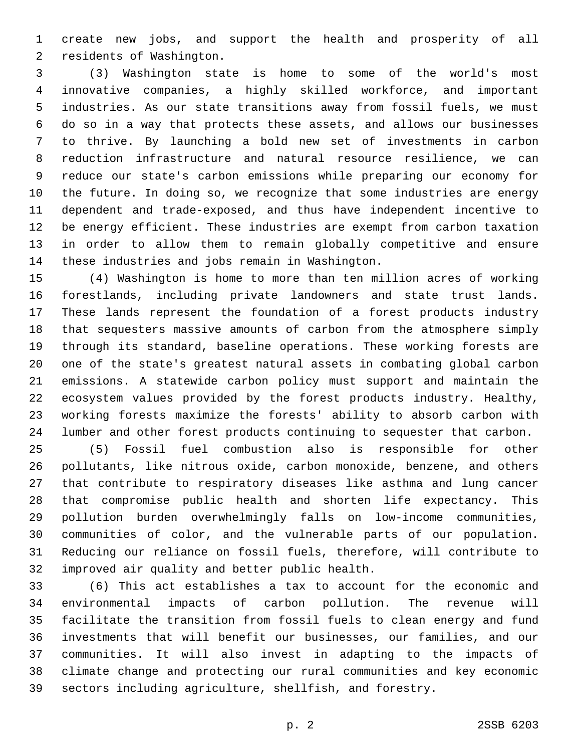create new jobs, and support the health and prosperity of all 2 residents of Washington.

 (3) Washington state is home to some of the world's most innovative companies, a highly skilled workforce, and important industries. As our state transitions away from fossil fuels, we must do so in a way that protects these assets, and allows our businesses to thrive. By launching a bold new set of investments in carbon reduction infrastructure and natural resource resilience, we can reduce our state's carbon emissions while preparing our economy for the future. In doing so, we recognize that some industries are energy dependent and trade-exposed, and thus have independent incentive to be energy efficient. These industries are exempt from carbon taxation in order to allow them to remain globally competitive and ensure 14 these industries and jobs remain in Washington.

 (4) Washington is home to more than ten million acres of working forestlands, including private landowners and state trust lands. These lands represent the foundation of a forest products industry that sequesters massive amounts of carbon from the atmosphere simply through its standard, baseline operations. These working forests are one of the state's greatest natural assets in combating global carbon emissions. A statewide carbon policy must support and maintain the ecosystem values provided by the forest products industry. Healthy, working forests maximize the forests' ability to absorb carbon with lumber and other forest products continuing to sequester that carbon.

 (5) Fossil fuel combustion also is responsible for other pollutants, like nitrous oxide, carbon monoxide, benzene, and others that contribute to respiratory diseases like asthma and lung cancer that compromise public health and shorten life expectancy. This pollution burden overwhelmingly falls on low-income communities, communities of color, and the vulnerable parts of our population. Reducing our reliance on fossil fuels, therefore, will contribute to 32 improved air quality and better public health.

 (6) This act establishes a tax to account for the economic and environmental impacts of carbon pollution. The revenue will facilitate the transition from fossil fuels to clean energy and fund investments that will benefit our businesses, our families, and our communities. It will also invest in adapting to the impacts of climate change and protecting our rural communities and key economic sectors including agriculture, shellfish, and forestry.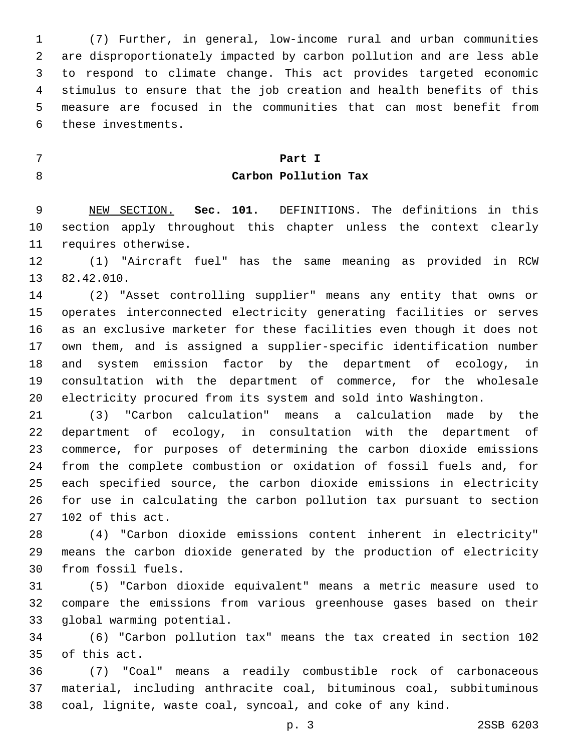(7) Further, in general, low-income rural and urban communities are disproportionately impacted by carbon pollution and are less able to respond to climate change. This act provides targeted economic stimulus to ensure that the job creation and health benefits of this measure are focused in the communities that can most benefit from 6 these investments.

# **Part I Carbon Pollution Tax**

 NEW SECTION. **Sec. 101.** DEFINITIONS. The definitions in this section apply throughout this chapter unless the context clearly requires otherwise.

 (1) "Aircraft fuel" has the same meaning as provided in RCW 13 82.42.010.

 (2) "Asset controlling supplier" means any entity that owns or operates interconnected electricity generating facilities or serves as an exclusive marketer for these facilities even though it does not own them, and is assigned a supplier-specific identification number and system emission factor by the department of ecology, in consultation with the department of commerce, for the wholesale electricity procured from its system and sold into Washington.

 (3) "Carbon calculation" means a calculation made by the department of ecology, in consultation with the department of commerce, for purposes of determining the carbon dioxide emissions from the complete combustion or oxidation of fossil fuels and, for each specified source, the carbon dioxide emissions in electricity for use in calculating the carbon pollution tax pursuant to section 102 of this act.

 (4) "Carbon dioxide emissions content inherent in electricity" means the carbon dioxide generated by the production of electricity 30 from fossil fuels.

 (5) "Carbon dioxide equivalent" means a metric measure used to compare the emissions from various greenhouse gases based on their 33 global warming potential.

 (6) "Carbon pollution tax" means the tax created in section 102 35 of this act.

 (7) "Coal" means a readily combustible rock of carbonaceous material, including anthracite coal, bituminous coal, subbituminous coal, lignite, waste coal, syncoal, and coke of any kind.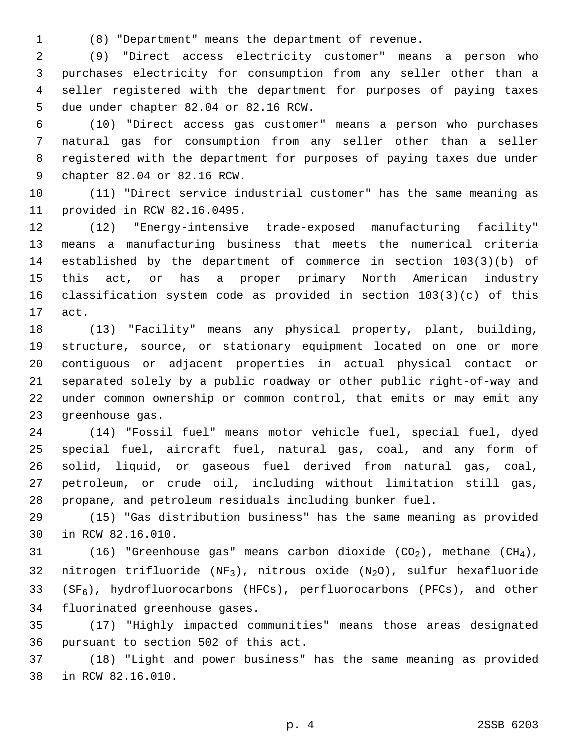(8) "Department" means the department of revenue.

 (9) "Direct access electricity customer" means a person who purchases electricity for consumption from any seller other than a seller registered with the department for purposes of paying taxes 5 due under chapter 82.04 or 82.16 RCW.

 (10) "Direct access gas customer" means a person who purchases natural gas for consumption from any seller other than a seller registered with the department for purposes of paying taxes due under 9 chapter 82.04 or 82.16 RCW.

 (11) "Direct service industrial customer" has the same meaning as 11 provided in RCW 82.16.0495.

 (12) "Energy-intensive trade-exposed manufacturing facility" means a manufacturing business that meets the numerical criteria established by the department of commerce in section 103(3)(b) of this act, or has a proper primary North American industry classification system code as provided in section 103(3)(c) of this 17 act.

 (13) "Facility" means any physical property, plant, building, structure, source, or stationary equipment located on one or more contiguous or adjacent properties in actual physical contact or separated solely by a public roadway or other public right-of-way and under common ownership or common control, that emits or may emit any 23 greenhouse gas.

 (14) "Fossil fuel" means motor vehicle fuel, special fuel, dyed special fuel, aircraft fuel, natural gas, coal, and any form of solid, liquid, or gaseous fuel derived from natural gas, coal, petroleum, or crude oil, including without limitation still gas, propane, and petroleum residuals including bunker fuel.

 (15) "Gas distribution business" has the same meaning as provided 30 in RCW 82.16.010.

31 (16) "Greenhouse gas" means carbon dioxide  $(CO_2)$ , methane  $(CH_4)$ , 32 nitrogen trifluoride (NF<sub>3</sub>), nitrous oxide (N<sub>2</sub>O), sulfur hexafluoride 33 ( $SF_6$ ), hydrofluorocarbons (HFCs), perfluorocarbons (PFCs), and other 34 fluorinated greenhouse gases.

 (17) "Highly impacted communities" means those areas designated 36 pursuant to section 502 of this act.

 (18) "Light and power business" has the same meaning as provided 38 in RCW 82.16.010.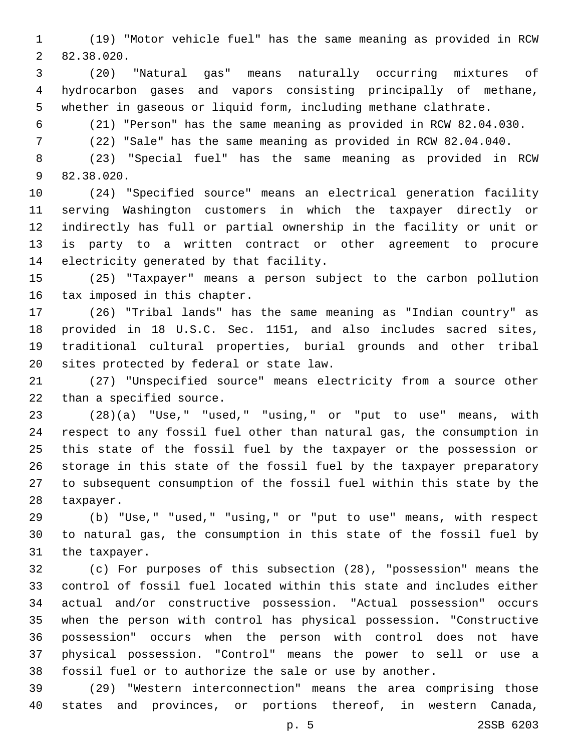(19) "Motor vehicle fuel" has the same meaning as provided in RCW 82.38.020.2

 (20) "Natural gas" means naturally occurring mixtures of hydrocarbon gases and vapors consisting principally of methane, whether in gaseous or liquid form, including methane clathrate.

(21) "Person" has the same meaning as provided in RCW 82.04.030.

(22) "Sale" has the same meaning as provided in RCW 82.04.040.

 (23) "Special fuel" has the same meaning as provided in RCW 9 82.38.020.

 (24) "Specified source" means an electrical generation facility serving Washington customers in which the taxpayer directly or indirectly has full or partial ownership in the facility or unit or is party to a written contract or other agreement to procure 14 electricity generated by that facility.

 (25) "Taxpayer" means a person subject to the carbon pollution 16 tax imposed in this chapter.

 (26) "Tribal lands" has the same meaning as "Indian country" as provided in 18 U.S.C. Sec. 1151, and also includes sacred sites, traditional cultural properties, burial grounds and other tribal 20 sites protected by federal or state law.

 (27) "Unspecified source" means electricity from a source other 22 than a specified source.

 (28)(a) "Use," "used," "using," or "put to use" means, with respect to any fossil fuel other than natural gas, the consumption in this state of the fossil fuel by the taxpayer or the possession or storage in this state of the fossil fuel by the taxpayer preparatory to subsequent consumption of the fossil fuel within this state by the 28 taxpayer.

 (b) "Use," "used," "using," or "put to use" means, with respect to natural gas, the consumption in this state of the fossil fuel by 31 the taxpayer.

 (c) For purposes of this subsection (28), "possession" means the control of fossil fuel located within this state and includes either actual and/or constructive possession. "Actual possession" occurs when the person with control has physical possession. "Constructive possession" occurs when the person with control does not have physical possession. "Control" means the power to sell or use a fossil fuel or to authorize the sale or use by another.

 (29) "Western interconnection" means the area comprising those states and provinces, or portions thereof, in western Canada,

p. 5 2SSB 6203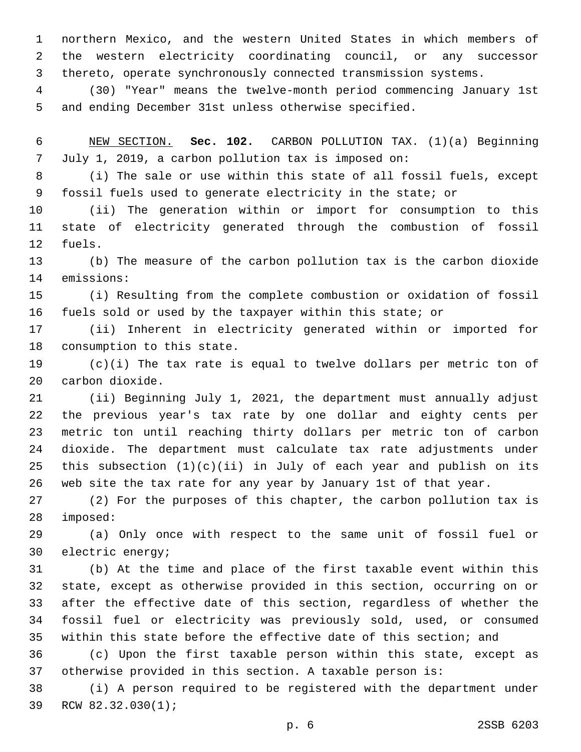northern Mexico, and the western United States in which members of the western electricity coordinating council, or any successor thereto, operate synchronously connected transmission systems.

 (30) "Year" means the twelve-month period commencing January 1st and ending December 31st unless otherwise specified.

 NEW SECTION. **Sec. 102.** CARBON POLLUTION TAX. (1)(a) Beginning July 1, 2019, a carbon pollution tax is imposed on:

 (i) The sale or use within this state of all fossil fuels, except fossil fuels used to generate electricity in the state; or

 (ii) The generation within or import for consumption to this state of electricity generated through the combustion of fossil 12 fuels.

 (b) The measure of the carbon pollution tax is the carbon dioxide 14 emissions:

 (i) Resulting from the complete combustion or oxidation of fossil fuels sold or used by the taxpayer within this state; or

 (ii) Inherent in electricity generated within or imported for 18 consumption to this state.

 (c)(i) The tax rate is equal to twelve dollars per metric ton of 20 carbon dioxide.

 (ii) Beginning July 1, 2021, the department must annually adjust the previous year's tax rate by one dollar and eighty cents per metric ton until reaching thirty dollars per metric ton of carbon dioxide. The department must calculate tax rate adjustments under this subsection (1)(c)(ii) in July of each year and publish on its web site the tax rate for any year by January 1st of that year.

 (2) For the purposes of this chapter, the carbon pollution tax is 28 imposed:

 (a) Only once with respect to the same unit of fossil fuel or 30 electric energy;

 (b) At the time and place of the first taxable event within this state, except as otherwise provided in this section, occurring on or after the effective date of this section, regardless of whether the fossil fuel or electricity was previously sold, used, or consumed within this state before the effective date of this section; and

 (c) Upon the first taxable person within this state, except as otherwise provided in this section. A taxable person is:

 (i) A person required to be registered with the department under 39 RCW 82.32.030(1);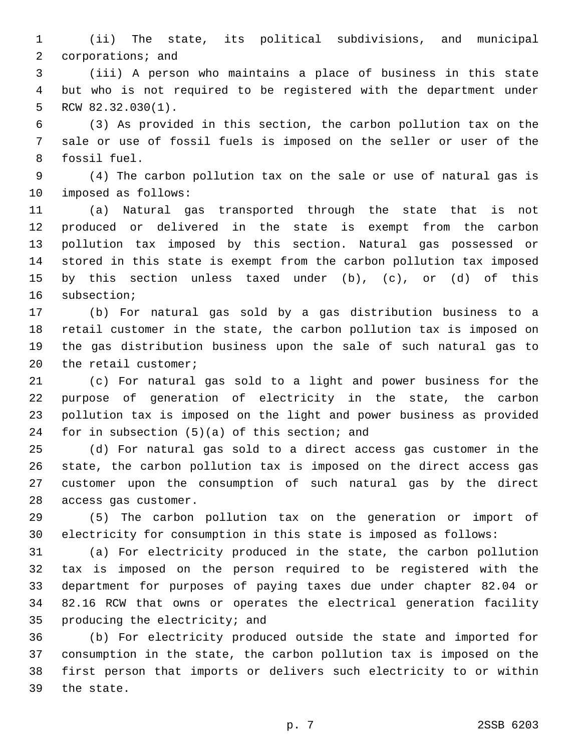(ii) The state, its political subdivisions, and municipal 2 corporations; and

 (iii) A person who maintains a place of business in this state but who is not required to be registered with the department under RCW 82.32.030(1).

 (3) As provided in this section, the carbon pollution tax on the sale or use of fossil fuels is imposed on the seller or user of the 8 fossil fuel.

 (4) The carbon pollution tax on the sale or use of natural gas is 10 imposed as follows:

 (a) Natural gas transported through the state that is not produced or delivered in the state is exempt from the carbon pollution tax imposed by this section. Natural gas possessed or stored in this state is exempt from the carbon pollution tax imposed by this section unless taxed under (b), (c), or (d) of this 16 subsection;

 (b) For natural gas sold by a gas distribution business to a retail customer in the state, the carbon pollution tax is imposed on the gas distribution business upon the sale of such natural gas to 20 the retail customer;

 (c) For natural gas sold to a light and power business for the purpose of generation of electricity in the state, the carbon pollution tax is imposed on the light and power business as provided 24 for in subsection  $(5)(a)$  of this section; and

 (d) For natural gas sold to a direct access gas customer in the state, the carbon pollution tax is imposed on the direct access gas customer upon the consumption of such natural gas by the direct 28 access gas customer.

 (5) The carbon pollution tax on the generation or import of electricity for consumption in this state is imposed as follows:

 (a) For electricity produced in the state, the carbon pollution tax is imposed on the person required to be registered with the department for purposes of paying taxes due under chapter 82.04 or 82.16 RCW that owns or operates the electrical generation facility 35 producing the electricity; and

 (b) For electricity produced outside the state and imported for consumption in the state, the carbon pollution tax is imposed on the first person that imports or delivers such electricity to or within 39 the state.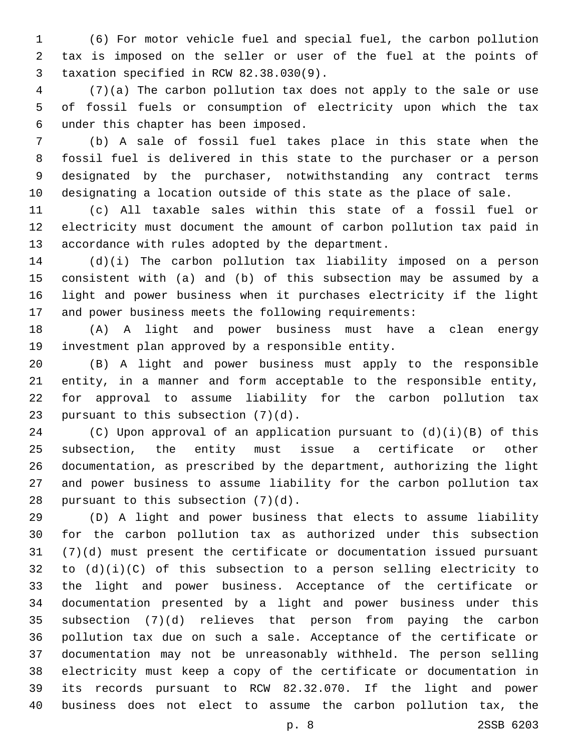(6) For motor vehicle fuel and special fuel, the carbon pollution tax is imposed on the seller or user of the fuel at the points of taxation specified in RCW 82.38.030(9).3

 (7)(a) The carbon pollution tax does not apply to the sale or use of fossil fuels or consumption of electricity upon which the tax under this chapter has been imposed.6

 (b) A sale of fossil fuel takes place in this state when the fossil fuel is delivered in this state to the purchaser or a person designated by the purchaser, notwithstanding any contract terms designating a location outside of this state as the place of sale.

 (c) All taxable sales within this state of a fossil fuel or electricity must document the amount of carbon pollution tax paid in 13 accordance with rules adopted by the department.

 (d)(i) The carbon pollution tax liability imposed on a person consistent with (a) and (b) of this subsection may be assumed by a light and power business when it purchases electricity if the light and power business meets the following requirements:

 (A) A light and power business must have a clean energy 19 investment plan approved by a responsible entity.

 (B) A light and power business must apply to the responsible entity, in a manner and form acceptable to the responsible entity, for approval to assume liability for the carbon pollution tax 23 pursuant to this subsection  $(7)(d)$ .

 (C) Upon approval of an application pursuant to (d)(i)(B) of this subsection, the entity must issue a certificate or other documentation, as prescribed by the department, authorizing the light and power business to assume liability for the carbon pollution tax 28 pursuant to this subsection  $(7)(d)$ .

 (D) A light and power business that elects to assume liability for the carbon pollution tax as authorized under this subsection (7)(d) must present the certificate or documentation issued pursuant 32 to  $(d)(i)(C)$  of this subsection to a person selling electricity to the light and power business. Acceptance of the certificate or documentation presented by a light and power business under this subsection (7)(d) relieves that person from paying the carbon pollution tax due on such a sale. Acceptance of the certificate or documentation may not be unreasonably withheld. The person selling electricity must keep a copy of the certificate or documentation in its records pursuant to RCW 82.32.070. If the light and power business does not elect to assume the carbon pollution tax, the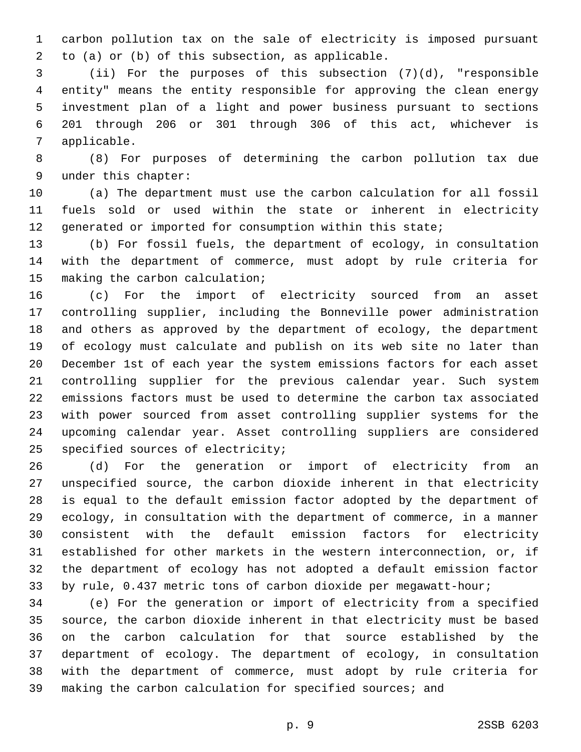carbon pollution tax on the sale of electricity is imposed pursuant to (a) or (b) of this subsection, as applicable.2

 (ii) For the purposes of this subsection (7)(d), "responsible entity" means the entity responsible for approving the clean energy investment plan of a light and power business pursuant to sections 201 through 206 or 301 through 306 of this act, whichever is 7 applicable.

 (8) For purposes of determining the carbon pollution tax due 9 under this chapter:

 (a) The department must use the carbon calculation for all fossil fuels sold or used within the state or inherent in electricity generated or imported for consumption within this state;

 (b) For fossil fuels, the department of ecology, in consultation with the department of commerce, must adopt by rule criteria for 15 making the carbon calculation;

 (c) For the import of electricity sourced from an asset controlling supplier, including the Bonneville power administration and others as approved by the department of ecology, the department of ecology must calculate and publish on its web site no later than December 1st of each year the system emissions factors for each asset controlling supplier for the previous calendar year. Such system emissions factors must be used to determine the carbon tax associated with power sourced from asset controlling supplier systems for the upcoming calendar year. Asset controlling suppliers are considered 25 specified sources of electricity;

 (d) For the generation or import of electricity from an unspecified source, the carbon dioxide inherent in that electricity is equal to the default emission factor adopted by the department of ecology, in consultation with the department of commerce, in a manner consistent with the default emission factors for electricity established for other markets in the western interconnection, or, if the department of ecology has not adopted a default emission factor by rule, 0.437 metric tons of carbon dioxide per megawatt-hour;

 (e) For the generation or import of electricity from a specified source, the carbon dioxide inherent in that electricity must be based on the carbon calculation for that source established by the department of ecology. The department of ecology, in consultation with the department of commerce, must adopt by rule criteria for making the carbon calculation for specified sources; and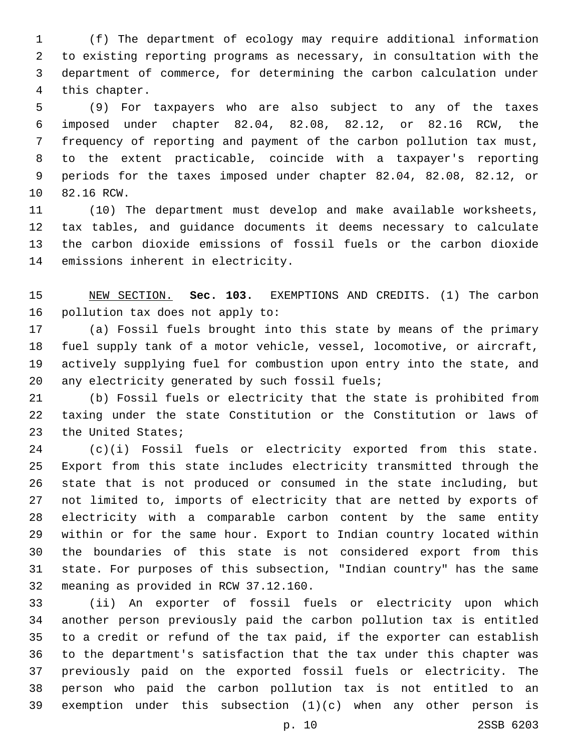(f) The department of ecology may require additional information to existing reporting programs as necessary, in consultation with the department of commerce, for determining the carbon calculation under 4 this chapter.

 (9) For taxpayers who are also subject to any of the taxes imposed under chapter 82.04, 82.08, 82.12, or 82.16 RCW, the frequency of reporting and payment of the carbon pollution tax must, to the extent practicable, coincide with a taxpayer's reporting periods for the taxes imposed under chapter 82.04, 82.08, 82.12, or 10 82.16 RCW.

 (10) The department must develop and make available worksheets, tax tables, and guidance documents it deems necessary to calculate the carbon dioxide emissions of fossil fuels or the carbon dioxide 14 emissions inherent in electricity.

 NEW SECTION. **Sec. 103.** EXEMPTIONS AND CREDITS. (1) The carbon pollution tax does not apply to:

 (a) Fossil fuels brought into this state by means of the primary fuel supply tank of a motor vehicle, vessel, locomotive, or aircraft, actively supplying fuel for combustion upon entry into the state, and 20 any electricity generated by such fossil fuels;

 (b) Fossil fuels or electricity that the state is prohibited from taxing under the state Constitution or the Constitution or laws of 23 the United States;

 (c)(i) Fossil fuels or electricity exported from this state. Export from this state includes electricity transmitted through the state that is not produced or consumed in the state including, but not limited to, imports of electricity that are netted by exports of electricity with a comparable carbon content by the same entity within or for the same hour. Export to Indian country located within the boundaries of this state is not considered export from this state. For purposes of this subsection, "Indian country" has the same 32 meaning as provided in RCW 37.12.160.

 (ii) An exporter of fossil fuels or electricity upon which another person previously paid the carbon pollution tax is entitled to a credit or refund of the tax paid, if the exporter can establish to the department's satisfaction that the tax under this chapter was previously paid on the exported fossil fuels or electricity. The person who paid the carbon pollution tax is not entitled to an exemption under this subsection (1)(c) when any other person is

p. 10 2SSB 6203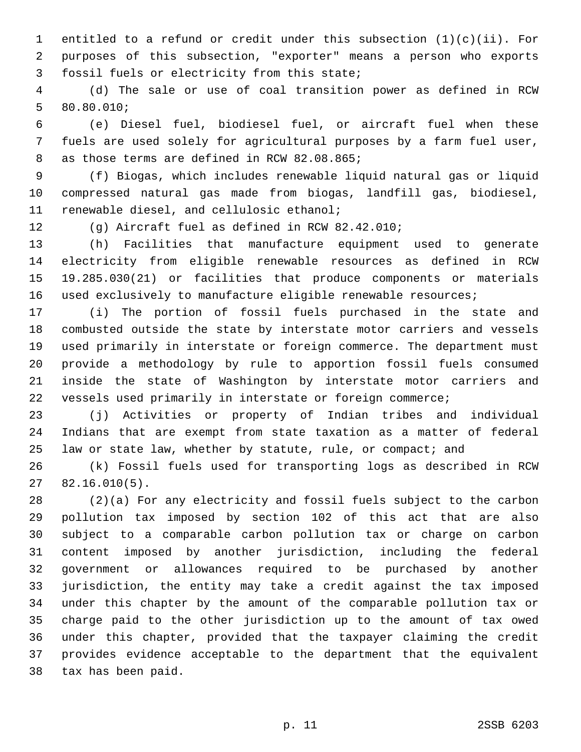1 entitled to a refund or credit under this subsection  $(1)(c)(ii)$ . For purposes of this subsection, "exporter" means a person who exports 3 fossil fuels or electricity from this state;

 (d) The sale or use of coal transition power as defined in RCW 80.80.010;5

 (e) Diesel fuel, biodiesel fuel, or aircraft fuel when these fuels are used solely for agricultural purposes by a farm fuel user, 8 as those terms are defined in RCW 82.08.865;

 (f) Biogas, which includes renewable liquid natural gas or liquid compressed natural gas made from biogas, landfill gas, biodiesel, 11 renewable diesel, and cellulosic ethanol;

(g) Aircraft fuel as defined in RCW 82.42.010;

 (h) Facilities that manufacture equipment used to generate electricity from eligible renewable resources as defined in RCW 19.285.030(21) or facilities that produce components or materials used exclusively to manufacture eligible renewable resources;

 (i) The portion of fossil fuels purchased in the state and combusted outside the state by interstate motor carriers and vessels used primarily in interstate or foreign commerce. The department must provide a methodology by rule to apportion fossil fuels consumed inside the state of Washington by interstate motor carriers and vessels used primarily in interstate or foreign commerce;

 (j) Activities or property of Indian tribes and individual Indians that are exempt from state taxation as a matter of federal 25 law or state law, whether by statute, rule, or compact; and

 (k) Fossil fuels used for transporting logs as described in RCW  $2782.16.010(5)$ .

 (2)(a) For any electricity and fossil fuels subject to the carbon pollution tax imposed by section 102 of this act that are also subject to a comparable carbon pollution tax or charge on carbon content imposed by another jurisdiction, including the federal government or allowances required to be purchased by another jurisdiction, the entity may take a credit against the tax imposed under this chapter by the amount of the comparable pollution tax or charge paid to the other jurisdiction up to the amount of tax owed under this chapter, provided that the taxpayer claiming the credit provides evidence acceptable to the department that the equivalent 38 tax has been paid.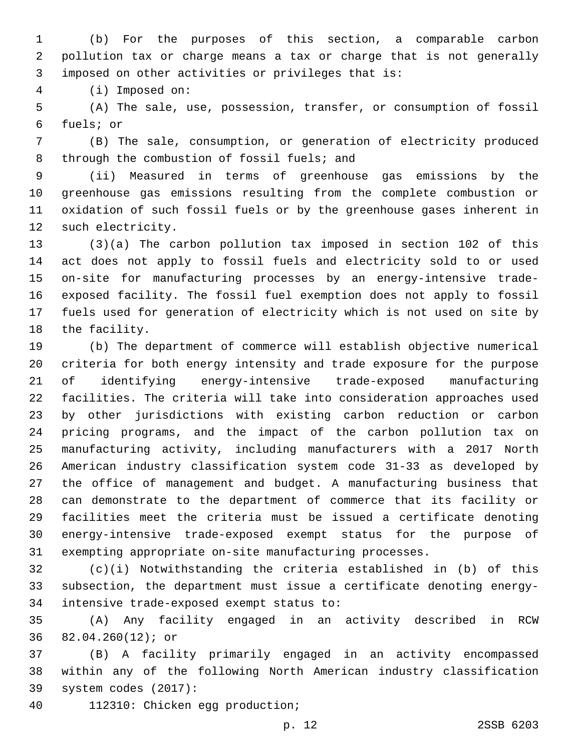(b) For the purposes of this section, a comparable carbon pollution tax or charge means a tax or charge that is not generally 3 imposed on other activities or privileges that is:

(i) Imposed on:4

 (A) The sale, use, possession, transfer, or consumption of fossil fuels; or6

 (B) The sale, consumption, or generation of electricity produced 8 through the combustion of fossil fuels; and

 (ii) Measured in terms of greenhouse gas emissions by the greenhouse gas emissions resulting from the complete combustion or oxidation of such fossil fuels or by the greenhouse gases inherent in 12 such electricity.

 (3)(a) The carbon pollution tax imposed in section 102 of this act does not apply to fossil fuels and electricity sold to or used on-site for manufacturing processes by an energy-intensive trade- exposed facility. The fossil fuel exemption does not apply to fossil fuels used for generation of electricity which is not used on site by 18 the facility.

 (b) The department of commerce will establish objective numerical criteria for both energy intensity and trade exposure for the purpose of identifying energy-intensive trade-exposed manufacturing facilities. The criteria will take into consideration approaches used by other jurisdictions with existing carbon reduction or carbon pricing programs, and the impact of the carbon pollution tax on manufacturing activity, including manufacturers with a 2017 North American industry classification system code 31-33 as developed by the office of management and budget. A manufacturing business that can demonstrate to the department of commerce that its facility or facilities meet the criteria must be issued a certificate denoting energy-intensive trade-exposed exempt status for the purpose of exempting appropriate on-site manufacturing processes.

 (c)(i) Notwithstanding the criteria established in (b) of this subsection, the department must issue a certificate denoting energy-34 intensive trade-exposed exempt status to:

 (A) Any facility engaged in an activity described in RCW 82.04.260(12); or36

 (B) A facility primarily engaged in an activity encompassed within any of the following North American industry classification 39 system codes (2017):

112310: Chicken egg production;40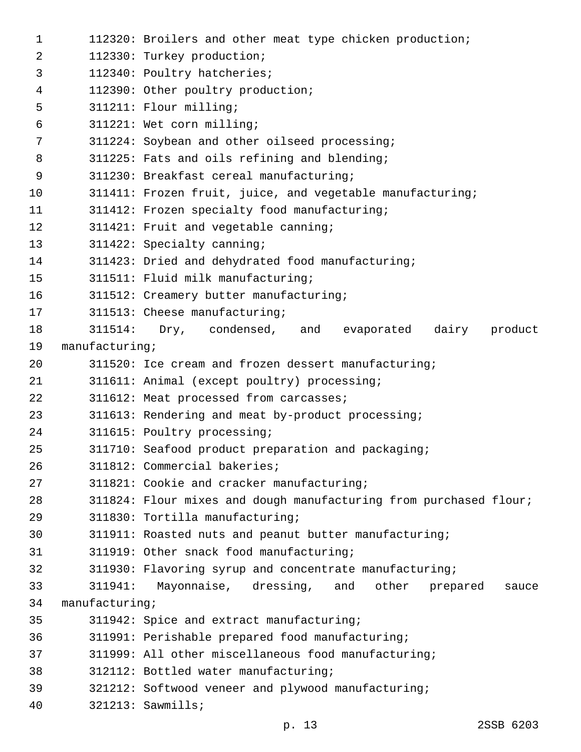| 1  |                | 112320: Broilers and other meat type chicken production;          |
|----|----------------|-------------------------------------------------------------------|
| 2  |                | 112330: Turkey production;                                        |
| 3  |                | 112340: Poultry hatcheries;                                       |
| 4  |                | 112390: Other poultry production;                                 |
| 5  |                | 311211: Flour milling;                                            |
| 6  |                | 311221: Wet corn milling;                                         |
| 7  |                | 311224: Soybean and other oilseed processing;                     |
| 8  |                | 311225: Fats and oils refining and blending;                      |
| 9  |                | 311230: Breakfast cereal manufacturing;                           |
| 10 |                | 311411: Frozen fruit, juice, and vegetable manufacturing;         |
| 11 |                | 311412: Frozen specialty food manufacturing;                      |
| 12 |                | 311421: Fruit and vegetable canning;                              |
| 13 |                | 311422: Specialty canning;                                        |
| 14 |                | 311423: Dried and dehydrated food manufacturing;                  |
| 15 |                | 311511: Fluid milk manufacturing;                                 |
| 16 |                | 311512: Creamery butter manufacturing;                            |
| 17 |                | 311513: Cheese manufacturing;                                     |
| 18 | 311514:        | Dry, condensed, and<br>dairy<br>product<br>evaporated             |
| 19 | manufacturing  |                                                                   |
| 20 |                | 311520: Ice cream and frozen dessert manufacturing;               |
| 21 |                | 311611: Animal (except poultry) processing;                       |
| 22 |                | 311612: Meat processed from carcasses;                            |
| 23 |                | 311613: Rendering and meat by-product processing;                 |
| 24 |                | 311615: Poultry processing;                                       |
| 25 |                | 311710: Seafood product preparation and packaging;                |
| 26 |                | 311812: Commercial bakeries;                                      |
| 27 |                | 311821: Cookie and cracker manufacturing;                         |
| 28 |                | 311824: Flour mixes and dough manufacturing from purchased flour; |
| 29 |                | 311830: Tortilla manufacturing;                                   |
| 30 |                | 311911: Roasted nuts and peanut butter manufacturing;             |
| 31 |                | 311919: Other snack food manufacturing;                           |
| 32 |                | 311930: Flavoring syrup and concentrate manufacturing;            |
| 33 | 311941:        | Mayonnaise, dressing,<br>other<br>and<br>prepared<br>sauce        |
| 34 | manufacturing; |                                                                   |
| 35 |                | 311942: Spice and extract manufacturing;                          |
| 36 |                | 311991: Perishable prepared food manufacturing;                   |
| 37 |                | 311999: All other miscellaneous food manufacturing;               |
| 38 |                | 312112: Bottled water manufacturing;                              |
| 39 |                | 321212: Softwood veneer and plywood manufacturing;                |
| 40 |                | $321213:$ Sawmills;                                               |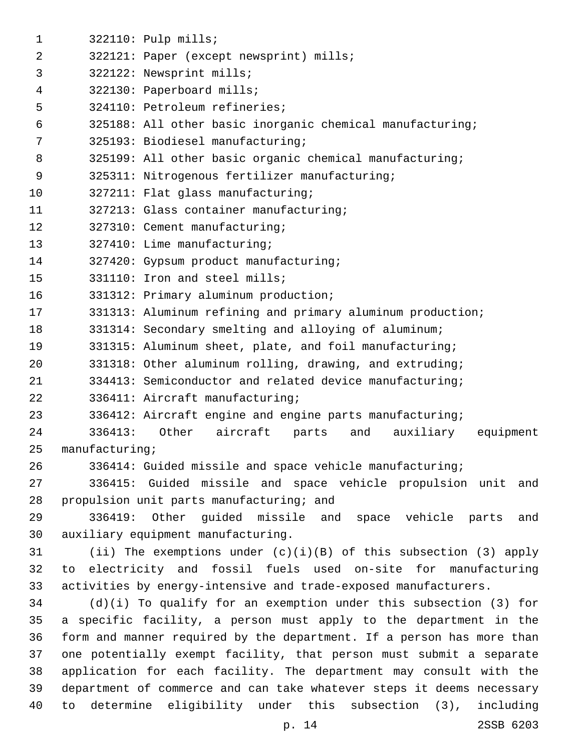| 1  |                | 322110: Pulp mills;                                                   |
|----|----------------|-----------------------------------------------------------------------|
| 2  |                | 322121: Paper (except newsprint) mills;                               |
| 3  |                | 322122: Newsprint mills;                                              |
| 4  |                | 322130: Paperboard mills;                                             |
| 5  |                | 324110: Petroleum refineries;                                         |
| 6  |                | 325188: All other basic inorganic chemical manufacturing;             |
| 7  |                | 325193: Biodiesel manufacturing;                                      |
| 8  |                | 325199: All other basic organic chemical manufacturing;               |
| 9  |                | 325311: Nitrogenous fertilizer manufacturing;                         |
| 10 |                | 327211: Flat glass manufacturing;                                     |
| 11 |                | 327213: Glass container manufacturing;                                |
| 12 |                | 327310: Cement manufacturing;                                         |
| 13 |                | 327410: Lime manufacturing;                                           |
| 14 |                | 327420: Gypsum product manufacturing;                                 |
| 15 |                | 331110: Iron and steel mills;                                         |
| 16 |                | 331312: Primary aluminum production;                                  |
| 17 |                | 331313: Aluminum refining and primary aluminum production;            |
| 18 |                | 331314: Secondary smelting and alloying of aluminum;                  |
| 19 |                | 331315: Aluminum sheet, plate, and foil manufacturing;                |
| 20 |                | 331318: Other aluminum rolling, drawing, and extruding;               |
| 21 |                | 334413: Semiconductor and related device manufacturing;               |
| 22 |                | 336411: Aircraft manufacturing;                                       |
| 23 |                | 336412: Aircraft engine and engine parts manufacturing;               |
| 24 | 336413:        | Other<br>aircraft<br>parts<br>and<br>auxiliary<br>equipment           |
| 25 | manufacturing; |                                                                       |
| 26 |                | 336414: Guided missile and space vehicle manufacturing;               |
| 27 |                | 336415: Guided missile and space vehicle propulsion unit and          |
| 28 |                | propulsion unit parts manufacturing; and                              |
| 29 |                | 336419: Other guided missile and space vehicle parts<br>and           |
| 30 |                | auxiliary equipment manufacturing.                                    |
| 31 |                | (ii) The exemptions under $(c)(i)(B)$ of this subsection (3) apply    |
| 32 | to             | electricity and fossil fuels used on-site for manufacturing           |
| 33 |                | activities by energy-intensive and trade-exposed manufacturers.       |
| 34 |                | $(d)(i)$ To qualify for an exemption under this subsection (3) for    |
| 35 |                | a specific facility, a person must apply to the department in the     |
| 36 |                | form and manner required by the department. If a person has more than |
| 37 |                | one potentially exempt facility, that person must submit a separate   |
| 38 |                | application for each facility. The department may consult with the    |
| 39 |                | department of commerce and can take whatever steps it deems necessary |
| 40 |                | to determine eligibility under this subsection (3),<br>including      |
|    |                | 2SSB 6203<br>p. 14                                                    |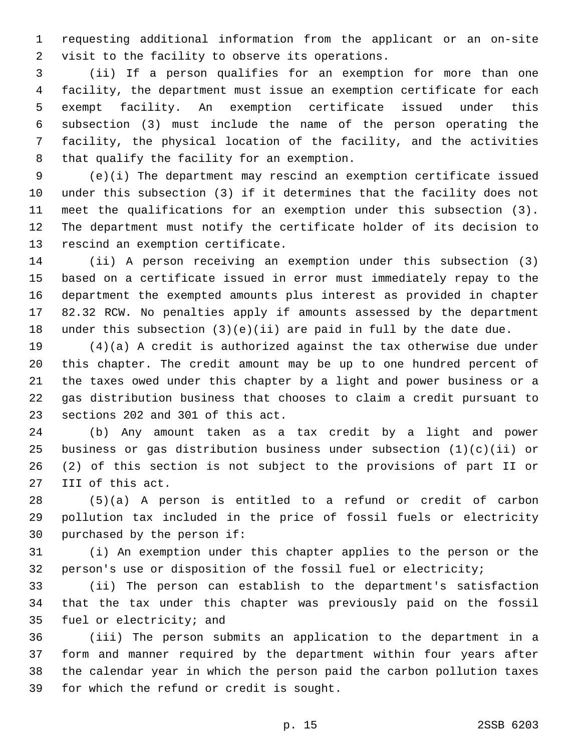requesting additional information from the applicant or an on-site 2 visit to the facility to observe its operations.

 (ii) If a person qualifies for an exemption for more than one facility, the department must issue an exemption certificate for each exempt facility. An exemption certificate issued under this subsection (3) must include the name of the person operating the facility, the physical location of the facility, and the activities 8 that qualify the facility for an exemption.

 (e)(i) The department may rescind an exemption certificate issued under this subsection (3) if it determines that the facility does not meet the qualifications for an exemption under this subsection (3). The department must notify the certificate holder of its decision to 13 rescind an exemption certificate.

 (ii) A person receiving an exemption under this subsection (3) based on a certificate issued in error must immediately repay to the department the exempted amounts plus interest as provided in chapter 82.32 RCW. No penalties apply if amounts assessed by the department under this subsection (3)(e)(ii) are paid in full by the date due.

 (4)(a) A credit is authorized against the tax otherwise due under this chapter. The credit amount may be up to one hundred percent of the taxes owed under this chapter by a light and power business or a gas distribution business that chooses to claim a credit pursuant to 23 sections 202 and 301 of this act.

 (b) Any amount taken as a tax credit by a light and power business or gas distribution business under subsection (1)(c)(ii) or (2) of this section is not subject to the provisions of part II or 27 III of this act.

 (5)(a) A person is entitled to a refund or credit of carbon pollution tax included in the price of fossil fuels or electricity 30 purchased by the person if:

 (i) An exemption under this chapter applies to the person or the person's use or disposition of the fossil fuel or electricity;

 (ii) The person can establish to the department's satisfaction that the tax under this chapter was previously paid on the fossil 35 fuel or electricity; and

 (iii) The person submits an application to the department in a form and manner required by the department within four years after the calendar year in which the person paid the carbon pollution taxes 39 for which the refund or credit is sought.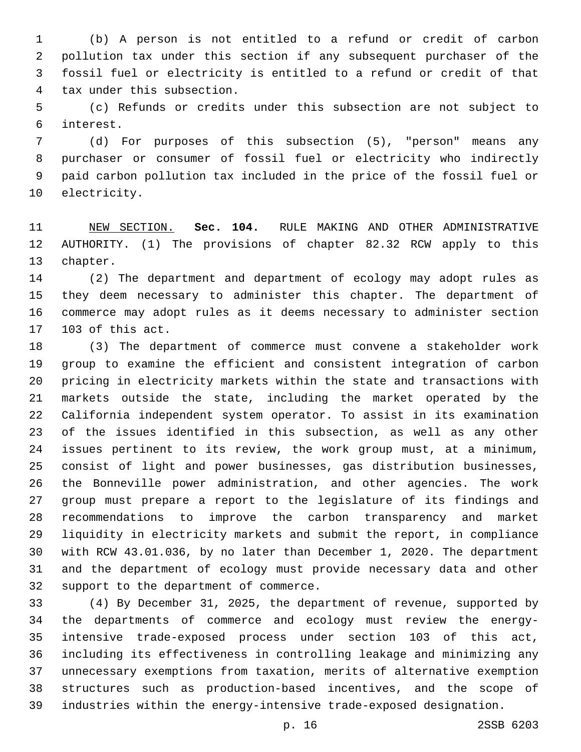(b) A person is not entitled to a refund or credit of carbon pollution tax under this section if any subsequent purchaser of the fossil fuel or electricity is entitled to a refund or credit of that 4 tax under this subsection.

 (c) Refunds or credits under this subsection are not subject to interest.6

 (d) For purposes of this subsection (5), "person" means any purchaser or consumer of fossil fuel or electricity who indirectly paid carbon pollution tax included in the price of the fossil fuel or 10 electricity.

 NEW SECTION. **Sec. 104.** RULE MAKING AND OTHER ADMINISTRATIVE AUTHORITY. (1) The provisions of chapter 82.32 RCW apply to this chapter.

 (2) The department and department of ecology may adopt rules as they deem necessary to administer this chapter. The department of commerce may adopt rules as it deems necessary to administer section 17 103 of this act.

 (3) The department of commerce must convene a stakeholder work group to examine the efficient and consistent integration of carbon pricing in electricity markets within the state and transactions with markets outside the state, including the market operated by the California independent system operator. To assist in its examination of the issues identified in this subsection, as well as any other issues pertinent to its review, the work group must, at a minimum, consist of light and power businesses, gas distribution businesses, the Bonneville power administration, and other agencies. The work group must prepare a report to the legislature of its findings and recommendations to improve the carbon transparency and market liquidity in electricity markets and submit the report, in compliance with RCW 43.01.036, by no later than December 1, 2020. The department and the department of ecology must provide necessary data and other 32 support to the department of commerce.

 (4) By December 31, 2025, the department of revenue, supported by the departments of commerce and ecology must review the energy- intensive trade-exposed process under section 103 of this act, including its effectiveness in controlling leakage and minimizing any unnecessary exemptions from taxation, merits of alternative exemption structures such as production-based incentives, and the scope of industries within the energy-intensive trade-exposed designation.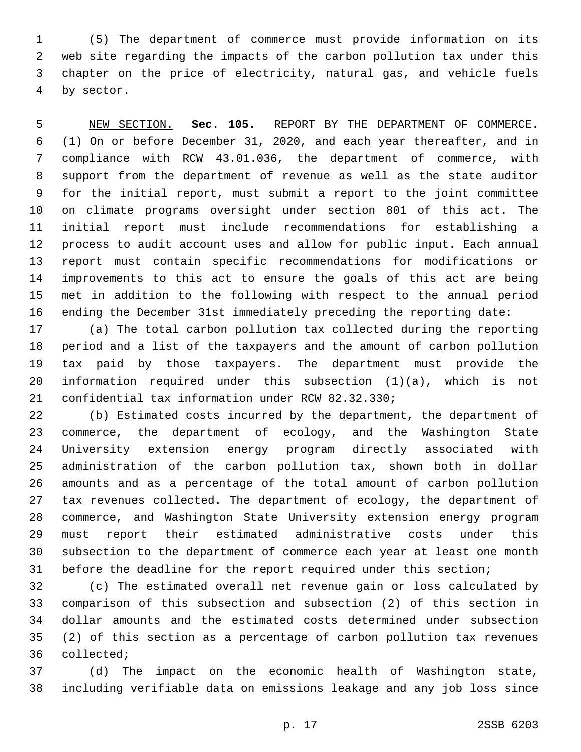(5) The department of commerce must provide information on its web site regarding the impacts of the carbon pollution tax under this chapter on the price of electricity, natural gas, and vehicle fuels 4 by sector.

 NEW SECTION. **Sec. 105.** REPORT BY THE DEPARTMENT OF COMMERCE. (1) On or before December 31, 2020, and each year thereafter, and in compliance with RCW 43.01.036, the department of commerce, with support from the department of revenue as well as the state auditor for the initial report, must submit a report to the joint committee on climate programs oversight under section 801 of this act. The initial report must include recommendations for establishing a process to audit account uses and allow for public input. Each annual report must contain specific recommendations for modifications or improvements to this act to ensure the goals of this act are being met in addition to the following with respect to the annual period ending the December 31st immediately preceding the reporting date:

 (a) The total carbon pollution tax collected during the reporting period and a list of the taxpayers and the amount of carbon pollution tax paid by those taxpayers. The department must provide the information required under this subsection (1)(a), which is not 21 confidential tax information under RCW 82.32.330;

 (b) Estimated costs incurred by the department, the department of commerce, the department of ecology, and the Washington State University extension energy program directly associated with administration of the carbon pollution tax, shown both in dollar amounts and as a percentage of the total amount of carbon pollution tax revenues collected. The department of ecology, the department of commerce, and Washington State University extension energy program must report their estimated administrative costs under this subsection to the department of commerce each year at least one month before the deadline for the report required under this section;

 (c) The estimated overall net revenue gain or loss calculated by comparison of this subsection and subsection (2) of this section in dollar amounts and the estimated costs determined under subsection (2) of this section as a percentage of carbon pollution tax revenues 36 collected;

 (d) The impact on the economic health of Washington state, including verifiable data on emissions leakage and any job loss since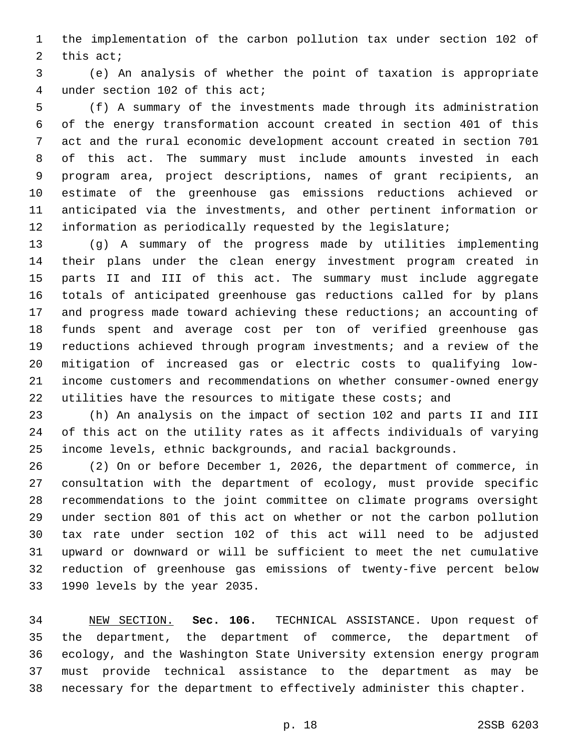the implementation of the carbon pollution tax under section 102 of 2 this act;

 (e) An analysis of whether the point of taxation is appropriate 4 under section 102 of this act;

 (f) A summary of the investments made through its administration of the energy transformation account created in section 401 of this act and the rural economic development account created in section 701 of this act. The summary must include amounts invested in each program area, project descriptions, names of grant recipients, an estimate of the greenhouse gas emissions reductions achieved or anticipated via the investments, and other pertinent information or information as periodically requested by the legislature;

 (g) A summary of the progress made by utilities implementing their plans under the clean energy investment program created in parts II and III of this act. The summary must include aggregate totals of anticipated greenhouse gas reductions called for by plans and progress made toward achieving these reductions; an accounting of funds spent and average cost per ton of verified greenhouse gas reductions achieved through program investments; and a review of the mitigation of increased gas or electric costs to qualifying low- income customers and recommendations on whether consumer-owned energy 22 utilities have the resources to mitigate these costs; and

 (h) An analysis on the impact of section 102 and parts II and III of this act on the utility rates as it affects individuals of varying income levels, ethnic backgrounds, and racial backgrounds.

 (2) On or before December 1, 2026, the department of commerce, in consultation with the department of ecology, must provide specific recommendations to the joint committee on climate programs oversight under section 801 of this act on whether or not the carbon pollution tax rate under section 102 of this act will need to be adjusted upward or downward or will be sufficient to meet the net cumulative reduction of greenhouse gas emissions of twenty-five percent below 33 1990 levels by the year 2035.

 NEW SECTION. **Sec. 106.** TECHNICAL ASSISTANCE. Upon request of the department, the department of commerce, the department of ecology, and the Washington State University extension energy program must provide technical assistance to the department as may be necessary for the department to effectively administer this chapter.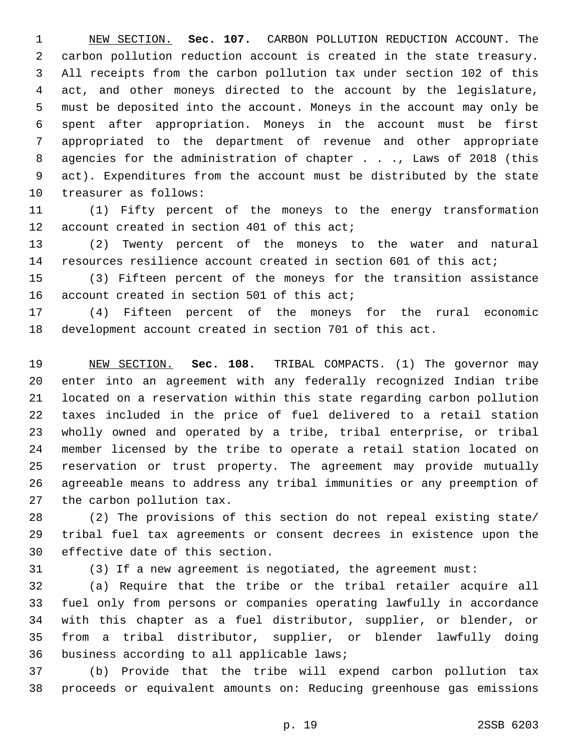NEW SECTION. **Sec. 107.** CARBON POLLUTION REDUCTION ACCOUNT. The carbon pollution reduction account is created in the state treasury. All receipts from the carbon pollution tax under section 102 of this act, and other moneys directed to the account by the legislature, must be deposited into the account. Moneys in the account may only be spent after appropriation. Moneys in the account must be first appropriated to the department of revenue and other appropriate 8 agencies for the administration of chapter . . ., Laws of 2018 (this act). Expenditures from the account must be distributed by the state treasurer as follows:

 (1) Fifty percent of the moneys to the energy transformation 12 account created in section 401 of this act;

 (2) Twenty percent of the moneys to the water and natural resources resilience account created in section 601 of this act;

 (3) Fifteen percent of the moneys for the transition assistance 16 account created in section 501 of this act;

 (4) Fifteen percent of the moneys for the rural economic development account created in section 701 of this act.

 NEW SECTION. **Sec. 108.** TRIBAL COMPACTS. (1) The governor may enter into an agreement with any federally recognized Indian tribe located on a reservation within this state regarding carbon pollution taxes included in the price of fuel delivered to a retail station wholly owned and operated by a tribe, tribal enterprise, or tribal member licensed by the tribe to operate a retail station located on reservation or trust property. The agreement may provide mutually agreeable means to address any tribal immunities or any preemption of the carbon pollution tax.

 (2) The provisions of this section do not repeal existing state/ tribal fuel tax agreements or consent decrees in existence upon the 30 effective date of this section.

(3) If a new agreement is negotiated, the agreement must:

 (a) Require that the tribe or the tribal retailer acquire all fuel only from persons or companies operating lawfully in accordance with this chapter as a fuel distributor, supplier, or blender, or from a tribal distributor, supplier, or blender lawfully doing 36 business according to all applicable laws;

 (b) Provide that the tribe will expend carbon pollution tax proceeds or equivalent amounts on: Reducing greenhouse gas emissions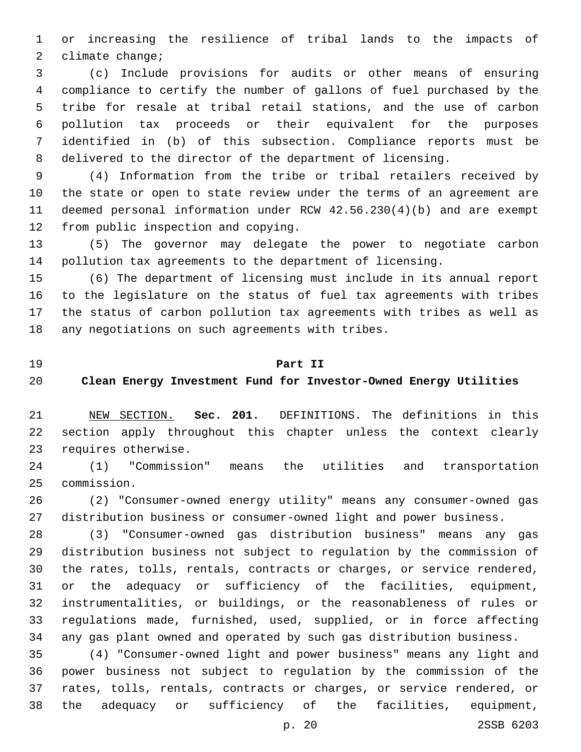or increasing the resilience of tribal lands to the impacts of 2 climate change;

 (c) Include provisions for audits or other means of ensuring compliance to certify the number of gallons of fuel purchased by the tribe for resale at tribal retail stations, and the use of carbon pollution tax proceeds or their equivalent for the purposes identified in (b) of this subsection. Compliance reports must be delivered to the director of the department of licensing.

 (4) Information from the tribe or tribal retailers received by the state or open to state review under the terms of an agreement are deemed personal information under RCW 42.56.230(4)(b) and are exempt 12 from public inspection and copying.

 (5) The governor may delegate the power to negotiate carbon pollution tax agreements to the department of licensing.

 (6) The department of licensing must include in its annual report to the legislature on the status of fuel tax agreements with tribes the status of carbon pollution tax agreements with tribes as well as 18 any negotiations on such agreements with tribes.

#### **Part II**

## **Clean Energy Investment Fund for Investor-Owned Energy Utilities**

 NEW SECTION. **Sec. 201.** DEFINITIONS. The definitions in this section apply throughout this chapter unless the context clearly requires otherwise.

 (1) "Commission" means the utilities and transportation commission.25

 (2) "Consumer-owned energy utility" means any consumer-owned gas distribution business or consumer-owned light and power business.

 (3) "Consumer-owned gas distribution business" means any gas distribution business not subject to regulation by the commission of the rates, tolls, rentals, contracts or charges, or service rendered, or the adequacy or sufficiency of the facilities, equipment, instrumentalities, or buildings, or the reasonableness of rules or regulations made, furnished, used, supplied, or in force affecting any gas plant owned and operated by such gas distribution business.

 (4) "Consumer-owned light and power business" means any light and power business not subject to regulation by the commission of the rates, tolls, rentals, contracts or charges, or service rendered, or the adequacy or sufficiency of the facilities, equipment,

p. 20 2SSB 6203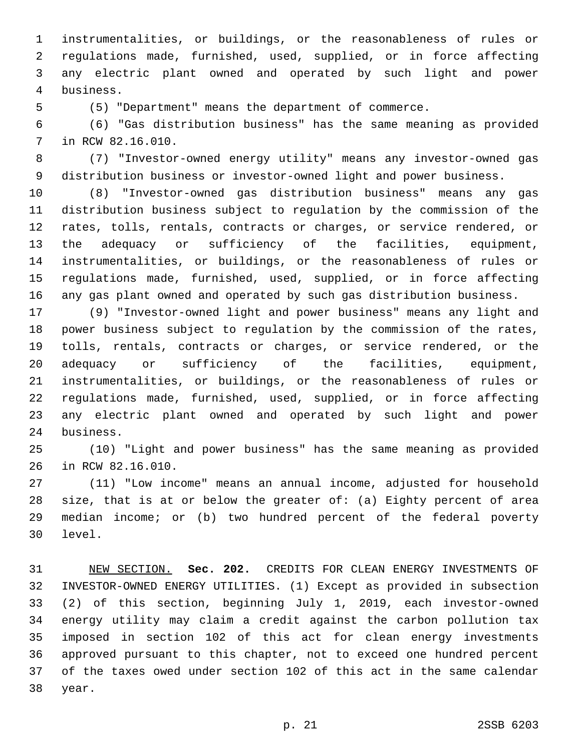instrumentalities, or buildings, or the reasonableness of rules or regulations made, furnished, used, supplied, or in force affecting any electric plant owned and operated by such light and power business.4

(5) "Department" means the department of commerce.

 (6) "Gas distribution business" has the same meaning as provided 7 in RCW 82.16.010.

 (7) "Investor-owned energy utility" means any investor-owned gas distribution business or investor-owned light and power business.

 (8) "Investor-owned gas distribution business" means any gas distribution business subject to regulation by the commission of the rates, tolls, rentals, contracts or charges, or service rendered, or the adequacy or sufficiency of the facilities, equipment, instrumentalities, or buildings, or the reasonableness of rules or regulations made, furnished, used, supplied, or in force affecting any gas plant owned and operated by such gas distribution business.

 (9) "Investor-owned light and power business" means any light and power business subject to regulation by the commission of the rates, tolls, rentals, contracts or charges, or service rendered, or the adequacy or sufficiency of the facilities, equipment, instrumentalities, or buildings, or the reasonableness of rules or regulations made, furnished, used, supplied, or in force affecting any electric plant owned and operated by such light and power 24 business.

 (10) "Light and power business" has the same meaning as provided 26 in RCW 82.16.010.

 (11) "Low income" means an annual income, adjusted for household size, that is at or below the greater of: (a) Eighty percent of area median income; or (b) two hundred percent of the federal poverty 30 level.

 NEW SECTION. **Sec. 202.** CREDITS FOR CLEAN ENERGY INVESTMENTS OF INVESTOR-OWNED ENERGY UTILITIES. (1) Except as provided in subsection (2) of this section, beginning July 1, 2019, each investor-owned energy utility may claim a credit against the carbon pollution tax imposed in section 102 of this act for clean energy investments approved pursuant to this chapter, not to exceed one hundred percent of the taxes owed under section 102 of this act in the same calendar year.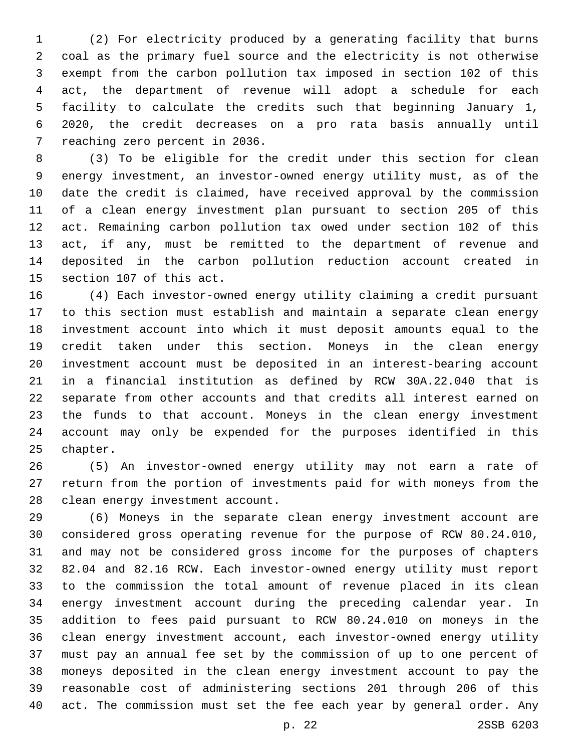(2) For electricity produced by a generating facility that burns coal as the primary fuel source and the electricity is not otherwise exempt from the carbon pollution tax imposed in section 102 of this act, the department of revenue will adopt a schedule for each facility to calculate the credits such that beginning January 1, 2020, the credit decreases on a pro rata basis annually until 7 reaching zero percent in 2036.

 (3) To be eligible for the credit under this section for clean energy investment, an investor-owned energy utility must, as of the date the credit is claimed, have received approval by the commission of a clean energy investment plan pursuant to section 205 of this act. Remaining carbon pollution tax owed under section 102 of this act, if any, must be remitted to the department of revenue and deposited in the carbon pollution reduction account created in 15 section 107 of this act.

 (4) Each investor-owned energy utility claiming a credit pursuant to this section must establish and maintain a separate clean energy investment account into which it must deposit amounts equal to the credit taken under this section. Moneys in the clean energy investment account must be deposited in an interest-bearing account in a financial institution as defined by RCW 30A.22.040 that is separate from other accounts and that credits all interest earned on the funds to that account. Moneys in the clean energy investment account may only be expended for the purposes identified in this 25 chapter.

 (5) An investor-owned energy utility may not earn a rate of return from the portion of investments paid for with moneys from the 28 clean energy investment account.

 (6) Moneys in the separate clean energy investment account are considered gross operating revenue for the purpose of RCW 80.24.010, and may not be considered gross income for the purposes of chapters 82.04 and 82.16 RCW. Each investor-owned energy utility must report to the commission the total amount of revenue placed in its clean energy investment account during the preceding calendar year. In addition to fees paid pursuant to RCW 80.24.010 on moneys in the clean energy investment account, each investor-owned energy utility must pay an annual fee set by the commission of up to one percent of moneys deposited in the clean energy investment account to pay the reasonable cost of administering sections 201 through 206 of this act. The commission must set the fee each year by general order. Any

p. 22 2SSB 6203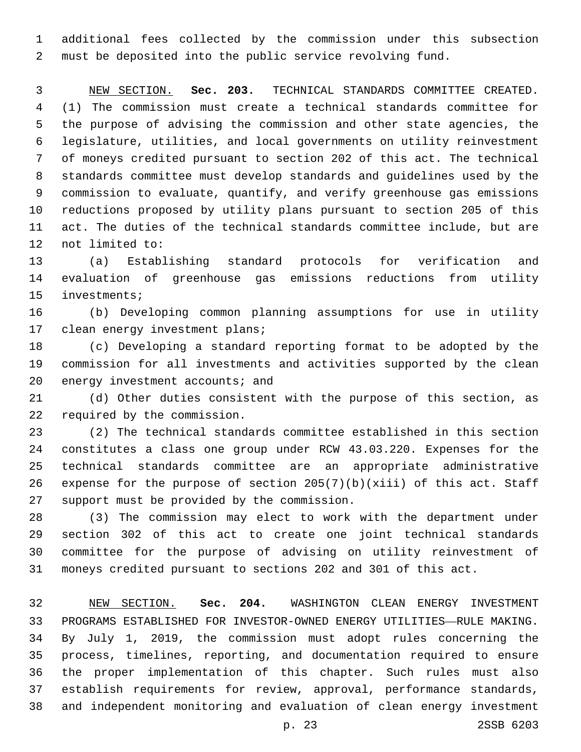additional fees collected by the commission under this subsection must be deposited into the public service revolving fund.

 NEW SECTION. **Sec. 203.** TECHNICAL STANDARDS COMMITTEE CREATED. (1) The commission must create a technical standards committee for the purpose of advising the commission and other state agencies, the legislature, utilities, and local governments on utility reinvestment of moneys credited pursuant to section 202 of this act. The technical standards committee must develop standards and guidelines used by the commission to evaluate, quantify, and verify greenhouse gas emissions reductions proposed by utility plans pursuant to section 205 of this act. The duties of the technical standards committee include, but are not limited to:

 (a) Establishing standard protocols for verification and evaluation of greenhouse gas emissions reductions from utility 15 investments;

 (b) Developing common planning assumptions for use in utility 17 clean energy investment plans;

 (c) Developing a standard reporting format to be adopted by the commission for all investments and activities supported by the clean 20 energy investment accounts; and

 (d) Other duties consistent with the purpose of this section, as 22 required by the commission.

 (2) The technical standards committee established in this section constitutes a class one group under RCW 43.03.220. Expenses for the technical standards committee are an appropriate administrative expense for the purpose of section 205(7)(b)(xiii) of this act. Staff 27 support must be provided by the commission.

 (3) The commission may elect to work with the department under section 302 of this act to create one joint technical standards committee for the purpose of advising on utility reinvestment of moneys credited pursuant to sections 202 and 301 of this act.

 NEW SECTION. **Sec. 204.** WASHINGTON CLEAN ENERGY INVESTMENT PROGRAMS ESTABLISHED FOR INVESTOR-OWNED ENERGY UTILITIES—RULE MAKING. By July 1, 2019, the commission must adopt rules concerning the process, timelines, reporting, and documentation required to ensure the proper implementation of this chapter. Such rules must also establish requirements for review, approval, performance standards, and independent monitoring and evaluation of clean energy investment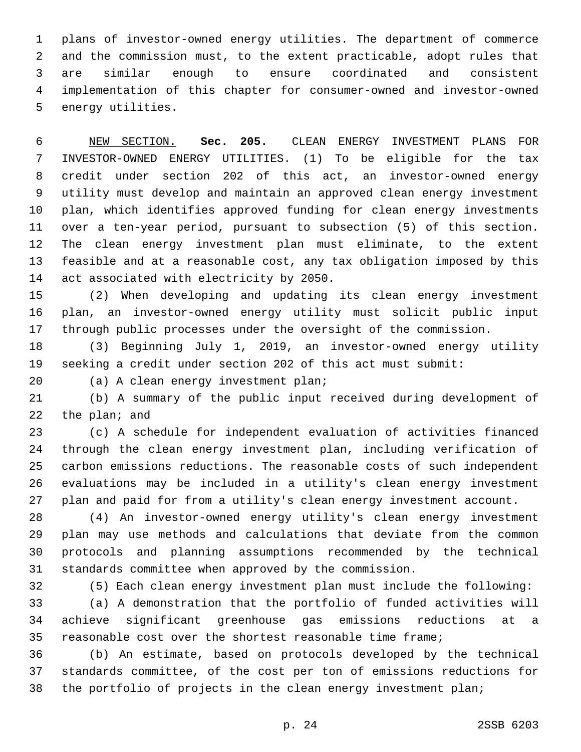plans of investor-owned energy utilities. The department of commerce and the commission must, to the extent practicable, adopt rules that are similar enough to ensure coordinated and consistent implementation of this chapter for consumer-owned and investor-owned 5 energy utilities.

 NEW SECTION. **Sec. 205.** CLEAN ENERGY INVESTMENT PLANS FOR INVESTOR-OWNED ENERGY UTILITIES. (1) To be eligible for the tax credit under section 202 of this act, an investor-owned energy utility must develop and maintain an approved clean energy investment plan, which identifies approved funding for clean energy investments over a ten-year period, pursuant to subsection (5) of this section. The clean energy investment plan must eliminate, to the extent feasible and at a reasonable cost, any tax obligation imposed by this act associated with electricity by 2050.

 (2) When developing and updating its clean energy investment plan, an investor-owned energy utility must solicit public input through public processes under the oversight of the commission.

 (3) Beginning July 1, 2019, an investor-owned energy utility seeking a credit under section 202 of this act must submit:

20 (a) A clean energy investment plan;

 (b) A summary of the public input received during development of 22 the plan; and

 (c) A schedule for independent evaluation of activities financed through the clean energy investment plan, including verification of carbon emissions reductions. The reasonable costs of such independent evaluations may be included in a utility's clean energy investment plan and paid for from a utility's clean energy investment account.

 (4) An investor-owned energy utility's clean energy investment plan may use methods and calculations that deviate from the common protocols and planning assumptions recommended by the technical standards committee when approved by the commission.

(5) Each clean energy investment plan must include the following:

 (a) A demonstration that the portfolio of funded activities will achieve significant greenhouse gas emissions reductions at a reasonable cost over the shortest reasonable time frame;

 (b) An estimate, based on protocols developed by the technical standards committee, of the cost per ton of emissions reductions for the portfolio of projects in the clean energy investment plan;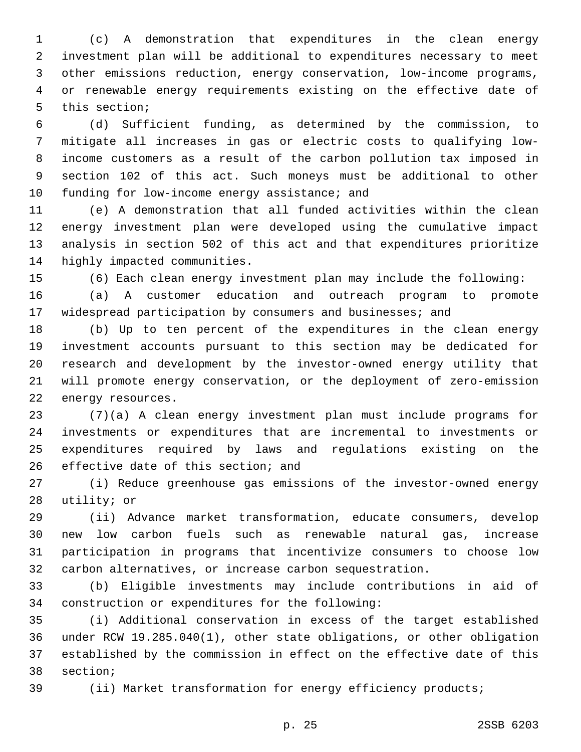(c) A demonstration that expenditures in the clean energy investment plan will be additional to expenditures necessary to meet other emissions reduction, energy conservation, low-income programs, or renewable energy requirements existing on the effective date of 5 this section;

 (d) Sufficient funding, as determined by the commission, to mitigate all increases in gas or electric costs to qualifying low- income customers as a result of the carbon pollution tax imposed in section 102 of this act. Such moneys must be additional to other 10 funding for low-income energy assistance; and

 (e) A demonstration that all funded activities within the clean energy investment plan were developed using the cumulative impact analysis in section 502 of this act and that expenditures prioritize 14 highly impacted communities.

(6) Each clean energy investment plan may include the following:

 (a) A customer education and outreach program to promote widespread participation by consumers and businesses; and

 (b) Up to ten percent of the expenditures in the clean energy investment accounts pursuant to this section may be dedicated for research and development by the investor-owned energy utility that will promote energy conservation, or the deployment of zero-emission 22 energy resources.

 (7)(a) A clean energy investment plan must include programs for investments or expenditures that are incremental to investments or expenditures required by laws and regulations existing on the 26 effective date of this section; and

 (i) Reduce greenhouse gas emissions of the investor-owned energy 28 utility; or

 (ii) Advance market transformation, educate consumers, develop new low carbon fuels such as renewable natural gas, increase participation in programs that incentivize consumers to choose low carbon alternatives, or increase carbon sequestration.

 (b) Eligible investments may include contributions in aid of 34 construction or expenditures for the following:

 (i) Additional conservation in excess of the target established under RCW 19.285.040(1), other state obligations, or other obligation established by the commission in effect on the effective date of this 38 section;

39 (ii) Market transformation for energy efficiency products;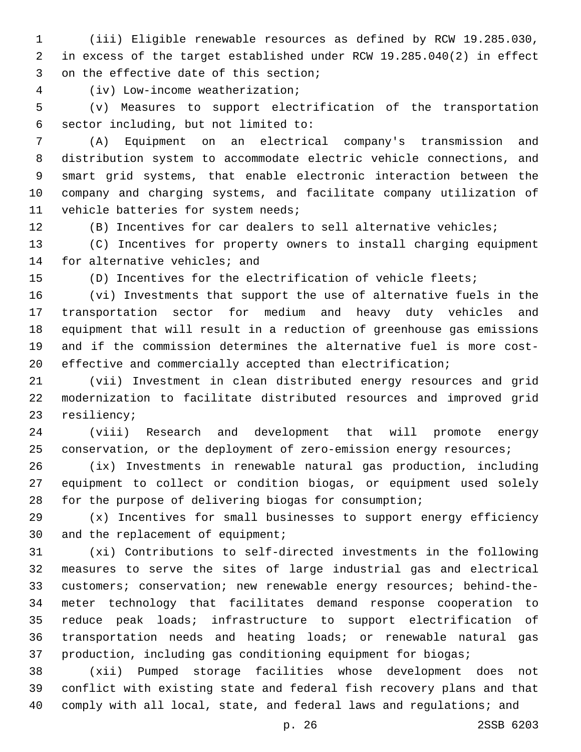(iii) Eligible renewable resources as defined by RCW 19.285.030, in excess of the target established under RCW 19.285.040(2) in effect 3 on the effective date of this section;

(iv) Low-income weatherization;4

 (v) Measures to support electrification of the transportation sector including, but not limited to:6

 (A) Equipment on an electrical company's transmission and distribution system to accommodate electric vehicle connections, and smart grid systems, that enable electronic interaction between the company and charging systems, and facilitate company utilization of 11 vehicle batteries for system needs;

(B) Incentives for car dealers to sell alternative vehicles;

 (C) Incentives for property owners to install charging equipment 14 for alternative vehicles; and

(D) Incentives for the electrification of vehicle fleets;

 (vi) Investments that support the use of alternative fuels in the transportation sector for medium and heavy duty vehicles and equipment that will result in a reduction of greenhouse gas emissions and if the commission determines the alternative fuel is more cost-effective and commercially accepted than electrification;

 (vii) Investment in clean distributed energy resources and grid modernization to facilitate distributed resources and improved grid 23 resiliency;

 (viii) Research and development that will promote energy 25 conservation, or the deployment of zero-emission energy resources;

 (ix) Investments in renewable natural gas production, including equipment to collect or condition biogas, or equipment used solely for the purpose of delivering biogas for consumption;

 (x) Incentives for small businesses to support energy efficiency 30 and the replacement of equipment;

 (xi) Contributions to self-directed investments in the following measures to serve the sites of large industrial gas and electrical customers; conservation; new renewable energy resources; behind-the- meter technology that facilitates demand response cooperation to reduce peak loads; infrastructure to support electrification of transportation needs and heating loads; or renewable natural gas production, including gas conditioning equipment for biogas;

 (xii) Pumped storage facilities whose development does not conflict with existing state and federal fish recovery plans and that 40 comply with all local, state, and federal laws and regulations; and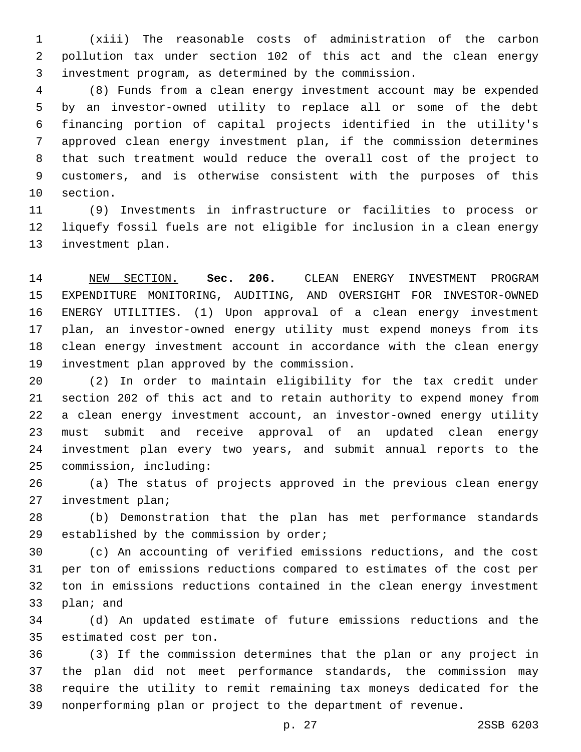(xiii) The reasonable costs of administration of the carbon pollution tax under section 102 of this act and the clean energy investment program, as determined by the commission.

 (8) Funds from a clean energy investment account may be expended by an investor-owned utility to replace all or some of the debt financing portion of capital projects identified in the utility's approved clean energy investment plan, if the commission determines that such treatment would reduce the overall cost of the project to customers, and is otherwise consistent with the purposes of this 10 section.

 (9) Investments in infrastructure or facilities to process or liquefy fossil fuels are not eligible for inclusion in a clean energy 13 investment plan.

 NEW SECTION. **Sec. 206.** CLEAN ENERGY INVESTMENT PROGRAM EXPENDITURE MONITORING, AUDITING, AND OVERSIGHT FOR INVESTOR-OWNED ENERGY UTILITIES. (1) Upon approval of a clean energy investment plan, an investor-owned energy utility must expend moneys from its clean energy investment account in accordance with the clean energy investment plan approved by the commission.

 (2) In order to maintain eligibility for the tax credit under section 202 of this act and to retain authority to expend money from a clean energy investment account, an investor-owned energy utility must submit and receive approval of an updated clean energy investment plan every two years, and submit annual reports to the commission, including:25

 (a) The status of projects approved in the previous clean energy 27 investment plan;

 (b) Demonstration that the plan has met performance standards 29 established by the commission by order;

 (c) An accounting of verified emissions reductions, and the cost per ton of emissions reductions compared to estimates of the cost per ton in emissions reductions contained in the clean energy investment 33 plan; and

 (d) An updated estimate of future emissions reductions and the 35 estimated cost per ton.

 (3) If the commission determines that the plan or any project in the plan did not meet performance standards, the commission may require the utility to remit remaining tax moneys dedicated for the nonperforming plan or project to the department of revenue.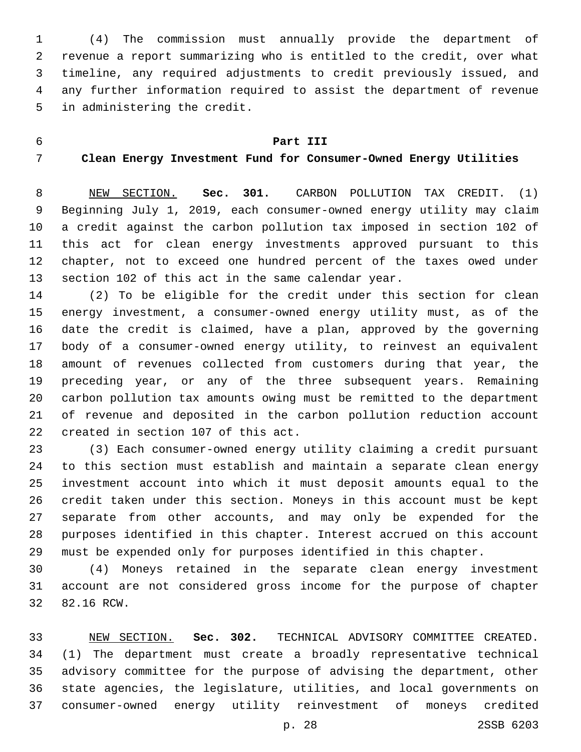(4) The commission must annually provide the department of revenue a report summarizing who is entitled to the credit, over what timeline, any required adjustments to credit previously issued, and any further information required to assist the department of revenue 5 in administering the credit.

#### **Part III**

### **Clean Energy Investment Fund for Consumer-Owned Energy Utilities**

 NEW SECTION. **Sec. 301.** CARBON POLLUTION TAX CREDIT. (1) Beginning July 1, 2019, each consumer-owned energy utility may claim a credit against the carbon pollution tax imposed in section 102 of this act for clean energy investments approved pursuant to this chapter, not to exceed one hundred percent of the taxes owed under section 102 of this act in the same calendar year.

 (2) To be eligible for the credit under this section for clean energy investment, a consumer-owned energy utility must, as of the date the credit is claimed, have a plan, approved by the governing body of a consumer-owned energy utility, to reinvest an equivalent amount of revenues collected from customers during that year, the preceding year, or any of the three subsequent years. Remaining carbon pollution tax amounts owing must be remitted to the department of revenue and deposited in the carbon pollution reduction account 22 created in section 107 of this act.

 (3) Each consumer-owned energy utility claiming a credit pursuant to this section must establish and maintain a separate clean energy investment account into which it must deposit amounts equal to the credit taken under this section. Moneys in this account must be kept separate from other accounts, and may only be expended for the purposes identified in this chapter. Interest accrued on this account must be expended only for purposes identified in this chapter.

 (4) Moneys retained in the separate clean energy investment account are not considered gross income for the purpose of chapter 32 82.16 RCW.

 NEW SECTION. **Sec. 302.** TECHNICAL ADVISORY COMMITTEE CREATED. (1) The department must create a broadly representative technical advisory committee for the purpose of advising the department, other state agencies, the legislature, utilities, and local governments on consumer-owned energy utility reinvestment of moneys credited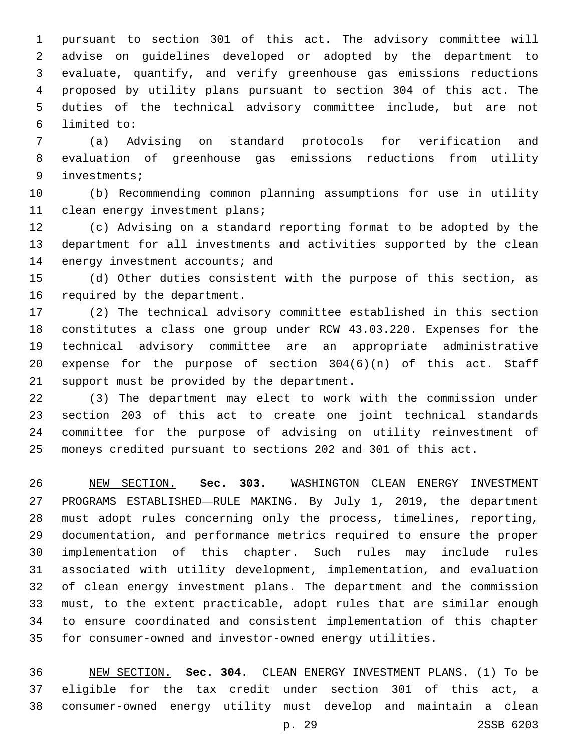pursuant to section 301 of this act. The advisory committee will advise on guidelines developed or adopted by the department to evaluate, quantify, and verify greenhouse gas emissions reductions proposed by utility plans pursuant to section 304 of this act. The duties of the technical advisory committee include, but are not limited to:6

 (a) Advising on standard protocols for verification and evaluation of greenhouse gas emissions reductions from utility investments;9

 (b) Recommending common planning assumptions for use in utility 11 clean energy investment plans;

 (c) Advising on a standard reporting format to be adopted by the department for all investments and activities supported by the clean 14 energy investment accounts; and

 (d) Other duties consistent with the purpose of this section, as 16 required by the department.

 (2) The technical advisory committee established in this section constitutes a class one group under RCW 43.03.220. Expenses for the technical advisory committee are an appropriate administrative expense for the purpose of section 304(6)(n) of this act. Staff 21 support must be provided by the department.

 (3) The department may elect to work with the commission under section 203 of this act to create one joint technical standards committee for the purpose of advising on utility reinvestment of moneys credited pursuant to sections 202 and 301 of this act.

 NEW SECTION. **Sec. 303.** WASHINGTON CLEAN ENERGY INVESTMENT PROGRAMS ESTABLISHED—RULE MAKING. By July 1, 2019, the department must adopt rules concerning only the process, timelines, reporting, documentation, and performance metrics required to ensure the proper implementation of this chapter. Such rules may include rules associated with utility development, implementation, and evaluation of clean energy investment plans. The department and the commission must, to the extent practicable, adopt rules that are similar enough to ensure coordinated and consistent implementation of this chapter for consumer-owned and investor-owned energy utilities.

 NEW SECTION. **Sec. 304.** CLEAN ENERGY INVESTMENT PLANS. (1) To be eligible for the tax credit under section 301 of this act, a consumer-owned energy utility must develop and maintain a clean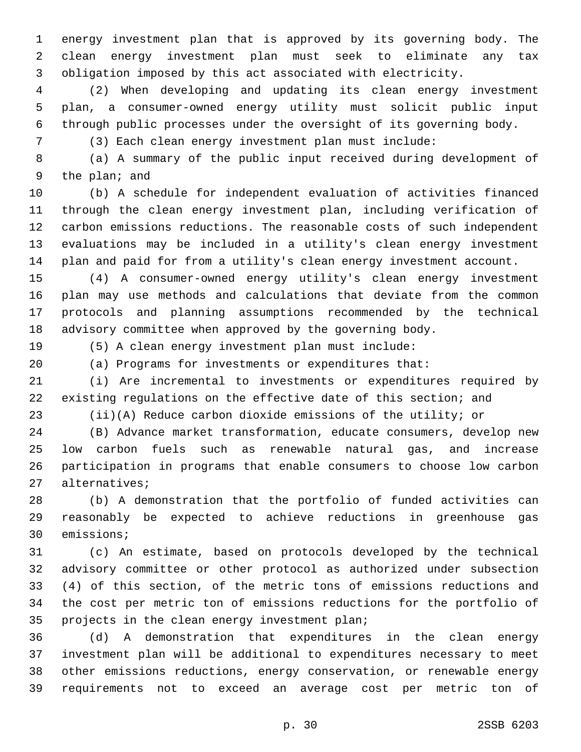energy investment plan that is approved by its governing body. The clean energy investment plan must seek to eliminate any tax obligation imposed by this act associated with electricity.

 (2) When developing and updating its clean energy investment plan, a consumer-owned energy utility must solicit public input through public processes under the oversight of its governing body.

(3) Each clean energy investment plan must include:

 (a) A summary of the public input received during development of 9 the plan; and

 (b) A schedule for independent evaluation of activities financed through the clean energy investment plan, including verification of carbon emissions reductions. The reasonable costs of such independent evaluations may be included in a utility's clean energy investment plan and paid for from a utility's clean energy investment account.

 (4) A consumer-owned energy utility's clean energy investment plan may use methods and calculations that deviate from the common protocols and planning assumptions recommended by the technical advisory committee when approved by the governing body.

(5) A clean energy investment plan must include:

(a) Programs for investments or expenditures that:

 (i) Are incremental to investments or expenditures required by existing regulations on the effective date of this section; and

(ii)(A) Reduce carbon dioxide emissions of the utility; or

 (B) Advance market transformation, educate consumers, develop new low carbon fuels such as renewable natural gas, and increase participation in programs that enable consumers to choose low carbon 27 alternatives;

 (b) A demonstration that the portfolio of funded activities can reasonably be expected to achieve reductions in greenhouse gas 30 emissions;

 (c) An estimate, based on protocols developed by the technical advisory committee or other protocol as authorized under subsection (4) of this section, of the metric tons of emissions reductions and the cost per metric ton of emissions reductions for the portfolio of 35 projects in the clean energy investment plan;

 (d) A demonstration that expenditures in the clean energy investment plan will be additional to expenditures necessary to meet other emissions reductions, energy conservation, or renewable energy requirements not to exceed an average cost per metric ton of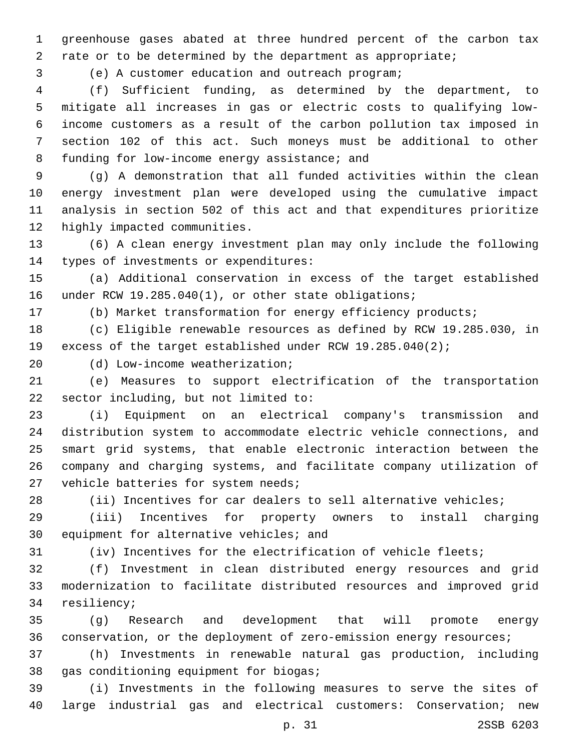greenhouse gases abated at three hundred percent of the carbon tax rate or to be determined by the department as appropriate;

(e) A customer education and outreach program;3

 (f) Sufficient funding, as determined by the department, to mitigate all increases in gas or electric costs to qualifying low- income customers as a result of the carbon pollution tax imposed in section 102 of this act. Such moneys must be additional to other 8 funding for low-income energy assistance; and

 (g) A demonstration that all funded activities within the clean energy investment plan were developed using the cumulative impact analysis in section 502 of this act and that expenditures prioritize 12 highly impacted communities.

 (6) A clean energy investment plan may only include the following 14 types of investments or expenditures:

 (a) Additional conservation in excess of the target established 16 under RCW 19.285.040(1), or other state obligations;

(b) Market transformation for energy efficiency products;

 (c) Eligible renewable resources as defined by RCW 19.285.030, in excess of the target established under RCW 19.285.040(2);

(d) Low-income weatherization;20

 (e) Measures to support electrification of the transportation 22 sector including, but not limited to:

 (i) Equipment on an electrical company's transmission and distribution system to accommodate electric vehicle connections, and smart grid systems, that enable electronic interaction between the company and charging systems, and facilitate company utilization of 27 vehicle batteries for system needs;

(ii) Incentives for car dealers to sell alternative vehicles;

 (iii) Incentives for property owners to install charging 30 equipment for alternative vehicles; and

(iv) Incentives for the electrification of vehicle fleets;

 (f) Investment in clean distributed energy resources and grid modernization to facilitate distributed resources and improved grid 34 resiliency;

 (g) Research and development that will promote energy conservation, or the deployment of zero-emission energy resources;

 (h) Investments in renewable natural gas production, including 38 gas conditioning equipment for biogas;

 (i) Investments in the following measures to serve the sites of large industrial gas and electrical customers: Conservation; new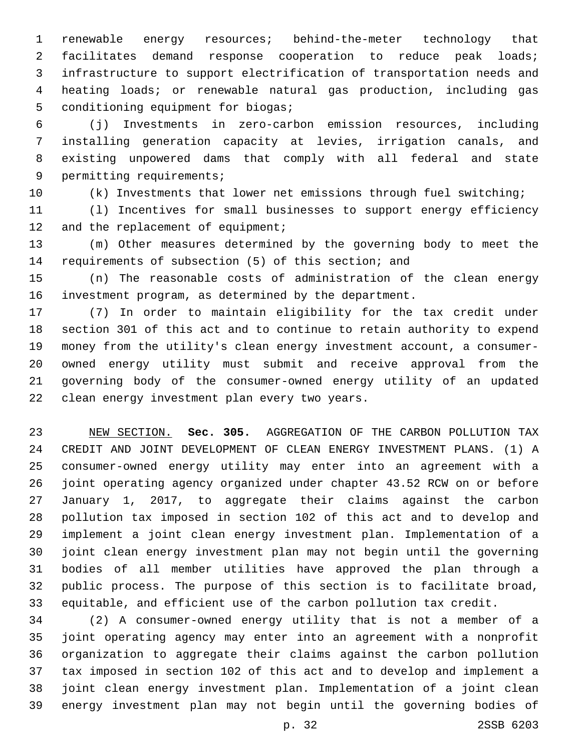renewable energy resources; behind-the-meter technology that facilitates demand response cooperation to reduce peak loads; infrastructure to support electrification of transportation needs and heating loads; or renewable natural gas production, including gas 5 conditioning equipment for biogas;

 (j) Investments in zero-carbon emission resources, including installing generation capacity at levies, irrigation canals, and existing unpowered dams that comply with all federal and state 9 permitting requirements;

(k) Investments that lower net emissions through fuel switching;

 (l) Incentives for small businesses to support energy efficiency 12 and the replacement of equipment;

 (m) Other measures determined by the governing body to meet the requirements of subsection (5) of this section; and

 (n) The reasonable costs of administration of the clean energy investment program, as determined by the department.

 (7) In order to maintain eligibility for the tax credit under section 301 of this act and to continue to retain authority to expend money from the utility's clean energy investment account, a consumer- owned energy utility must submit and receive approval from the governing body of the consumer-owned energy utility of an updated 22 clean energy investment plan every two years.

 NEW SECTION. **Sec. 305.** AGGREGATION OF THE CARBON POLLUTION TAX CREDIT AND JOINT DEVELOPMENT OF CLEAN ENERGY INVESTMENT PLANS. (1) A consumer-owned energy utility may enter into an agreement with a joint operating agency organized under chapter 43.52 RCW on or before January 1, 2017, to aggregate their claims against the carbon pollution tax imposed in section 102 of this act and to develop and implement a joint clean energy investment plan. Implementation of a joint clean energy investment plan may not begin until the governing bodies of all member utilities have approved the plan through a public process. The purpose of this section is to facilitate broad, equitable, and efficient use of the carbon pollution tax credit.

 (2) A consumer-owned energy utility that is not a member of a joint operating agency may enter into an agreement with a nonprofit organization to aggregate their claims against the carbon pollution tax imposed in section 102 of this act and to develop and implement a joint clean energy investment plan. Implementation of a joint clean energy investment plan may not begin until the governing bodies of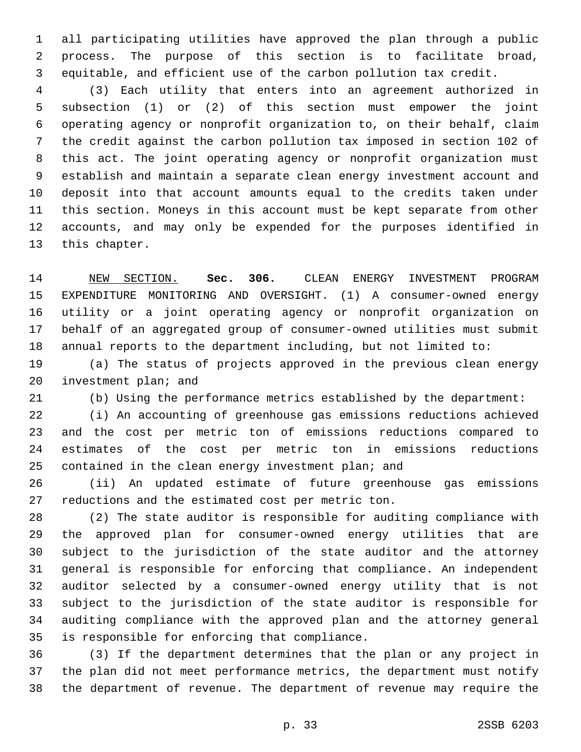all participating utilities have approved the plan through a public process. The purpose of this section is to facilitate broad, equitable, and efficient use of the carbon pollution tax credit.

 (3) Each utility that enters into an agreement authorized in subsection (1) or (2) of this section must empower the joint operating agency or nonprofit organization to, on their behalf, claim the credit against the carbon pollution tax imposed in section 102 of this act. The joint operating agency or nonprofit organization must establish and maintain a separate clean energy investment account and deposit into that account amounts equal to the credits taken under this section. Moneys in this account must be kept separate from other accounts, and may only be expended for the purposes identified in 13 this chapter.

 NEW SECTION. **Sec. 306.** CLEAN ENERGY INVESTMENT PROGRAM EXPENDITURE MONITORING AND OVERSIGHT. (1) A consumer-owned energy utility or a joint operating agency or nonprofit organization on behalf of an aggregated group of consumer-owned utilities must submit annual reports to the department including, but not limited to:

 (a) The status of projects approved in the previous clean energy 20 investment plan; and

(b) Using the performance metrics established by the department:

 (i) An accounting of greenhouse gas emissions reductions achieved and the cost per metric ton of emissions reductions compared to estimates of the cost per metric ton in emissions reductions 25 contained in the clean energy investment plan; and

 (ii) An updated estimate of future greenhouse gas emissions 27 reductions and the estimated cost per metric ton.

 (2) The state auditor is responsible for auditing compliance with the approved plan for consumer-owned energy utilities that are subject to the jurisdiction of the state auditor and the attorney general is responsible for enforcing that compliance. An independent auditor selected by a consumer-owned energy utility that is not subject to the jurisdiction of the state auditor is responsible for auditing compliance with the approved plan and the attorney general 35 is responsible for enforcing that compliance.

 (3) If the department determines that the plan or any project in the plan did not meet performance metrics, the department must notify the department of revenue. The department of revenue may require the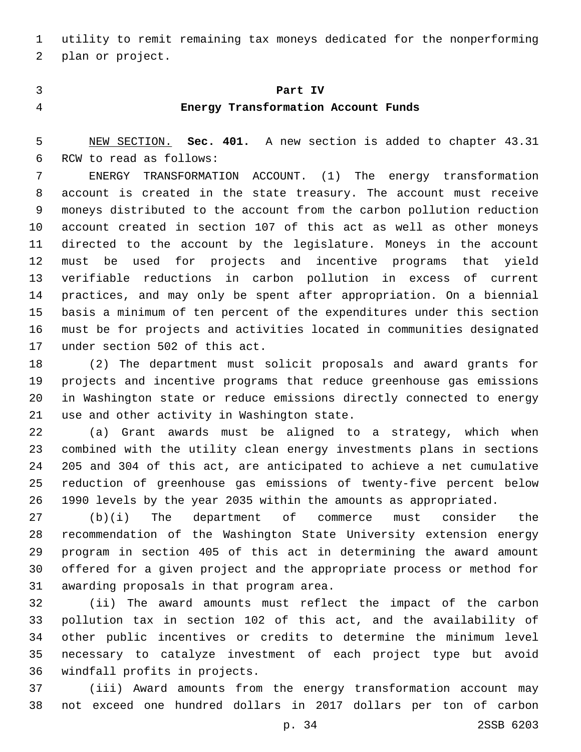utility to remit remaining tax moneys dedicated for the nonperforming 2 plan or project.

## **Part IV**

### **Energy Transformation Account Funds**

 NEW SECTION. **Sec. 401.** A new section is added to chapter 43.31 6 RCW to read as follows:

 ENERGY TRANSFORMATION ACCOUNT. (1) The energy transformation account is created in the state treasury. The account must receive moneys distributed to the account from the carbon pollution reduction account created in section 107 of this act as well as other moneys directed to the account by the legislature. Moneys in the account must be used for projects and incentive programs that yield verifiable reductions in carbon pollution in excess of current practices, and may only be spent after appropriation. On a biennial basis a minimum of ten percent of the expenditures under this section must be for projects and activities located in communities designated 17 under section 502 of this act.

 (2) The department must solicit proposals and award grants for projects and incentive programs that reduce greenhouse gas emissions in Washington state or reduce emissions directly connected to energy 21 use and other activity in Washington state.

 (a) Grant awards must be aligned to a strategy, which when combined with the utility clean energy investments plans in sections 205 and 304 of this act, are anticipated to achieve a net cumulative reduction of greenhouse gas emissions of twenty-five percent below 1990 levels by the year 2035 within the amounts as appropriated.

 (b)(i) The department of commerce must consider the recommendation of the Washington State University extension energy program in section 405 of this act in determining the award amount offered for a given project and the appropriate process or method for 31 awarding proposals in that program area.

 (ii) The award amounts must reflect the impact of the carbon pollution tax in section 102 of this act, and the availability of other public incentives or credits to determine the minimum level necessary to catalyze investment of each project type but avoid 36 windfall profits in projects.

 (iii) Award amounts from the energy transformation account may not exceed one hundred dollars in 2017 dollars per ton of carbon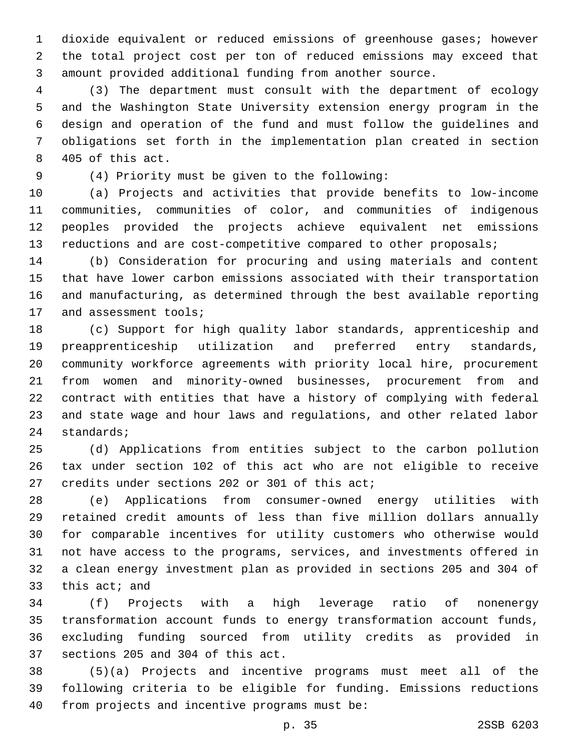dioxide equivalent or reduced emissions of greenhouse gases; however the total project cost per ton of reduced emissions may exceed that amount provided additional funding from another source.

 (3) The department must consult with the department of ecology and the Washington State University extension energy program in the design and operation of the fund and must follow the guidelines and obligations set forth in the implementation plan created in section 8 405 of this act.

(4) Priority must be given to the following:9

 (a) Projects and activities that provide benefits to low-income communities, communities of color, and communities of indigenous peoples provided the projects achieve equivalent net emissions 13 reductions and are cost-competitive compared to other proposals;

 (b) Consideration for procuring and using materials and content that have lower carbon emissions associated with their transportation and manufacturing, as determined through the best available reporting 17 and assessment tools;

 (c) Support for high quality labor standards, apprenticeship and preapprenticeship utilization and preferred entry standards, community workforce agreements with priority local hire, procurement from women and minority-owned businesses, procurement from and contract with entities that have a history of complying with federal and state wage and hour laws and regulations, and other related labor 24 standards;

 (d) Applications from entities subject to the carbon pollution tax under section 102 of this act who are not eligible to receive 27 credits under sections 202 or 301 of this act;

 (e) Applications from consumer-owned energy utilities with retained credit amounts of less than five million dollars annually for comparable incentives for utility customers who otherwise would not have access to the programs, services, and investments offered in a clean energy investment plan as provided in sections 205 and 304 of this act; and

 (f) Projects with a high leverage ratio of nonenergy transformation account funds to energy transformation account funds, excluding funding sourced from utility credits as provided in 37 sections 205 and 304 of this act.

 (5)(a) Projects and incentive programs must meet all of the following criteria to be eligible for funding. Emissions reductions from projects and incentive programs must be: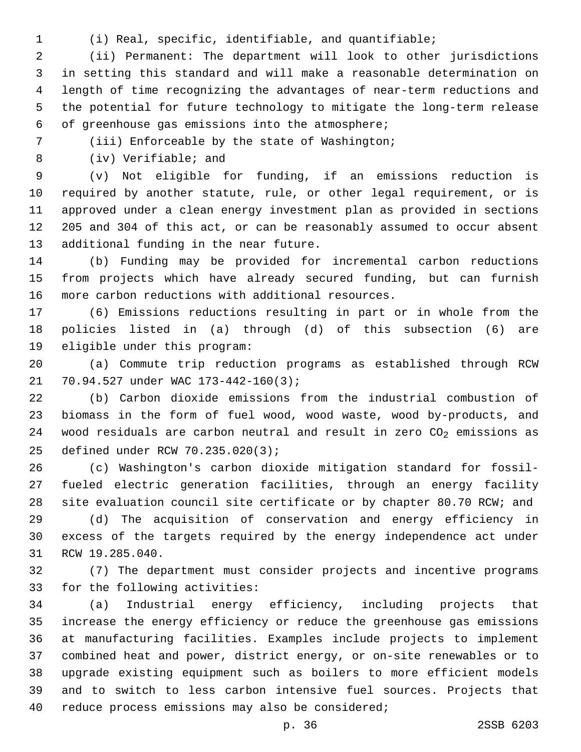- 
- (i) Real, specific, identifiable, and quantifiable;

 (ii) Permanent: The department will look to other jurisdictions in setting this standard and will make a reasonable determination on length of time recognizing the advantages of near-term reductions and the potential for future technology to mitigate the long-term release of greenhouse gas emissions into the atmosphere;6

(iii) Enforceable by the state of Washington;7

8 (iv) Verifiable; and

 (v) Not eligible for funding, if an emissions reduction is required by another statute, rule, or other legal requirement, or is approved under a clean energy investment plan as provided in sections 205 and 304 of this act, or can be reasonably assumed to occur absent 13 additional funding in the near future.

 (b) Funding may be provided for incremental carbon reductions from projects which have already secured funding, but can furnish 16 more carbon reductions with additional resources.

 (6) Emissions reductions resulting in part or in whole from the policies listed in (a) through (d) of this subsection (6) are 19 eligible under this program:

 (a) Commute trip reduction programs as established through RCW 21 70.94.527 under WAC 173-442-160(3);

 (b) Carbon dioxide emissions from the industrial combustion of biomass in the form of fuel wood, wood waste, wood by-products, and 24 wood residuals are carbon neutral and result in zero  $CO<sub>2</sub>$  emissions as defined under RCW 70.235.020(3);25

 (c) Washington's carbon dioxide mitigation standard for fossil- fueled electric generation facilities, through an energy facility site evaluation council site certificate or by chapter 80.70 RCW; and

 (d) The acquisition of conservation and energy efficiency in excess of the targets required by the energy independence act under 31 RCW 19.285.040.

 (7) The department must consider projects and incentive programs 33 for the following activities:

 (a) Industrial energy efficiency, including projects that increase the energy efficiency or reduce the greenhouse gas emissions at manufacturing facilities. Examples include projects to implement combined heat and power, district energy, or on-site renewables or to upgrade existing equipment such as boilers to more efficient models and to switch to less carbon intensive fuel sources. Projects that reduce process emissions may also be considered;40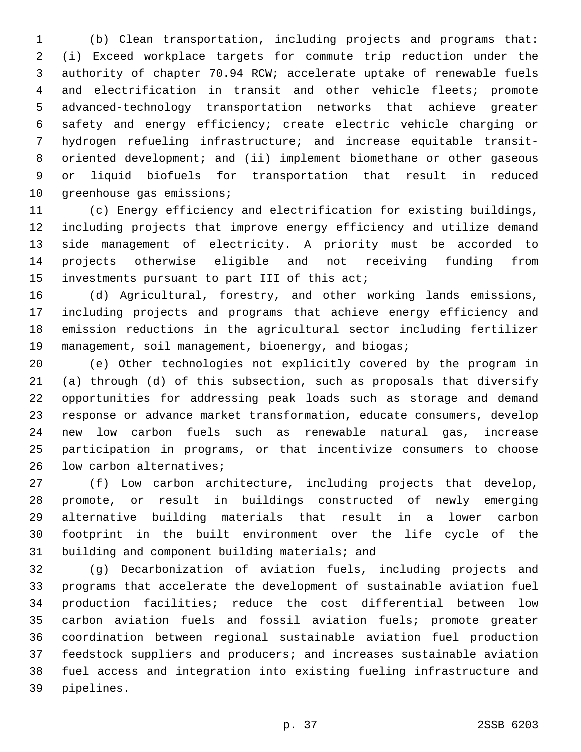(b) Clean transportation, including projects and programs that: (i) Exceed workplace targets for commute trip reduction under the authority of chapter 70.94 RCW; accelerate uptake of renewable fuels and electrification in transit and other vehicle fleets; promote advanced-technology transportation networks that achieve greater safety and energy efficiency; create electric vehicle charging or hydrogen refueling infrastructure; and increase equitable transit-8 oriented development; and (ii) implement biomethane or other gaseous or liquid biofuels for transportation that result in reduced 10 greenhouse gas emissions;

 (c) Energy efficiency and electrification for existing buildings, including projects that improve energy efficiency and utilize demand side management of electricity. A priority must be accorded to projects otherwise eligible and not receiving funding from 15 investments pursuant to part III of this act;

 (d) Agricultural, forestry, and other working lands emissions, including projects and programs that achieve energy efficiency and emission reductions in the agricultural sector including fertilizer 19 management, soil management, bioenergy, and biogas;

 (e) Other technologies not explicitly covered by the program in (a) through (d) of this subsection, such as proposals that diversify opportunities for addressing peak loads such as storage and demand response or advance market transformation, educate consumers, develop new low carbon fuels such as renewable natural gas, increase participation in programs, or that incentivize consumers to choose 26 low carbon alternatives;

 (f) Low carbon architecture, including projects that develop, promote, or result in buildings constructed of newly emerging alternative building materials that result in a lower carbon footprint in the built environment over the life cycle of the 31 building and component building materials; and

 (g) Decarbonization of aviation fuels, including projects and programs that accelerate the development of sustainable aviation fuel production facilities; reduce the cost differential between low carbon aviation fuels and fossil aviation fuels; promote greater coordination between regional sustainable aviation fuel production feedstock suppliers and producers; and increases sustainable aviation fuel access and integration into existing fueling infrastructure and 39 pipelines.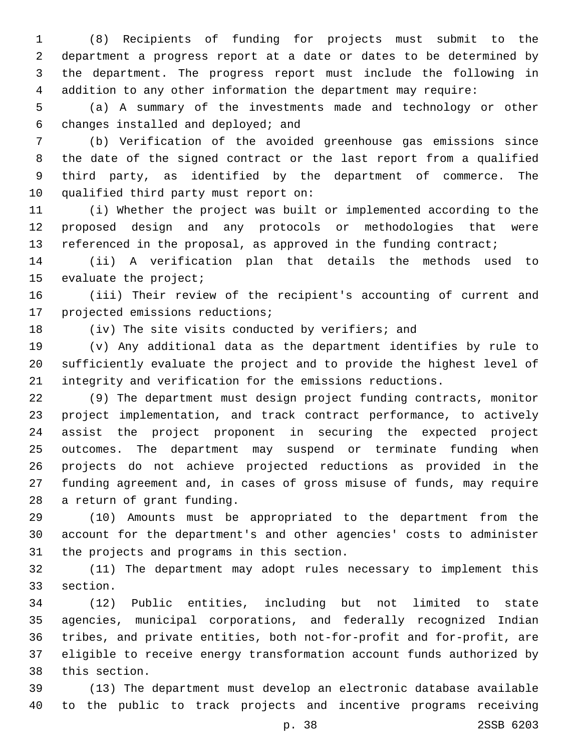(8) Recipients of funding for projects must submit to the department a progress report at a date or dates to be determined by the department. The progress report must include the following in addition to any other information the department may require:

 (a) A summary of the investments made and technology or other changes installed and deployed; and6

 (b) Verification of the avoided greenhouse gas emissions since the date of the signed contract or the last report from a qualified third party, as identified by the department of commerce. The 10 qualified third party must report on:

 (i) Whether the project was built or implemented according to the proposed design and any protocols or methodologies that were 13 referenced in the proposal, as approved in the funding contract;

 (ii) A verification plan that details the methods used to 15 evaluate the project;

 (iii) Their review of the recipient's accounting of current and 17 projected emissions reductions;

(iv) The site visits conducted by verifiers; and

 (v) Any additional data as the department identifies by rule to sufficiently evaluate the project and to provide the highest level of integrity and verification for the emissions reductions.

 (9) The department must design project funding contracts, monitor project implementation, and track contract performance, to actively assist the project proponent in securing the expected project outcomes. The department may suspend or terminate funding when projects do not achieve projected reductions as provided in the funding agreement and, in cases of gross misuse of funds, may require 28 a return of grant funding.

 (10) Amounts must be appropriated to the department from the account for the department's and other agencies' costs to administer 31 the projects and programs in this section.

 (11) The department may adopt rules necessary to implement this 33 section.

 (12) Public entities, including but not limited to state agencies, municipal corporations, and federally recognized Indian tribes, and private entities, both not-for-profit and for-profit, are eligible to receive energy transformation account funds authorized by 38 this section.

 (13) The department must develop an electronic database available to the public to track projects and incentive programs receiving

p. 38 2SSB 6203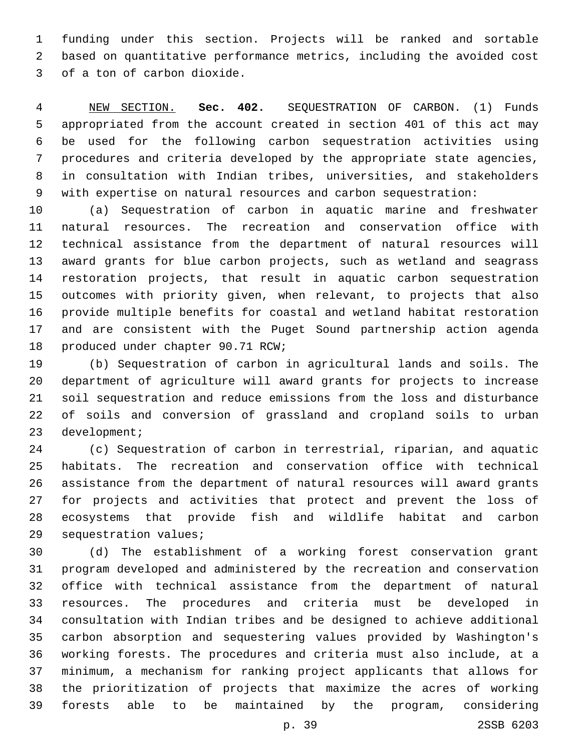funding under this section. Projects will be ranked and sortable based on quantitative performance metrics, including the avoided cost 3 of a ton of carbon dioxide.

 NEW SECTION. **Sec. 402.** SEQUESTRATION OF CARBON. (1) Funds appropriated from the account created in section 401 of this act may be used for the following carbon sequestration activities using procedures and criteria developed by the appropriate state agencies, in consultation with Indian tribes, universities, and stakeholders with expertise on natural resources and carbon sequestration:

 (a) Sequestration of carbon in aquatic marine and freshwater natural resources. The recreation and conservation office with technical assistance from the department of natural resources will award grants for blue carbon projects, such as wetland and seagrass restoration projects, that result in aquatic carbon sequestration outcomes with priority given, when relevant, to projects that also provide multiple benefits for coastal and wetland habitat restoration and are consistent with the Puget Sound partnership action agenda 18 produced under chapter 90.71 RCW;

 (b) Sequestration of carbon in agricultural lands and soils. The department of agriculture will award grants for projects to increase soil sequestration and reduce emissions from the loss and disturbance of soils and conversion of grassland and cropland soils to urban 23 development;

 (c) Sequestration of carbon in terrestrial, riparian, and aquatic habitats. The recreation and conservation office with technical assistance from the department of natural resources will award grants for projects and activities that protect and prevent the loss of ecosystems that provide fish and wildlife habitat and carbon 29 sequestration values;

 (d) The establishment of a working forest conservation grant program developed and administered by the recreation and conservation office with technical assistance from the department of natural resources. The procedures and criteria must be developed in consultation with Indian tribes and be designed to achieve additional carbon absorption and sequestering values provided by Washington's working forests. The procedures and criteria must also include, at a minimum, a mechanism for ranking project applicants that allows for the prioritization of projects that maximize the acres of working forests able to be maintained by the program, considering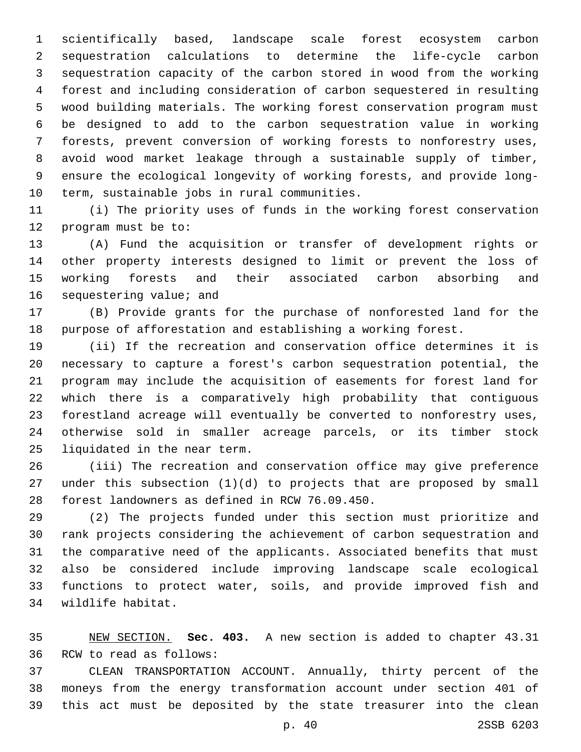scientifically based, landscape scale forest ecosystem carbon sequestration calculations to determine the life-cycle carbon sequestration capacity of the carbon stored in wood from the working forest and including consideration of carbon sequestered in resulting wood building materials. The working forest conservation program must be designed to add to the carbon sequestration value in working forests, prevent conversion of working forests to nonforestry uses, avoid wood market leakage through a sustainable supply of timber, ensure the ecological longevity of working forests, and provide long-10 term, sustainable jobs in rural communities.

 (i) The priority uses of funds in the working forest conservation 12 program must be to:

 (A) Fund the acquisition or transfer of development rights or other property interests designed to limit or prevent the loss of working forests and their associated carbon absorbing and 16 sequestering value; and

 (B) Provide grants for the purchase of nonforested land for the purpose of afforestation and establishing a working forest.

 (ii) If the recreation and conservation office determines it is necessary to capture a forest's carbon sequestration potential, the program may include the acquisition of easements for forest land for which there is a comparatively high probability that contiguous forestland acreage will eventually be converted to nonforestry uses, otherwise sold in smaller acreage parcels, or its timber stock 25 liquidated in the near term.

 (iii) The recreation and conservation office may give preference under this subsection (1)(d) to projects that are proposed by small 28 forest landowners as defined in RCW 76.09.450.

 (2) The projects funded under this section must prioritize and rank projects considering the achievement of carbon sequestration and the comparative need of the applicants. Associated benefits that must also be considered include improving landscape scale ecological functions to protect water, soils, and provide improved fish and 34 wildlife habitat.

 NEW SECTION. **Sec. 403.** A new section is added to chapter 43.31 36 RCW to read as follows:

 CLEAN TRANSPORTATION ACCOUNT. Annually, thirty percent of the moneys from the energy transformation account under section 401 of this act must be deposited by the state treasurer into the clean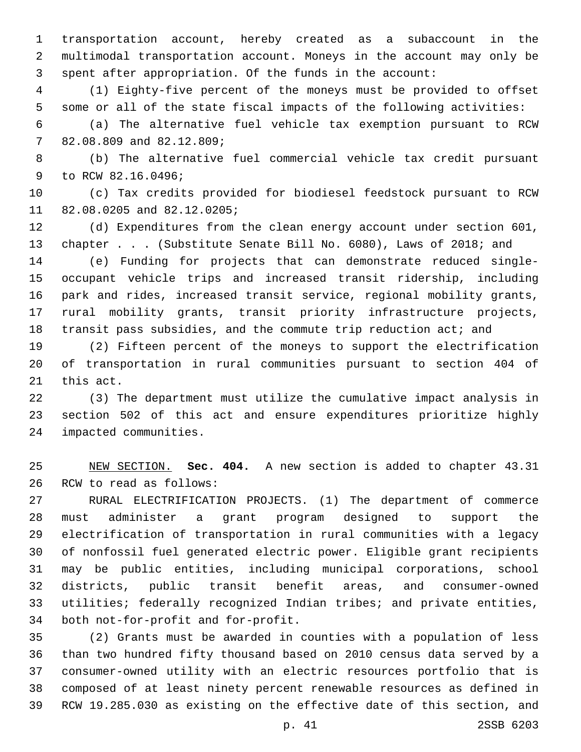transportation account, hereby created as a subaccount in the multimodal transportation account. Moneys in the account may only be spent after appropriation. Of the funds in the account:

 (1) Eighty-five percent of the moneys must be provided to offset some or all of the state fiscal impacts of the following activities:

 (a) The alternative fuel vehicle tax exemption pursuant to RCW 7 82.08.809 and 82.12.809;

 (b) The alternative fuel commercial vehicle tax credit pursuant 9 to RCW 82.16.0496;

 (c) Tax credits provided for biodiesel feedstock pursuant to RCW 11 82.08.0205 and 82.12.0205;

 (d) Expenditures from the clean energy account under section 601, 13 chapter . . . (Substitute Senate Bill No. 6080), Laws of 2018; and

 (e) Funding for projects that can demonstrate reduced single- occupant vehicle trips and increased transit ridership, including park and rides, increased transit service, regional mobility grants, rural mobility grants, transit priority infrastructure projects, transit pass subsidies, and the commute trip reduction act; and

 (2) Fifteen percent of the moneys to support the electrification of transportation in rural communities pursuant to section 404 of 21 this act.

 (3) The department must utilize the cumulative impact analysis in section 502 of this act and ensure expenditures prioritize highly 24 impacted communities.

 NEW SECTION. **Sec. 404.** A new section is added to chapter 43.31 26 RCW to read as follows:

 RURAL ELECTRIFICATION PROJECTS. (1) The department of commerce must administer a grant program designed to support the electrification of transportation in rural communities with a legacy of nonfossil fuel generated electric power. Eligible grant recipients may be public entities, including municipal corporations, school districts, public transit benefit areas, and consumer-owned utilities; federally recognized Indian tribes; and private entities, 34 both not-for-profit and for-profit.

 (2) Grants must be awarded in counties with a population of less than two hundred fifty thousand based on 2010 census data served by a consumer-owned utility with an electric resources portfolio that is composed of at least ninety percent renewable resources as defined in RCW 19.285.030 as existing on the effective date of this section, and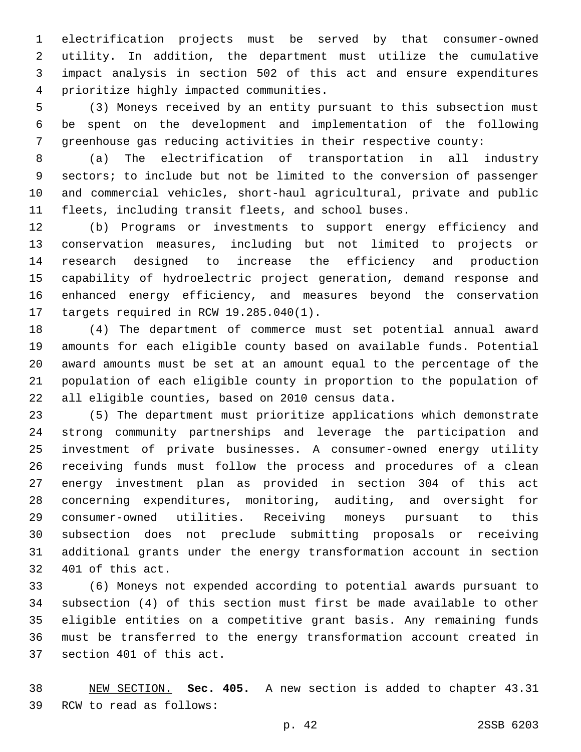electrification projects must be served by that consumer-owned utility. In addition, the department must utilize the cumulative impact analysis in section 502 of this act and ensure expenditures prioritize highly impacted communities.4

 (3) Moneys received by an entity pursuant to this subsection must be spent on the development and implementation of the following greenhouse gas reducing activities in their respective county:

 (a) The electrification of transportation in all industry sectors; to include but not be limited to the conversion of passenger and commercial vehicles, short-haul agricultural, private and public fleets, including transit fleets, and school buses.

 (b) Programs or investments to support energy efficiency and conservation measures, including but not limited to projects or research designed to increase the efficiency and production capability of hydroelectric project generation, demand response and enhanced energy efficiency, and measures beyond the conservation 17 targets required in RCW 19.285.040(1).

 (4) The department of commerce must set potential annual award amounts for each eligible county based on available funds. Potential award amounts must be set at an amount equal to the percentage of the population of each eligible county in proportion to the population of 22 all eligible counties, based on 2010 census data.

 (5) The department must prioritize applications which demonstrate strong community partnerships and leverage the participation and investment of private businesses. A consumer-owned energy utility receiving funds must follow the process and procedures of a clean energy investment plan as provided in section 304 of this act concerning expenditures, monitoring, auditing, and oversight for consumer-owned utilities. Receiving moneys pursuant to this subsection does not preclude submitting proposals or receiving additional grants under the energy transformation account in section 32 401 of this act.

 (6) Moneys not expended according to potential awards pursuant to subsection (4) of this section must first be made available to other eligible entities on a competitive grant basis. Any remaining funds must be transferred to the energy transformation account created in 37 section 401 of this act.

 NEW SECTION. **Sec. 405.** A new section is added to chapter 43.31 39 RCW to read as follows: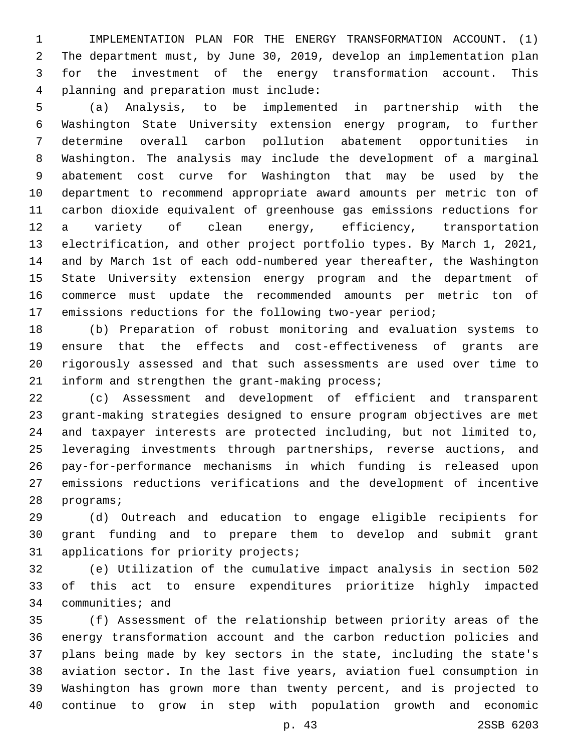IMPLEMENTATION PLAN FOR THE ENERGY TRANSFORMATION ACCOUNT. (1) The department must, by June 30, 2019, develop an implementation plan for the investment of the energy transformation account. This planning and preparation must include:4

 (a) Analysis, to be implemented in partnership with the Washington State University extension energy program, to further determine overall carbon pollution abatement opportunities in Washington. The analysis may include the development of a marginal abatement cost curve for Washington that may be used by the department to recommend appropriate award amounts per metric ton of carbon dioxide equivalent of greenhouse gas emissions reductions for a variety of clean energy, efficiency, transportation electrification, and other project portfolio types. By March 1, 2021, and by March 1st of each odd-numbered year thereafter, the Washington State University extension energy program and the department of commerce must update the recommended amounts per metric ton of emissions reductions for the following two-year period;

 (b) Preparation of robust monitoring and evaluation systems to ensure that the effects and cost-effectiveness of grants are rigorously assessed and that such assessments are used over time to 21 inform and strengthen the grant-making process;

 (c) Assessment and development of efficient and transparent grant-making strategies designed to ensure program objectives are met and taxpayer interests are protected including, but not limited to, leveraging investments through partnerships, reverse auctions, and pay-for-performance mechanisms in which funding is released upon emissions reductions verifications and the development of incentive 28 programs;

 (d) Outreach and education to engage eligible recipients for grant funding and to prepare them to develop and submit grant 31 applications for priority projects;

 (e) Utilization of the cumulative impact analysis in section 502 of this act to ensure expenditures prioritize highly impacted 34 communities; and

 (f) Assessment of the relationship between priority areas of the energy transformation account and the carbon reduction policies and plans being made by key sectors in the state, including the state's aviation sector. In the last five years, aviation fuel consumption in Washington has grown more than twenty percent, and is projected to continue to grow in step with population growth and economic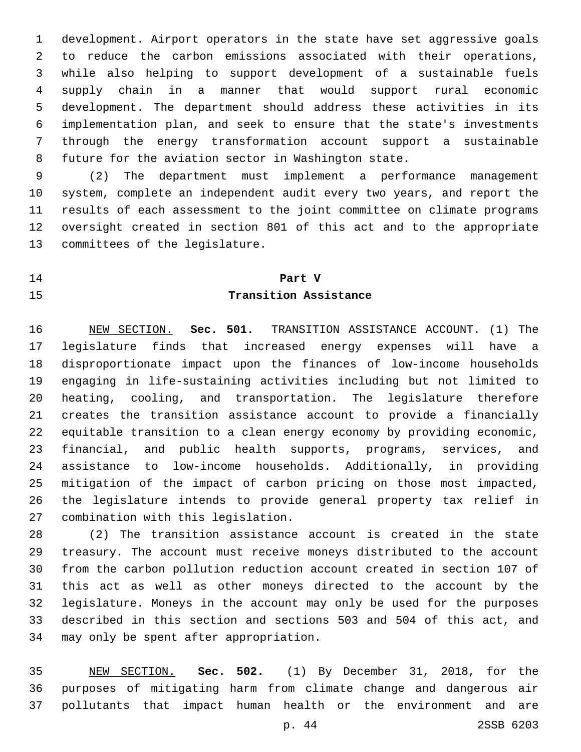development. Airport operators in the state have set aggressive goals to reduce the carbon emissions associated with their operations, while also helping to support development of a sustainable fuels supply chain in a manner that would support rural economic development. The department should address these activities in its implementation plan, and seek to ensure that the state's investments through the energy transformation account support a sustainable future for the aviation sector in Washington state.

 (2) The department must implement a performance management system, complete an independent audit every two years, and report the results of each assessment to the joint committee on climate programs oversight created in section 801 of this act and to the appropriate 13 committees of the legislature.

# **Part V Transition Assistance**

 NEW SECTION. **Sec. 501.** TRANSITION ASSISTANCE ACCOUNT. (1) The legislature finds that increased energy expenses will have a disproportionate impact upon the finances of low-income households engaging in life-sustaining activities including but not limited to heating, cooling, and transportation. The legislature therefore creates the transition assistance account to provide a financially equitable transition to a clean energy economy by providing economic, financial, and public health supports, programs, services, and assistance to low-income households. Additionally, in providing mitigation of the impact of carbon pricing on those most impacted, the legislature intends to provide general property tax relief in combination with this legislation.

 (2) The transition assistance account is created in the state treasury. The account must receive moneys distributed to the account from the carbon pollution reduction account created in section 107 of this act as well as other moneys directed to the account by the legislature. Moneys in the account may only be used for the purposes described in this section and sections 503 and 504 of this act, and 34 may only be spent after appropriation.

 NEW SECTION. **Sec. 502.** (1) By December 31, 2018, for the purposes of mitigating harm from climate change and dangerous air pollutants that impact human health or the environment and are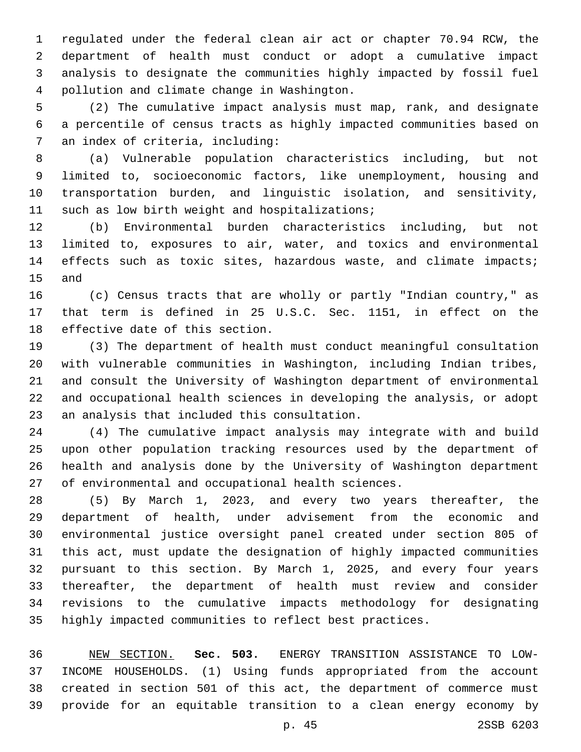regulated under the federal clean air act or chapter 70.94 RCW, the department of health must conduct or adopt a cumulative impact analysis to designate the communities highly impacted by fossil fuel 4 pollution and climate change in Washington.

 (2) The cumulative impact analysis must map, rank, and designate a percentile of census tracts as highly impacted communities based on 7 an index of criteria, including:

 (a) Vulnerable population characteristics including, but not limited to, socioeconomic factors, like unemployment, housing and transportation burden, and linguistic isolation, and sensitivity, 11 such as low birth weight and hospitalizations;

 (b) Environmental burden characteristics including, but not limited to, exposures to air, water, and toxics and environmental 14 effects such as toxic sites, hazardous waste, and climate impacts; 15 and

 (c) Census tracts that are wholly or partly "Indian country," as that term is defined in 25 U.S.C. Sec. 1151, in effect on the 18 effective date of this section.

 (3) The department of health must conduct meaningful consultation with vulnerable communities in Washington, including Indian tribes, and consult the University of Washington department of environmental and occupational health sciences in developing the analysis, or adopt 23 an analysis that included this consultation.

 (4) The cumulative impact analysis may integrate with and build upon other population tracking resources used by the department of health and analysis done by the University of Washington department of environmental and occupational health sciences.

 (5) By March 1, 2023, and every two years thereafter, the department of health, under advisement from the economic and environmental justice oversight panel created under section 805 of this act, must update the designation of highly impacted communities pursuant to this section. By March 1, 2025, and every four years thereafter, the department of health must review and consider revisions to the cumulative impacts methodology for designating highly impacted communities to reflect best practices.

 NEW SECTION. **Sec. 503.** ENERGY TRANSITION ASSISTANCE TO LOW- INCOME HOUSEHOLDS. (1) Using funds appropriated from the account created in section 501 of this act, the department of commerce must provide for an equitable transition to a clean energy economy by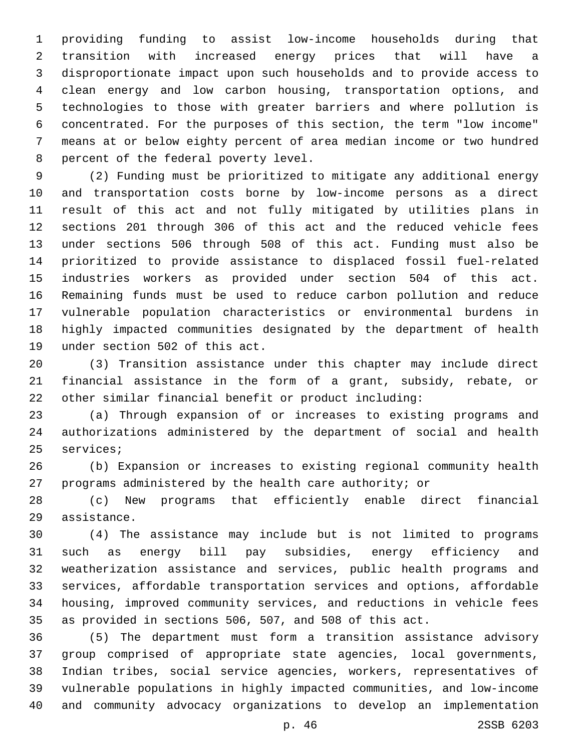providing funding to assist low-income households during that transition with increased energy prices that will have a disproportionate impact upon such households and to provide access to clean energy and low carbon housing, transportation options, and technologies to those with greater barriers and where pollution is concentrated. For the purposes of this section, the term "low income" means at or below eighty percent of area median income or two hundred 8 percent of the federal poverty level.

 (2) Funding must be prioritized to mitigate any additional energy and transportation costs borne by low-income persons as a direct result of this act and not fully mitigated by utilities plans in sections 201 through 306 of this act and the reduced vehicle fees under sections 506 through 508 of this act. Funding must also be prioritized to provide assistance to displaced fossil fuel-related industries workers as provided under section 504 of this act. Remaining funds must be used to reduce carbon pollution and reduce vulnerable population characteristics or environmental burdens in highly impacted communities designated by the department of health 19 under section 502 of this act.

 (3) Transition assistance under this chapter may include direct financial assistance in the form of a grant, subsidy, rebate, or other similar financial benefit or product including:

 (a) Through expansion of or increases to existing programs and authorizations administered by the department of social and health 25 services;

 (b) Expansion or increases to existing regional community health programs administered by the health care authority; or

 (c) New programs that efficiently enable direct financial 29 assistance.

 (4) The assistance may include but is not limited to programs such as energy bill pay subsidies, energy efficiency and weatherization assistance and services, public health programs and services, affordable transportation services and options, affordable housing, improved community services, and reductions in vehicle fees as provided in sections 506, 507, and 508 of this act.

 (5) The department must form a transition assistance advisory group comprised of appropriate state agencies, local governments, Indian tribes, social service agencies, workers, representatives of vulnerable populations in highly impacted communities, and low-income and community advocacy organizations to develop an implementation

p. 46 2SSB 6203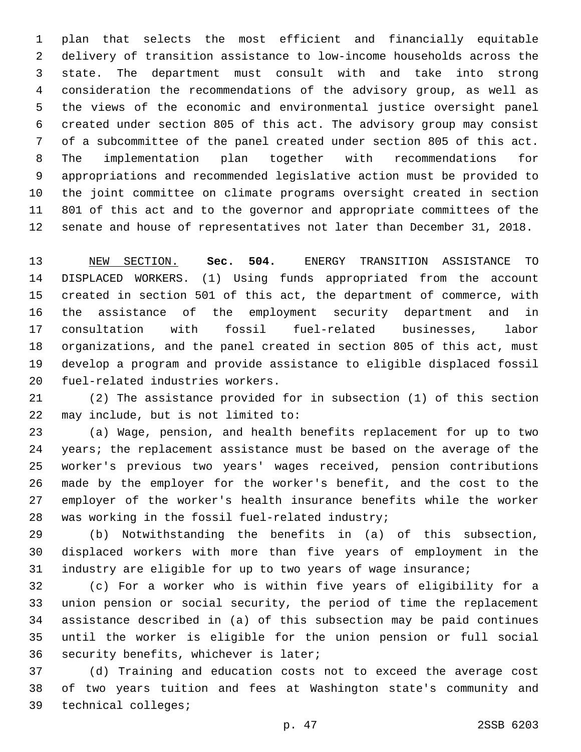plan that selects the most efficient and financially equitable delivery of transition assistance to low-income households across the state. The department must consult with and take into strong consideration the recommendations of the advisory group, as well as the views of the economic and environmental justice oversight panel created under section 805 of this act. The advisory group may consist of a subcommittee of the panel created under section 805 of this act. The implementation plan together with recommendations for appropriations and recommended legislative action must be provided to the joint committee on climate programs oversight created in section 801 of this act and to the governor and appropriate committees of the senate and house of representatives not later than December 31, 2018.

 NEW SECTION. **Sec. 504.** ENERGY TRANSITION ASSISTANCE TO DISPLACED WORKERS. (1) Using funds appropriated from the account created in section 501 of this act, the department of commerce, with the assistance of the employment security department and in consultation with fossil fuel-related businesses, labor organizations, and the panel created in section 805 of this act, must develop a program and provide assistance to eligible displaced fossil fuel-related industries workers.

 (2) The assistance provided for in subsection (1) of this section 22 may include, but is not limited to:

 (a) Wage, pension, and health benefits replacement for up to two years; the replacement assistance must be based on the average of the worker's previous two years' wages received, pension contributions made by the employer for the worker's benefit, and the cost to the employer of the worker's health insurance benefits while the worker 28 was working in the fossil fuel-related industry;

 (b) Notwithstanding the benefits in (a) of this subsection, displaced workers with more than five years of employment in the industry are eligible for up to two years of wage insurance;

 (c) For a worker who is within five years of eligibility for a union pension or social security, the period of time the replacement assistance described in (a) of this subsection may be paid continues until the worker is eligible for the union pension or full social 36 security benefits, whichever is later;

 (d) Training and education costs not to exceed the average cost of two years tuition and fees at Washington state's community and 39 technical colleges;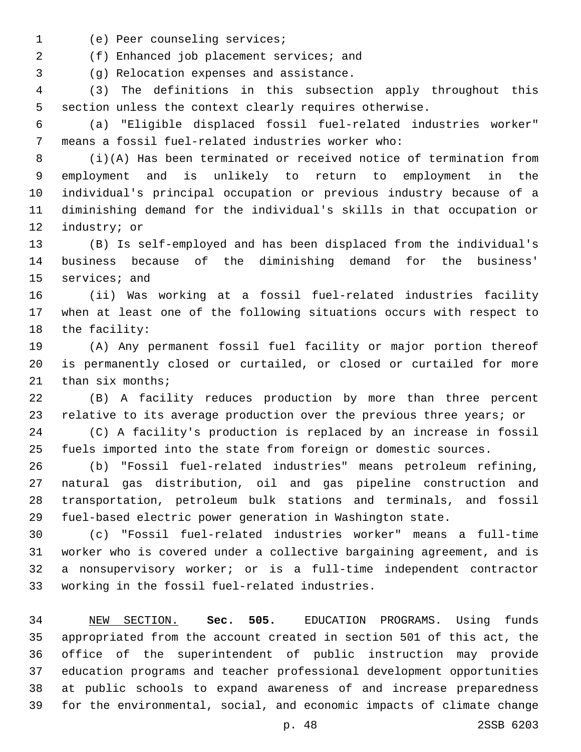- 1 (e) Peer counseling services;
- (f) Enhanced job placement services; and2

(g) Relocation expenses and assistance.3

 (3) The definitions in this subsection apply throughout this section unless the context clearly requires otherwise.

 (a) "Eligible displaced fossil fuel-related industries worker" means a fossil fuel-related industries worker who:7

 (i)(A) Has been terminated or received notice of termination from employment and is unlikely to return to employment in the individual's principal occupation or previous industry because of a diminishing demand for the individual's skills in that occupation or 12 industry; or

 (B) Is self-employed and has been displaced from the individual's business because of the diminishing demand for the business' 15 services; and

 (ii) Was working at a fossil fuel-related industries facility when at least one of the following situations occurs with respect to 18 the facility:

 (A) Any permanent fossil fuel facility or major portion thereof is permanently closed or curtailed, or closed or curtailed for more than six months;

 (B) A facility reduces production by more than three percent 23 relative to its average production over the previous three years; or

 (C) A facility's production is replaced by an increase in fossil fuels imported into the state from foreign or domestic sources.

 (b) "Fossil fuel-related industries" means petroleum refining, natural gas distribution, oil and gas pipeline construction and transportation, petroleum bulk stations and terminals, and fossil fuel-based electric power generation in Washington state.

 (c) "Fossil fuel-related industries worker" means a full-time worker who is covered under a collective bargaining agreement, and is a nonsupervisory worker; or is a full-time independent contractor 33 working in the fossil fuel-related industries.

 NEW SECTION. **Sec. 505.** EDUCATION PROGRAMS. Using funds appropriated from the account created in section 501 of this act, the office of the superintendent of public instruction may provide education programs and teacher professional development opportunities at public schools to expand awareness of and increase preparedness for the environmental, social, and economic impacts of climate change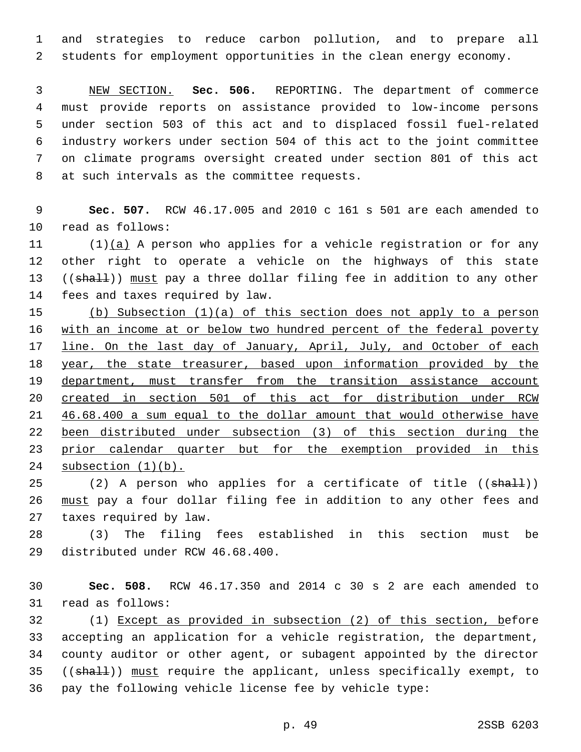and strategies to reduce carbon pollution, and to prepare all students for employment opportunities in the clean energy economy.

 NEW SECTION. **Sec. 506.** REPORTING. The department of commerce must provide reports on assistance provided to low-income persons under section 503 of this act and to displaced fossil fuel-related industry workers under section 504 of this act to the joint committee on climate programs oversight created under section 801 of this act at such intervals as the committee requests.

 **Sec. 507.** RCW 46.17.005 and 2010 c 161 s 501 are each amended to 10 read as follows:

11  $(1)(a)$  A person who applies for a vehicle registration or for any other right to operate a vehicle on the highways of this state 13 ((shall)) must pay a three dollar filing fee in addition to any other 14 fees and taxes required by law.

 (b) Subsection (1)(a) of this section does not apply to a person with an income at or below two hundred percent of the federal poverty 17 line. On the last day of January, April, July, and October of each year, the state treasurer, based upon information provided by the 19 department, must transfer from the transition assistance account created in section 501 of this act for distribution under RCW 46.68.400 a sum equal to the dollar amount that would otherwise have been distributed under subsection (3) of this section during the prior calendar quarter but for the exemption provided in this subsection (1)(b).

25 (2) A person who applies for a certificate of title ((shall)) must pay a four dollar filing fee in addition to any other fees and 27 taxes required by law.

 (3) The filing fees established in this section must be 29 distributed under RCW 46.68.400.

 **Sec. 508.** RCW 46.17.350 and 2014 c 30 s 2 are each amended to 31 read as follows:

 (1) Except as provided in subsection (2) of this section, before accepting an application for a vehicle registration, the department, county auditor or other agent, or subagent appointed by the director 35 ((shall)) must require the applicant, unless specifically exempt, to pay the following vehicle license fee by vehicle type: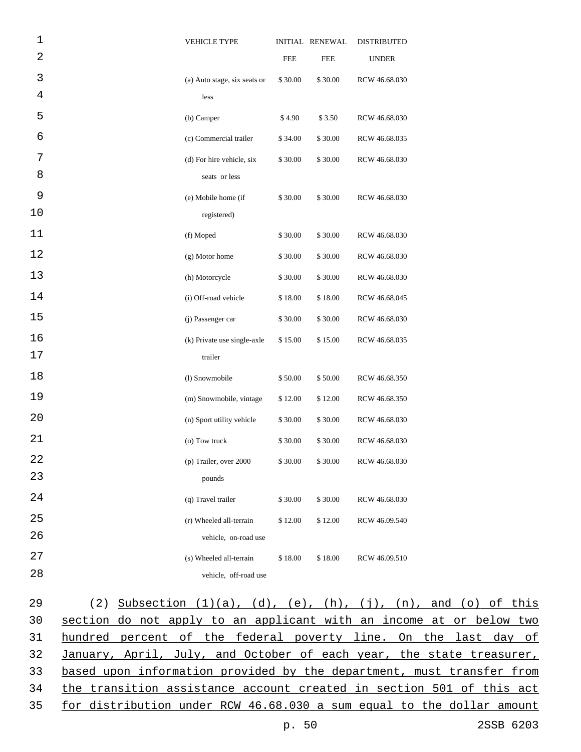| 1              | <b>VEHICLE TYPE</b>          |            | INITIAL RENEWAL | <b>DISTRIBUTED</b> |
|----------------|------------------------------|------------|-----------------|--------------------|
| $\overline{a}$ |                              | <b>FEE</b> | <b>FEE</b>      | <b>UNDER</b>       |
| 3              | (a) Auto stage, six seats or | \$30.00    | \$30.00         | RCW 46.68.030      |
| $\overline{4}$ | less                         |            |                 |                    |
| 5              | (b) Camper                   | \$4.90     | \$3.50          | RCW 46.68.030      |
| 6              | (c) Commercial trailer       | \$34.00    | \$30.00         | RCW 46.68.035      |
| 7              | (d) For hire vehicle, six    | \$30.00    | \$30.00         | RCW 46.68.030      |
| 8              | seats or less                |            |                 |                    |
| 9              | (e) Mobile home (if          | \$30.00    | \$30.00         | RCW 46.68.030      |
| 10             | registered)                  |            |                 |                    |
| 11             | (f) Moped                    | \$30.00    | \$30.00         | RCW 46.68.030      |
| 12             | (g) Motor home               | \$30.00    | \$30.00         | RCW 46.68.030      |
| 13             | (h) Motorcycle               | \$30.00    | \$30.00         | RCW 46.68.030      |
| 14             | (i) Off-road vehicle         | \$18.00    | \$18.00         | RCW 46.68.045      |
| 15             | (j) Passenger car            | \$30.00    | \$30.00         | RCW 46.68.030      |
| 16             | (k) Private use single-axle  | \$15.00    | \$15.00         | RCW 46.68.035      |
| 17             | trailer                      |            |                 |                    |
| 18             | (l) Snowmobile               | \$50.00    | \$50.00         | RCW 46.68.350      |
| 19             | (m) Snowmobile, vintage      | \$12.00    | \$12.00         | RCW 46.68.350      |
| 20             | (n) Sport utility vehicle    | \$30.00    | \$30.00         | RCW 46.68.030      |
| 21             | (o) Tow truck                | \$30.00    | \$30.00         | RCW 46.68.030      |
| 22             | (p) Trailer, over 2000       | \$30.00    | \$30.00         | RCW 46.68.030      |
| 23             | pounds                       |            |                 |                    |
| 24             | (q) Travel trailer           | \$30.00    | \$30.00         | RCW 46.68.030      |
| 25             | (r) Wheeled all-terrain      | \$12.00    | \$12.00         | RCW 46.09.540      |
| 26             | vehicle, on-road use         |            |                 |                    |
| 27             | (s) Wheeled all-terrain      | \$18.00    | \$18.00         | RCW 46.09.510      |
| 28             | vehicle, off-road use        |            |                 |                    |

| 29              | (2) Subsection $(1)(a)$ , $(d)$ , $(e)$ , $(h)$ , $(j)$ , $(n)$ , and $(o)$ of this |
|-----------------|-------------------------------------------------------------------------------------|
| 30              | section do not apply to an applicant with an income at or below two                 |
| 31              | hundred percent of the federal poverty line. On the last day of                     |
| 32 <sup>°</sup> | January, April, July, and October of each year, the state treasurer,                |
| 33              | based upon information provided by the department, must transfer from               |
| 34              | the transition assistance account created in section 501 of this act                |
|                 | 35 for distribution under RCW 46.68.030 a sum equal to the dollar amount            |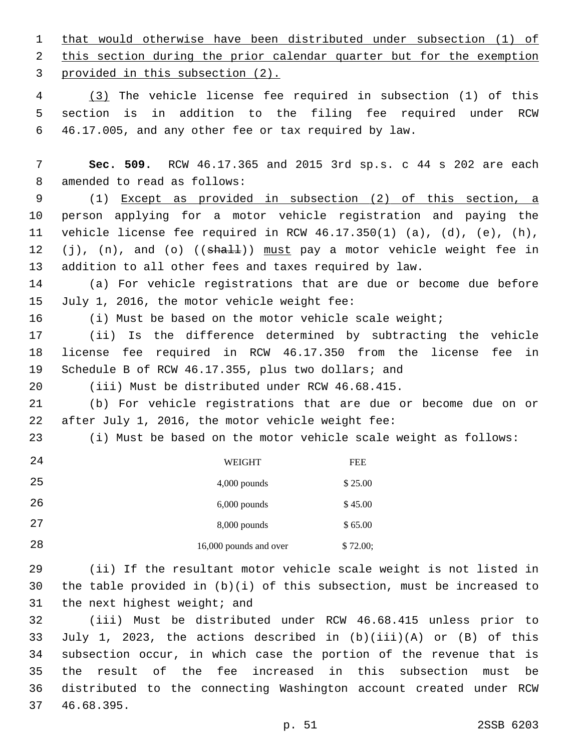that would otherwise have been distributed under subsection (1) of 2 this section during the prior calendar quarter but for the exemption 3 provided in this subsection (2).

 (3) The vehicle license fee required in subsection (1) of this section is in addition to the filing fee required under RCW 46.17.005, and any other fee or tax required by law.

 **Sec. 509.** RCW 46.17.365 and 2015 3rd sp.s. c 44 s 202 are each 8 amended to read as follows:

 (1) Except as provided in subsection (2) of this section, a person applying for a motor vehicle registration and paying the vehicle license fee required in RCW 46.17.350(1) (a), (d), (e), (h), 12 (j), (n), and (o) ((shall)) must pay a motor vehicle weight fee in addition to all other fees and taxes required by law.

 (a) For vehicle registrations that are due or become due before 15 July 1, 2016, the motor vehicle weight fee:

16 (i) Must be based on the motor vehicle scale weight;

 (ii) Is the difference determined by subtracting the vehicle license fee required in RCW 46.17.350 from the license fee in Schedule B of RCW 46.17.355, plus two dollars; and

(iii) Must be distributed under RCW 46.68.415.

 (b) For vehicle registrations that are due or become due on or 22 after July 1, 2016, the motor vehicle weight fee:

(i) Must be based on the motor vehicle scale weight as follows:

| 24 | WEIGHT                 | <b>FEE</b> |
|----|------------------------|------------|
| 25 | $4,000$ pounds         | \$25.00    |
| 26 | $6,000$ pounds         | \$45.00    |
| 27 | $8,000$ pounds         | \$65.00    |
| 28 | 16,000 pounds and over | \$72.00;   |

 (ii) If the resultant motor vehicle scale weight is not listed in the table provided in (b)(i) of this subsection, must be increased to the next highest weight; and

 (iii) Must be distributed under RCW 46.68.415 unless prior to July 1, 2023, the actions described in (b)(iii)(A) or (B) of this subsection occur, in which case the portion of the revenue that is the result of the fee increased in this subsection must be distributed to the connecting Washington account created under RCW 37 46.68.395.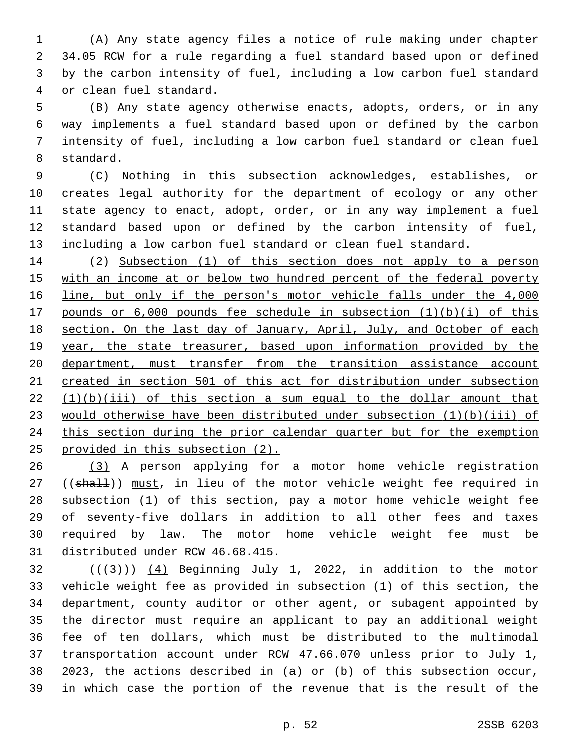(A) Any state agency files a notice of rule making under chapter 34.05 RCW for a rule regarding a fuel standard based upon or defined by the carbon intensity of fuel, including a low carbon fuel standard 4 or clean fuel standard.

 (B) Any state agency otherwise enacts, adopts, orders, or in any way implements a fuel standard based upon or defined by the carbon intensity of fuel, including a low carbon fuel standard or clean fuel 8 standard.

 (C) Nothing in this subsection acknowledges, establishes, or creates legal authority for the department of ecology or any other state agency to enact, adopt, order, or in any way implement a fuel standard based upon or defined by the carbon intensity of fuel, including a low carbon fuel standard or clean fuel standard.

 (2) Subsection (1) of this section does not apply to a person 15 with an income at or below two hundred percent of the federal poverty line, but only if the person's motor vehicle falls under the 4,000 pounds or 6,000 pounds fee schedule in subsection (1)(b)(i) of this 18 section. On the last day of January, April, July, and October of each year, the state treasurer, based upon information provided by the department, must transfer from the transition assistance account created in section 501 of this act for distribution under subsection  $(1)(b)(iii)$  of this section a sum equal to the dollar amount that would otherwise have been distributed under subsection (1)(b)(iii) of this section during the prior calendar quarter but for the exemption provided in this subsection (2).

 (3) A person applying for a motor home vehicle registration 27 ((shall)) must, in lieu of the motor vehicle weight fee required in subsection (1) of this section, pay a motor home vehicle weight fee of seventy-five dollars in addition to all other fees and taxes required by law. The motor home vehicle weight fee must be 31 distributed under RCW 46.68.415.

 ( $(\frac{43}{})$ ) (4) Beginning July 1, 2022, in addition to the motor vehicle weight fee as provided in subsection (1) of this section, the department, county auditor or other agent, or subagent appointed by the director must require an applicant to pay an additional weight fee of ten dollars, which must be distributed to the multimodal transportation account under RCW 47.66.070 unless prior to July 1, 2023, the actions described in (a) or (b) of this subsection occur, in which case the portion of the revenue that is the result of the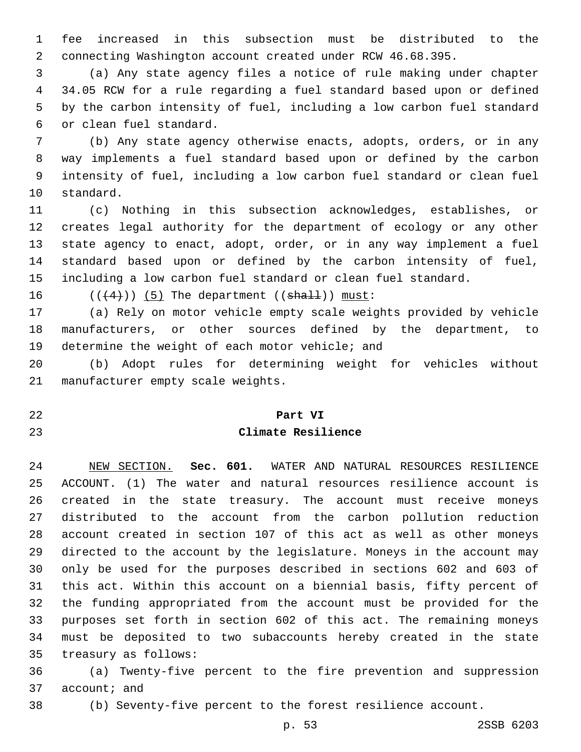fee increased in this subsection must be distributed to the connecting Washington account created under RCW 46.68.395.

 (a) Any state agency files a notice of rule making under chapter 34.05 RCW for a rule regarding a fuel standard based upon or defined by the carbon intensity of fuel, including a low carbon fuel standard or clean fuel standard.6

 (b) Any state agency otherwise enacts, adopts, orders, or in any way implements a fuel standard based upon or defined by the carbon intensity of fuel, including a low carbon fuel standard or clean fuel 10 standard.

 (c) Nothing in this subsection acknowledges, establishes, or creates legal authority for the department of ecology or any other state agency to enact, adopt, order, or in any way implement a fuel standard based upon or defined by the carbon intensity of fuel, including a low carbon fuel standard or clean fuel standard.

16  $((+4))$   $(5)$  The department  $((shall))$  must:

 (a) Rely on motor vehicle empty scale weights provided by vehicle manufacturers, or other sources defined by the department, to 19 determine the weight of each motor vehicle; and

 (b) Adopt rules for determining weight for vehicles without 21 manufacturer empty scale weights.

#### **Part VI**

#### **Climate Resilience**

 NEW SECTION. **Sec. 601.** WATER AND NATURAL RESOURCES RESILIENCE ACCOUNT. (1) The water and natural resources resilience account is created in the state treasury. The account must receive moneys distributed to the account from the carbon pollution reduction account created in section 107 of this act as well as other moneys directed to the account by the legislature. Moneys in the account may only be used for the purposes described in sections 602 and 603 of this act. Within this account on a biennial basis, fifty percent of the funding appropriated from the account must be provided for the purposes set forth in section 602 of this act. The remaining moneys must be deposited to two subaccounts hereby created in the state treasury as follows:

 (a) Twenty-five percent to the fire prevention and suppression 37 account; and

(b) Seventy-five percent to the forest resilience account.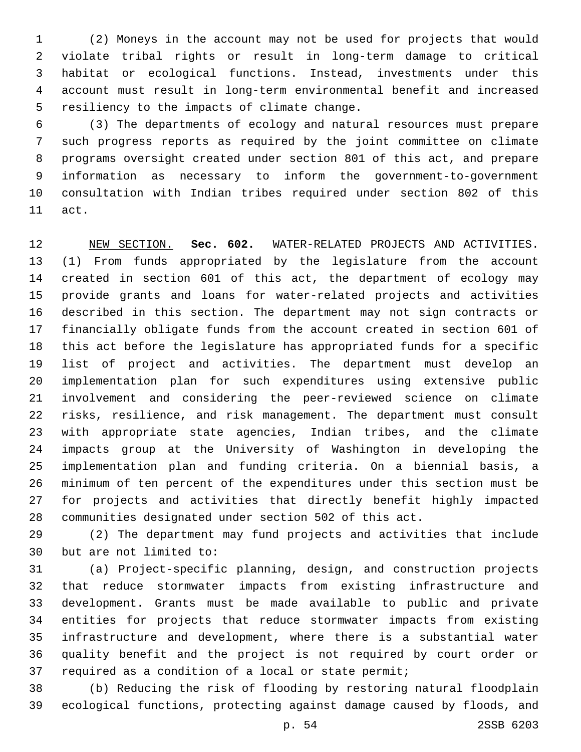(2) Moneys in the account may not be used for projects that would violate tribal rights or result in long-term damage to critical habitat or ecological functions. Instead, investments under this account must result in long-term environmental benefit and increased 5 resiliency to the impacts of climate change.

 (3) The departments of ecology and natural resources must prepare such progress reports as required by the joint committee on climate programs oversight created under section 801 of this act, and prepare information as necessary to inform the government-to-government consultation with Indian tribes required under section 802 of this 11 act.

 NEW SECTION. **Sec. 602.** WATER-RELATED PROJECTS AND ACTIVITIES. (1) From funds appropriated by the legislature from the account created in section 601 of this act, the department of ecology may provide grants and loans for water-related projects and activities described in this section. The department may not sign contracts or financially obligate funds from the account created in section 601 of this act before the legislature has appropriated funds for a specific list of project and activities. The department must develop an implementation plan for such expenditures using extensive public involvement and considering the peer-reviewed science on climate risks, resilience, and risk management. The department must consult with appropriate state agencies, Indian tribes, and the climate impacts group at the University of Washington in developing the implementation plan and funding criteria. On a biennial basis, a minimum of ten percent of the expenditures under this section must be for projects and activities that directly benefit highly impacted communities designated under section 502 of this act.

 (2) The department may fund projects and activities that include 30 but are not limited to:

 (a) Project-specific planning, design, and construction projects that reduce stormwater impacts from existing infrastructure and development. Grants must be made available to public and private entities for projects that reduce stormwater impacts from existing infrastructure and development, where there is a substantial water quality benefit and the project is not required by court order or required as a condition of a local or state permit;

 (b) Reducing the risk of flooding by restoring natural floodplain ecological functions, protecting against damage caused by floods, and

p. 54 2SSB 6203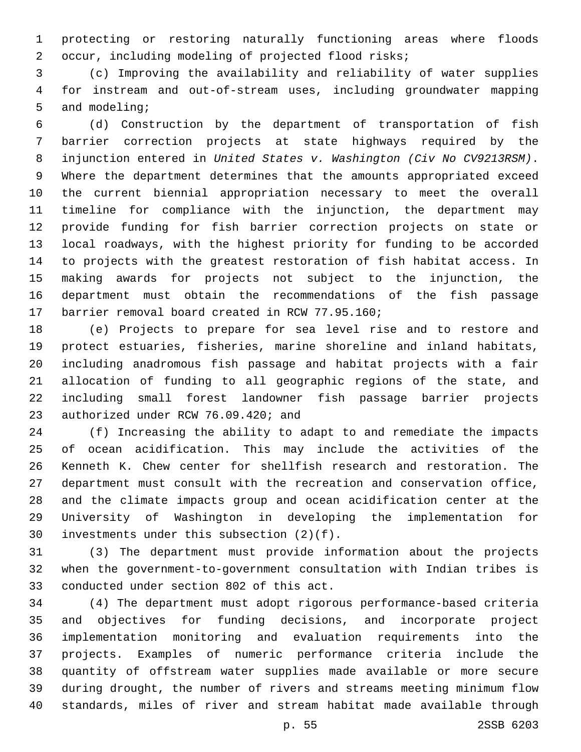protecting or restoring naturally functioning areas where floods occur, including modeling of projected flood risks;

 (c) Improving the availability and reliability of water supplies for instream and out-of-stream uses, including groundwater mapping 5 and modeling;

 (d) Construction by the department of transportation of fish barrier correction projects at state highways required by the injunction entered in *United States v. Washington (Civ No CV9213RSM)*. Where the department determines that the amounts appropriated exceed the current biennial appropriation necessary to meet the overall timeline for compliance with the injunction, the department may provide funding for fish barrier correction projects on state or local roadways, with the highest priority for funding to be accorded to projects with the greatest restoration of fish habitat access. In making awards for projects not subject to the injunction, the department must obtain the recommendations of the fish passage 17 barrier removal board created in RCW 77.95.160;

 (e) Projects to prepare for sea level rise and to restore and protect estuaries, fisheries, marine shoreline and inland habitats, including anadromous fish passage and habitat projects with a fair allocation of funding to all geographic regions of the state, and including small forest landowner fish passage barrier projects 23 authorized under RCW 76.09.420; and

 (f) Increasing the ability to adapt to and remediate the impacts of ocean acidification. This may include the activities of the Kenneth K. Chew center for shellfish research and restoration. The department must consult with the recreation and conservation office, and the climate impacts group and ocean acidification center at the University of Washington in developing the implementation for 30 investments under this subsection  $(2)(f)$ .

 (3) The department must provide information about the projects when the government-to-government consultation with Indian tribes is 33 conducted under section 802 of this act.

 (4) The department must adopt rigorous performance-based criteria and objectives for funding decisions, and incorporate project implementation monitoring and evaluation requirements into the projects. Examples of numeric performance criteria include the quantity of offstream water supplies made available or more secure during drought, the number of rivers and streams meeting minimum flow standards, miles of river and stream habitat made available through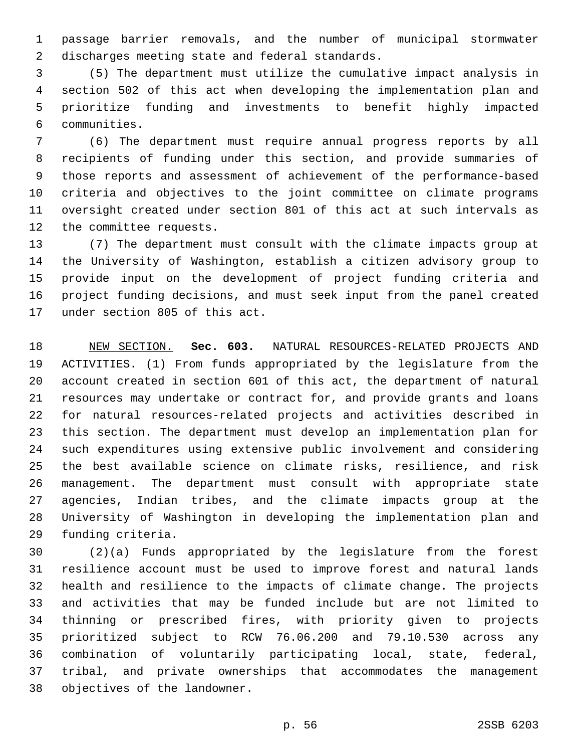passage barrier removals, and the number of municipal stormwater 2 discharges meeting state and federal standards.

 (5) The department must utilize the cumulative impact analysis in section 502 of this act when developing the implementation plan and prioritize funding and investments to benefit highly impacted communities.6

 (6) The department must require annual progress reports by all recipients of funding under this section, and provide summaries of those reports and assessment of achievement of the performance-based criteria and objectives to the joint committee on climate programs oversight created under section 801 of this act at such intervals as 12 the committee requests.

 (7) The department must consult with the climate impacts group at the University of Washington, establish a citizen advisory group to provide input on the development of project funding criteria and project funding decisions, and must seek input from the panel created 17 under section 805 of this act.

 NEW SECTION. **Sec. 603.** NATURAL RESOURCES-RELATED PROJECTS AND ACTIVITIES. (1) From funds appropriated by the legislature from the account created in section 601 of this act, the department of natural resources may undertake or contract for, and provide grants and loans for natural resources-related projects and activities described in this section. The department must develop an implementation plan for such expenditures using extensive public involvement and considering the best available science on climate risks, resilience, and risk management. The department must consult with appropriate state agencies, Indian tribes, and the climate impacts group at the University of Washington in developing the implementation plan and funding criteria.

 (2)(a) Funds appropriated by the legislature from the forest resilience account must be used to improve forest and natural lands health and resilience to the impacts of climate change. The projects and activities that may be funded include but are not limited to thinning or prescribed fires, with priority given to projects prioritized subject to RCW 76.06.200 and 79.10.530 across any combination of voluntarily participating local, state, federal, tribal, and private ownerships that accommodates the management 38 objectives of the landowner.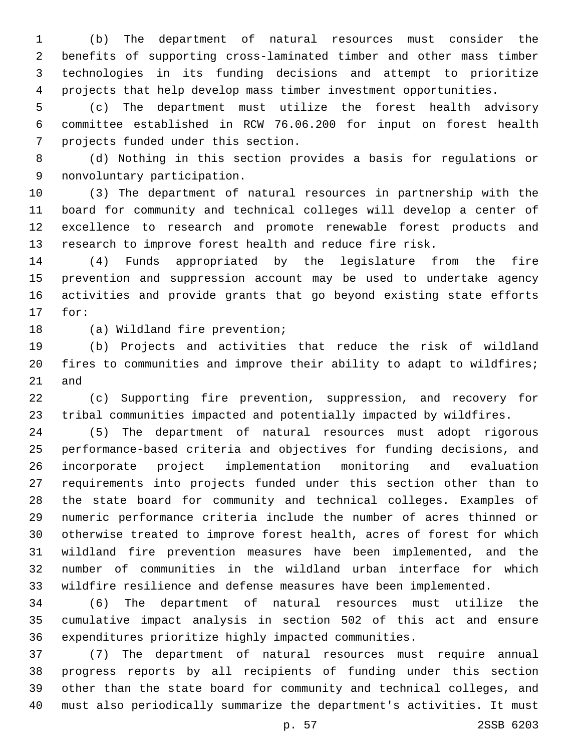(b) The department of natural resources must consider the benefits of supporting cross-laminated timber and other mass timber technologies in its funding decisions and attempt to prioritize projects that help develop mass timber investment opportunities.

 (c) The department must utilize the forest health advisory committee established in RCW 76.06.200 for input on forest health 7 projects funded under this section.

 (d) Nothing in this section provides a basis for regulations or 9 nonvoluntary participation.

 (3) The department of natural resources in partnership with the board for community and technical colleges will develop a center of excellence to research and promote renewable forest products and research to improve forest health and reduce fire risk.

 (4) Funds appropriated by the legislature from the fire prevention and suppression account may be used to undertake agency activities and provide grants that go beyond existing state efforts 17 for:

18 (a) Wildland fire prevention;

 (b) Projects and activities that reduce the risk of wildland fires to communities and improve their ability to adapt to wildfires; and

 (c) Supporting fire prevention, suppression, and recovery for tribal communities impacted and potentially impacted by wildfires.

 (5) The department of natural resources must adopt rigorous performance-based criteria and objectives for funding decisions, and incorporate project implementation monitoring and evaluation requirements into projects funded under this section other than to the state board for community and technical colleges. Examples of numeric performance criteria include the number of acres thinned or otherwise treated to improve forest health, acres of forest for which wildland fire prevention measures have been implemented, and the number of communities in the wildland urban interface for which wildfire resilience and defense measures have been implemented.

 (6) The department of natural resources must utilize the cumulative impact analysis in section 502 of this act and ensure expenditures prioritize highly impacted communities.

 (7) The department of natural resources must require annual progress reports by all recipients of funding under this section other than the state board for community and technical colleges, and must also periodically summarize the department's activities. It must

p. 57 2SSB 6203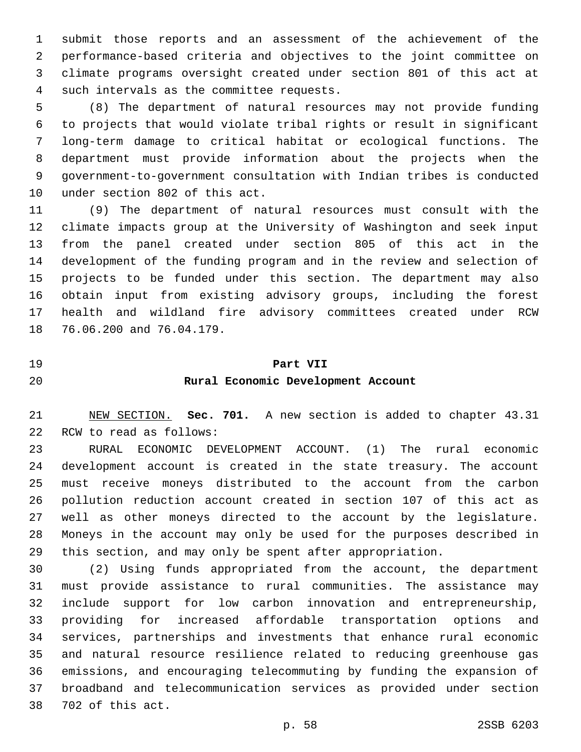submit those reports and an assessment of the achievement of the performance-based criteria and objectives to the joint committee on climate programs oversight created under section 801 of this act at 4 such intervals as the committee requests.

 (8) The department of natural resources may not provide funding to projects that would violate tribal rights or result in significant long-term damage to critical habitat or ecological functions. The department must provide information about the projects when the government-to-government consultation with Indian tribes is conducted 10 under section 802 of this act.

 (9) The department of natural resources must consult with the climate impacts group at the University of Washington and seek input from the panel created under section 805 of this act in the development of the funding program and in the review and selection of projects to be funded under this section. The department may also obtain input from existing advisory groups, including the forest health and wildland fire advisory committees created under RCW 18 76.06.200 and 76.04.179.

#### **Part VII**

### **Rural Economic Development Account**

 NEW SECTION. **Sec. 701.** A new section is added to chapter 43.31 22 RCW to read as follows:

 RURAL ECONOMIC DEVELOPMENT ACCOUNT. (1) The rural economic development account is created in the state treasury. The account must receive moneys distributed to the account from the carbon pollution reduction account created in section 107 of this act as well as other moneys directed to the account by the legislature. Moneys in the account may only be used for the purposes described in this section, and may only be spent after appropriation.

 (2) Using funds appropriated from the account, the department must provide assistance to rural communities. The assistance may include support for low carbon innovation and entrepreneurship, providing for increased affordable transportation options and services, partnerships and investments that enhance rural economic and natural resource resilience related to reducing greenhouse gas emissions, and encouraging telecommuting by funding the expansion of broadband and telecommunication services as provided under section 38 702 of this act.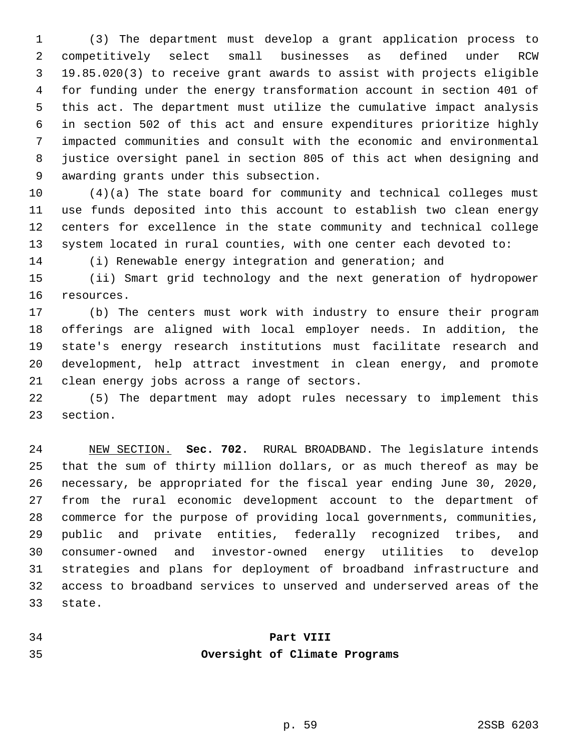(3) The department must develop a grant application process to competitively select small businesses as defined under RCW 19.85.020(3) to receive grant awards to assist with projects eligible for funding under the energy transformation account in section 401 of this act. The department must utilize the cumulative impact analysis in section 502 of this act and ensure expenditures prioritize highly impacted communities and consult with the economic and environmental justice oversight panel in section 805 of this act when designing and 9 awarding grants under this subsection.

 (4)(a) The state board for community and technical colleges must use funds deposited into this account to establish two clean energy centers for excellence in the state community and technical college system located in rural counties, with one center each devoted to:

(i) Renewable energy integration and generation; and

 (ii) Smart grid technology and the next generation of hydropower 16 resources.

 (b) The centers must work with industry to ensure their program offerings are aligned with local employer needs. In addition, the state's energy research institutions must facilitate research and development, help attract investment in clean energy, and promote 21 clean energy jobs across a range of sectors.

 (5) The department may adopt rules necessary to implement this 23 section.

 NEW SECTION. **Sec. 702.** RURAL BROADBAND. The legislature intends that the sum of thirty million dollars, or as much thereof as may be necessary, be appropriated for the fiscal year ending June 30, 2020, from the rural economic development account to the department of commerce for the purpose of providing local governments, communities, public and private entities, federally recognized tribes, and consumer-owned and investor-owned energy utilities to develop strategies and plans for deployment of broadband infrastructure and access to broadband services to unserved and underserved areas of the state.

# **Part VIII Oversight of Climate Programs**

p. 59 2SSB 6203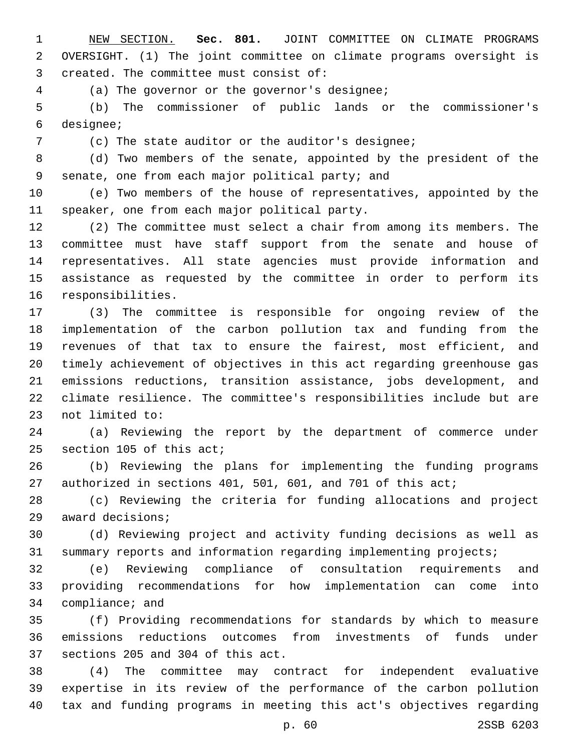NEW SECTION. **Sec. 801.** JOINT COMMITTEE ON CLIMATE PROGRAMS OVERSIGHT. (1) The joint committee on climate programs oversight is created. The committee must consist of:

(a) The governor or the governor's designee;4

 (b) The commissioner of public lands or the commissioner's designee;6

(c) The state auditor or the auditor's designee;

 (d) Two members of the senate, appointed by the president of the 9 senate, one from each major political party; and

 (e) Two members of the house of representatives, appointed by the 11 speaker, one from each major political party.

 (2) The committee must select a chair from among its members. The committee must have staff support from the senate and house of representatives. All state agencies must provide information and assistance as requested by the committee in order to perform its 16 responsibilities.

 (3) The committee is responsible for ongoing review of the implementation of the carbon pollution tax and funding from the revenues of that tax to ensure the fairest, most efficient, and timely achievement of objectives in this act regarding greenhouse gas emissions reductions, transition assistance, jobs development, and climate resilience. The committee's responsibilities include but are 23 not limited to:

 (a) Reviewing the report by the department of commerce under 25 section 105 of this act;

 (b) Reviewing the plans for implementing the funding programs 27 authorized in sections 401, 501, 601, and 701 of this act;

 (c) Reviewing the criteria for funding allocations and project 29 award decisions;

 (d) Reviewing project and activity funding decisions as well as summary reports and information regarding implementing projects;

 (e) Reviewing compliance of consultation requirements and providing recommendations for how implementation can come into 34 compliance; and

 (f) Providing recommendations for standards by which to measure emissions reductions outcomes from investments of funds under 37 sections 205 and 304 of this act.

 (4) The committee may contract for independent evaluative expertise in its review of the performance of the carbon pollution tax and funding programs in meeting this act's objectives regarding

p. 60 2SSB 6203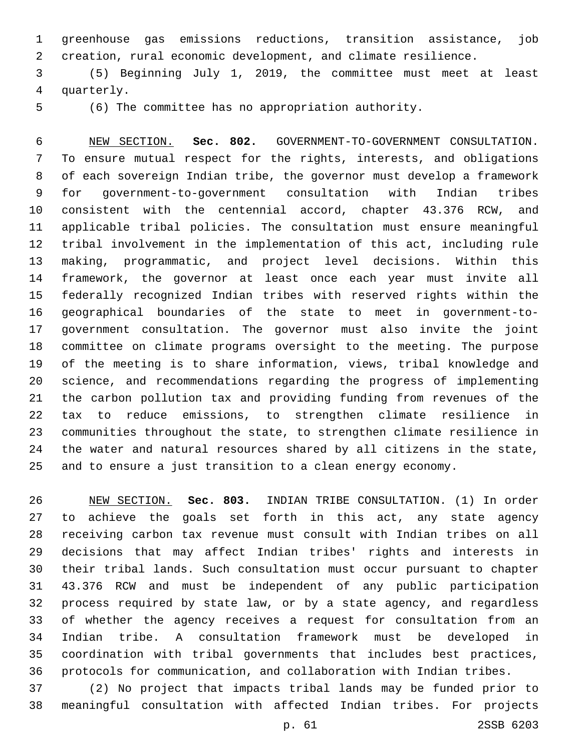greenhouse gas emissions reductions, transition assistance, job creation, rural economic development, and climate resilience.

 (5) Beginning July 1, 2019, the committee must meet at least 4 quarterly.

(6) The committee has no appropriation authority.

 NEW SECTION. **Sec. 802.** GOVERNMENT-TO-GOVERNMENT CONSULTATION. To ensure mutual respect for the rights, interests, and obligations of each sovereign Indian tribe, the governor must develop a framework for government-to-government consultation with Indian tribes consistent with the centennial accord, chapter 43.376 RCW, and applicable tribal policies. The consultation must ensure meaningful tribal involvement in the implementation of this act, including rule making, programmatic, and project level decisions. Within this framework, the governor at least once each year must invite all federally recognized Indian tribes with reserved rights within the geographical boundaries of the state to meet in government-to- government consultation. The governor must also invite the joint committee on climate programs oversight to the meeting. The purpose of the meeting is to share information, views, tribal knowledge and science, and recommendations regarding the progress of implementing the carbon pollution tax and providing funding from revenues of the tax to reduce emissions, to strengthen climate resilience in communities throughout the state, to strengthen climate resilience in the water and natural resources shared by all citizens in the state, and to ensure a just transition to a clean energy economy.

 NEW SECTION. **Sec. 803.** INDIAN TRIBE CONSULTATION. (1) In order to achieve the goals set forth in this act, any state agency receiving carbon tax revenue must consult with Indian tribes on all decisions that may affect Indian tribes' rights and interests in their tribal lands. Such consultation must occur pursuant to chapter 43.376 RCW and must be independent of any public participation process required by state law, or by a state agency, and regardless of whether the agency receives a request for consultation from an Indian tribe. A consultation framework must be developed in coordination with tribal governments that includes best practices, protocols for communication, and collaboration with Indian tribes.

 (2) No project that impacts tribal lands may be funded prior to meaningful consultation with affected Indian tribes. For projects

p. 61 2SSB 6203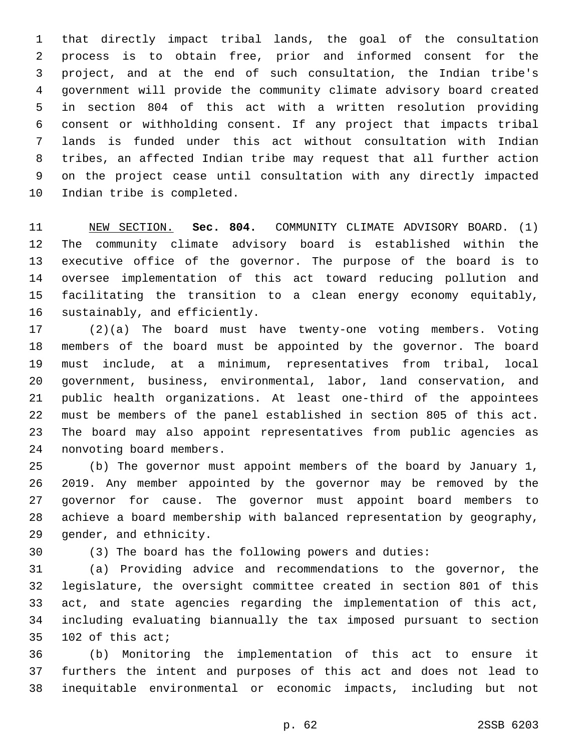that directly impact tribal lands, the goal of the consultation process is to obtain free, prior and informed consent for the project, and at the end of such consultation, the Indian tribe's government will provide the community climate advisory board created in section 804 of this act with a written resolution providing consent or withholding consent. If any project that impacts tribal lands is funded under this act without consultation with Indian tribes, an affected Indian tribe may request that all further action on the project cease until consultation with any directly impacted 10 Indian tribe is completed.

 NEW SECTION. **Sec. 804.** COMMUNITY CLIMATE ADVISORY BOARD. (1) The community climate advisory board is established within the executive office of the governor. The purpose of the board is to oversee implementation of this act toward reducing pollution and facilitating the transition to a clean energy economy equitably, sustainably, and efficiently.

 (2)(a) The board must have twenty-one voting members. Voting members of the board must be appointed by the governor. The board must include, at a minimum, representatives from tribal, local government, business, environmental, labor, land conservation, and public health organizations. At least one-third of the appointees must be members of the panel established in section 805 of this act. The board may also appoint representatives from public agencies as 24 nonvoting board members.

 (b) The governor must appoint members of the board by January 1, 2019. Any member appointed by the governor may be removed by the governor for cause. The governor must appoint board members to achieve a board membership with balanced representation by geography, 29 gender, and ethnicity.

(3) The board has the following powers and duties:

 (a) Providing advice and recommendations to the governor, the legislature, the oversight committee created in section 801 of this act, and state agencies regarding the implementation of this act, including evaluating biannually the tax imposed pursuant to section 102 of this act;

 (b) Monitoring the implementation of this act to ensure it furthers the intent and purposes of this act and does not lead to inequitable environmental or economic impacts, including but not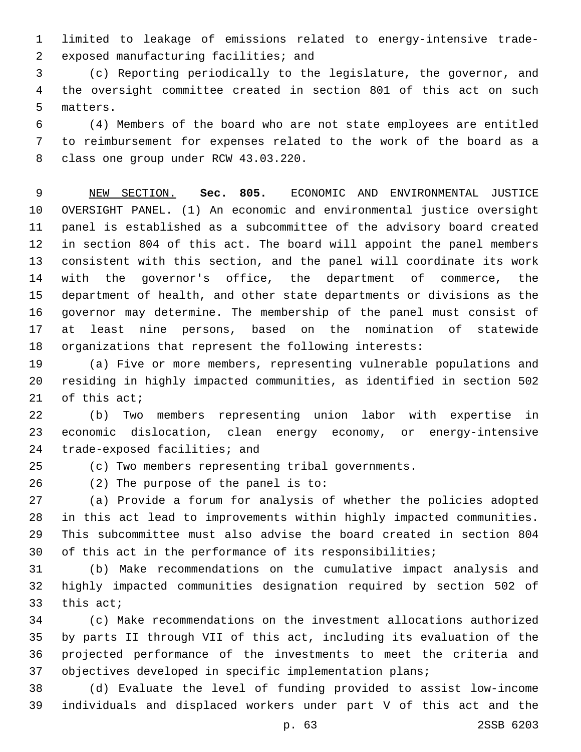limited to leakage of emissions related to energy-intensive trade-2 exposed manufacturing facilities; and

 (c) Reporting periodically to the legislature, the governor, and the oversight committee created in section 801 of this act on such 5 matters.

 (4) Members of the board who are not state employees are entitled to reimbursement for expenses related to the work of the board as a 8 class one group under RCW 43.03.220.

 NEW SECTION. **Sec. 805.** ECONOMIC AND ENVIRONMENTAL JUSTICE OVERSIGHT PANEL. (1) An economic and environmental justice oversight panel is established as a subcommittee of the advisory board created in section 804 of this act. The board will appoint the panel members consistent with this section, and the panel will coordinate its work with the governor's office, the department of commerce, the department of health, and other state departments or divisions as the governor may determine. The membership of the panel must consist of at least nine persons, based on the nomination of statewide organizations that represent the following interests:

 (a) Five or more members, representing vulnerable populations and residing in highly impacted communities, as identified in section 502 of this act;

 (b) Two members representing union labor with expertise in economic dislocation, clean energy economy, or energy-intensive 24 trade-exposed facilities; and

(c) Two members representing tribal governments.

(2) The purpose of the panel is to:

 (a) Provide a forum for analysis of whether the policies adopted in this act lead to improvements within highly impacted communities. This subcommittee must also advise the board created in section 804 of this act in the performance of its responsibilities;

 (b) Make recommendations on the cumulative impact analysis and highly impacted communities designation required by section 502 of this act;

 (c) Make recommendations on the investment allocations authorized by parts II through VII of this act, including its evaluation of the projected performance of the investments to meet the criteria and objectives developed in specific implementation plans;

 (d) Evaluate the level of funding provided to assist low-income individuals and displaced workers under part V of this act and the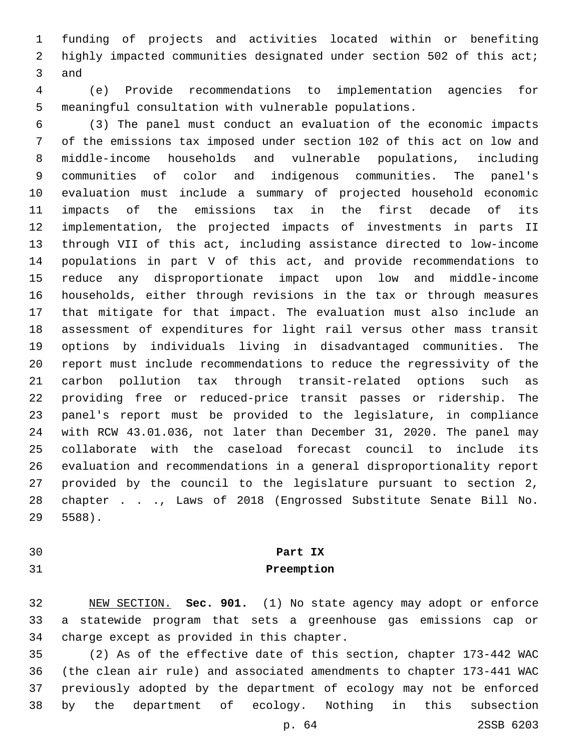funding of projects and activities located within or benefiting highly impacted communities designated under section 502 of this act; 3 and

 (e) Provide recommendations to implementation agencies for meaningful consultation with vulnerable populations.

 (3) The panel must conduct an evaluation of the economic impacts of the emissions tax imposed under section 102 of this act on low and middle-income households and vulnerable populations, including communities of color and indigenous communities. The panel's evaluation must include a summary of projected household economic impacts of the emissions tax in the first decade of its implementation, the projected impacts of investments in parts II through VII of this act, including assistance directed to low-income populations in part V of this act, and provide recommendations to reduce any disproportionate impact upon low and middle-income households, either through revisions in the tax or through measures that mitigate for that impact. The evaluation must also include an assessment of expenditures for light rail versus other mass transit options by individuals living in disadvantaged communities. The report must include recommendations to reduce the regressivity of the carbon pollution tax through transit-related options such as providing free or reduced-price transit passes or ridership. The panel's report must be provided to the legislature, in compliance with RCW 43.01.036, not later than December 31, 2020. The panel may collaborate with the caseload forecast council to include its evaluation and recommendations in a general disproportionality report provided by the council to the legislature pursuant to section 2, chapter . . ., Laws of 2018 (Engrossed Substitute Senate Bill No. 5588).29

# **Part IX**

## **Preemption**

 NEW SECTION. **Sec. 901.** (1) No state agency may adopt or enforce a statewide program that sets a greenhouse gas emissions cap or charge except as provided in this chapter.

 (2) As of the effective date of this section, chapter 173-442 WAC (the clean air rule) and associated amendments to chapter 173-441 WAC previously adopted by the department of ecology may not be enforced by the department of ecology. Nothing in this subsection

p. 64 2SSB 6203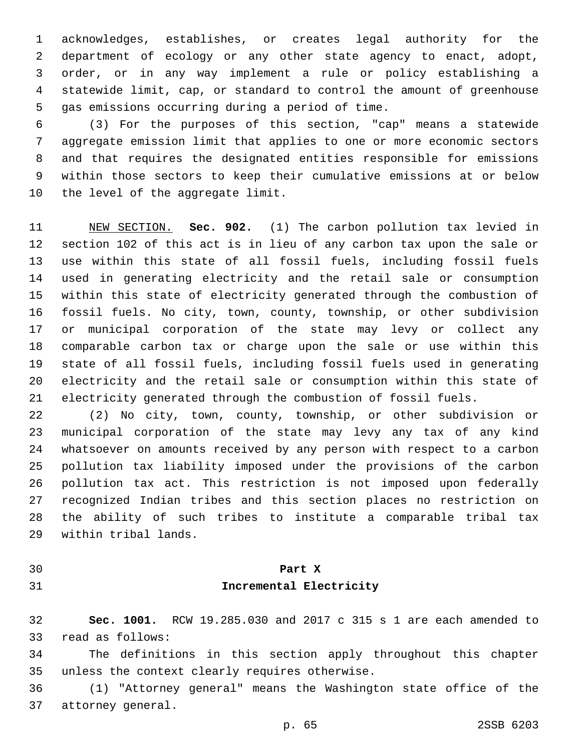acknowledges, establishes, or creates legal authority for the department of ecology or any other state agency to enact, adopt, order, or in any way implement a rule or policy establishing a statewide limit, cap, or standard to control the amount of greenhouse 5 gas emissions occurring during a period of time.

 (3) For the purposes of this section, "cap" means a statewide aggregate emission limit that applies to one or more economic sectors and that requires the designated entities responsible for emissions within those sectors to keep their cumulative emissions at or below 10 the level of the aggregate limit.

 NEW SECTION. **Sec. 902.** (1) The carbon pollution tax levied in section 102 of this act is in lieu of any carbon tax upon the sale or use within this state of all fossil fuels, including fossil fuels used in generating electricity and the retail sale or consumption within this state of electricity generated through the combustion of fossil fuels. No city, town, county, township, or other subdivision or municipal corporation of the state may levy or collect any comparable carbon tax or charge upon the sale or use within this state of all fossil fuels, including fossil fuels used in generating electricity and the retail sale or consumption within this state of electricity generated through the combustion of fossil fuels.

 (2) No city, town, county, township, or other subdivision or municipal corporation of the state may levy any tax of any kind whatsoever on amounts received by any person with respect to a carbon pollution tax liability imposed under the provisions of the carbon pollution tax act. This restriction is not imposed upon federally recognized Indian tribes and this section places no restriction on the ability of such tribes to institute a comparable tribal tax 29 within tribal lands.

# **Part X Incremental Electricity**

 **Sec. 1001.** RCW 19.285.030 and 2017 c 315 s 1 are each amended to 33 read as follows:

 The definitions in this section apply throughout this chapter 35 unless the context clearly requires otherwise.

 (1) "Attorney general" means the Washington state office of the 37 attorney general.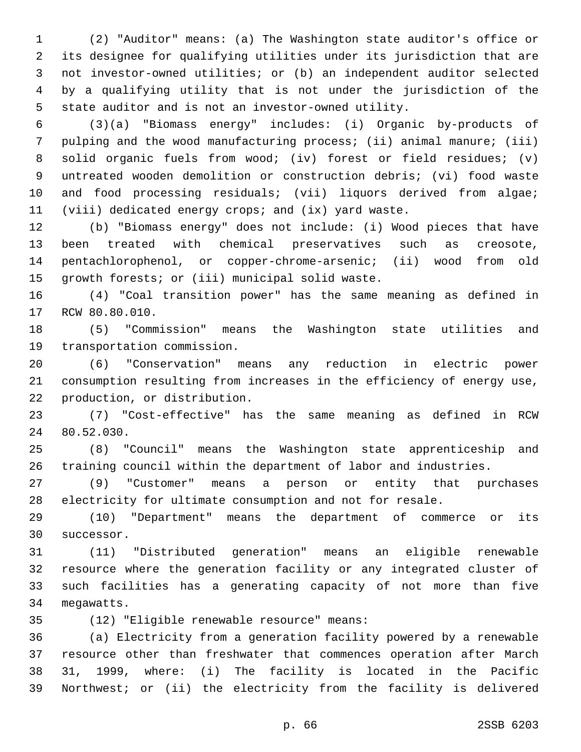(2) "Auditor" means: (a) The Washington state auditor's office or its designee for qualifying utilities under its jurisdiction that are not investor-owned utilities; or (b) an independent auditor selected by a qualifying utility that is not under the jurisdiction of the state auditor and is not an investor-owned utility.

 (3)(a) "Biomass energy" includes: (i) Organic by-products of pulping and the wood manufacturing process; (ii) animal manure; (iii) solid organic fuels from wood; (iv) forest or field residues; (v) untreated wooden demolition or construction debris; (vi) food waste 10 and food processing residuals; (vii) liquors derived from algae; (viii) dedicated energy crops; and (ix) yard waste.

 (b) "Biomass energy" does not include: (i) Wood pieces that have been treated with chemical preservatives such as creosote, pentachlorophenol, or copper-chrome-arsenic; (ii) wood from old 15 growth forests; or (iii) municipal solid waste.

 (4) "Coal transition power" has the same meaning as defined in 17 RCW 80.80.010.

 (5) "Commission" means the Washington state utilities and 19 transportation commission.

 (6) "Conservation" means any reduction in electric power consumption resulting from increases in the efficiency of energy use, 22 production, or distribution.

 (7) "Cost-effective" has the same meaning as defined in RCW 24 80.52.030.

 (8) "Council" means the Washington state apprenticeship and training council within the department of labor and industries.

 (9) "Customer" means a person or entity that purchases electricity for ultimate consumption and not for resale.

 (10) "Department" means the department of commerce or its 30 successor.

 (11) "Distributed generation" means an eligible renewable resource where the generation facility or any integrated cluster of such facilities has a generating capacity of not more than five 34 megawatts.

(12) "Eligible renewable resource" means:35

 (a) Electricity from a generation facility powered by a renewable resource other than freshwater that commences operation after March 31, 1999, where: (i) The facility is located in the Pacific Northwest; or (ii) the electricity from the facility is delivered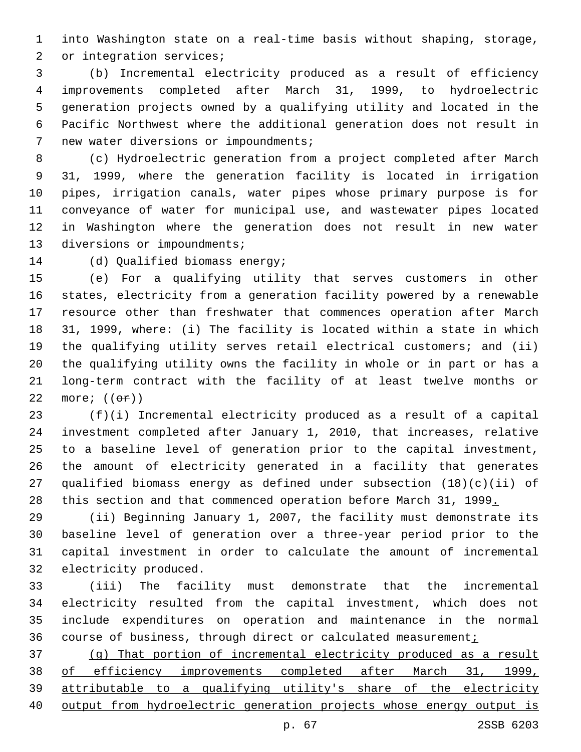into Washington state on a real-time basis without shaping, storage, 2 or integration services;

 (b) Incremental electricity produced as a result of efficiency improvements completed after March 31, 1999, to hydroelectric generation projects owned by a qualifying utility and located in the Pacific Northwest where the additional generation does not result in 7 new water diversions or impoundments;

 (c) Hydroelectric generation from a project completed after March 31, 1999, where the generation facility is located in irrigation pipes, irrigation canals, water pipes whose primary purpose is for conveyance of water for municipal use, and wastewater pipes located in Washington where the generation does not result in new water 13 diversions or impoundments;

14 (d) Qualified biomass energy;

 (e) For a qualifying utility that serves customers in other states, electricity from a generation facility powered by a renewable resource other than freshwater that commences operation after March 31, 1999, where: (i) The facility is located within a state in which the qualifying utility serves retail electrical customers; and (ii) the qualifying utility owns the facility in whole or in part or has a long-term contract with the facility of at least twelve months or 22 more;  $((\theta \texttt{f}))$ 

 (f)(i) Incremental electricity produced as a result of a capital investment completed after January 1, 2010, that increases, relative to a baseline level of generation prior to the capital investment, the amount of electricity generated in a facility that generates qualified biomass energy as defined under subsection (18)(c)(ii) of 28 this section and that commenced operation before March 31, 1999.

 (ii) Beginning January 1, 2007, the facility must demonstrate its baseline level of generation over a three-year period prior to the capital investment in order to calculate the amount of incremental 32 electricity produced.

 (iii) The facility must demonstrate that the incremental electricity resulted from the capital investment, which does not include expenditures on operation and maintenance in the normal 36 course of business, through direct or calculated measurement;

 (g) That portion of incremental electricity produced as a result of efficiency improvements completed after March 31, 1999, attributable to a qualifying utility's share of the electricity output from hydroelectric generation projects whose energy output is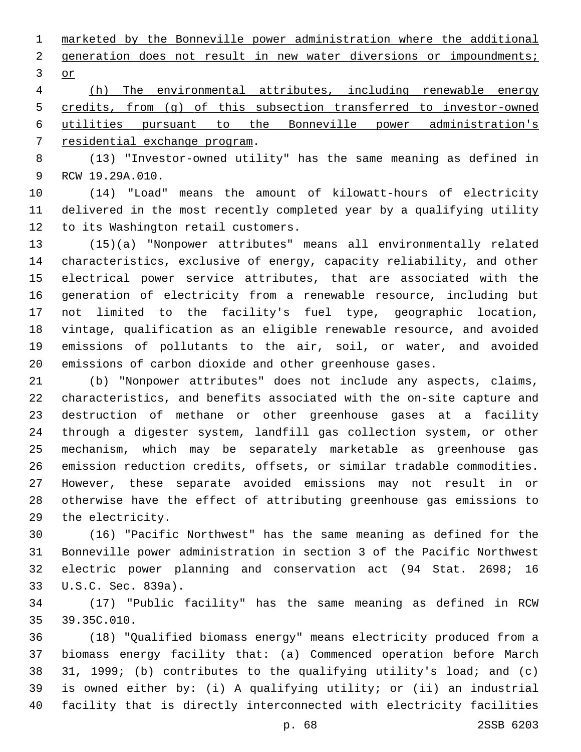marketed by the Bonneville power administration where the additional 2 generation does not result in new water diversions or impoundments; 3 or

 (h) The environmental attributes, including renewable energy credits, from (g) of this subsection transferred to investor-owned utilities pursuant to the Bonneville power administration's 7 residential exchange program.

 (13) "Investor-owned utility" has the same meaning as defined in 9 RCW 19.29A.010.

 (14) "Load" means the amount of kilowatt-hours of electricity delivered in the most recently completed year by a qualifying utility 12 to its Washington retail customers.

 (15)(a) "Nonpower attributes" means all environmentally related characteristics, exclusive of energy, capacity reliability, and other electrical power service attributes, that are associated with the generation of electricity from a renewable resource, including but not limited to the facility's fuel type, geographic location, vintage, qualification as an eligible renewable resource, and avoided emissions of pollutants to the air, soil, or water, and avoided emissions of carbon dioxide and other greenhouse gases.

 (b) "Nonpower attributes" does not include any aspects, claims, characteristics, and benefits associated with the on-site capture and destruction of methane or other greenhouse gases at a facility through a digester system, landfill gas collection system, or other mechanism, which may be separately marketable as greenhouse gas emission reduction credits, offsets, or similar tradable commodities. However, these separate avoided emissions may not result in or otherwise have the effect of attributing greenhouse gas emissions to 29 the electricity.

 (16) "Pacific Northwest" has the same meaning as defined for the Bonneville power administration in section 3 of the Pacific Northwest electric power planning and conservation act (94 Stat. 2698; 16 33 U.S.C. Sec. 839a).

 (17) "Public facility" has the same meaning as defined in RCW 35 39.35C.010.

 (18) "Qualified biomass energy" means electricity produced from a biomass energy facility that: (a) Commenced operation before March 31, 1999; (b) contributes to the qualifying utility's load; and (c) is owned either by: (i) A qualifying utility; or (ii) an industrial facility that is directly interconnected with electricity facilities

p. 68 2SSB 6203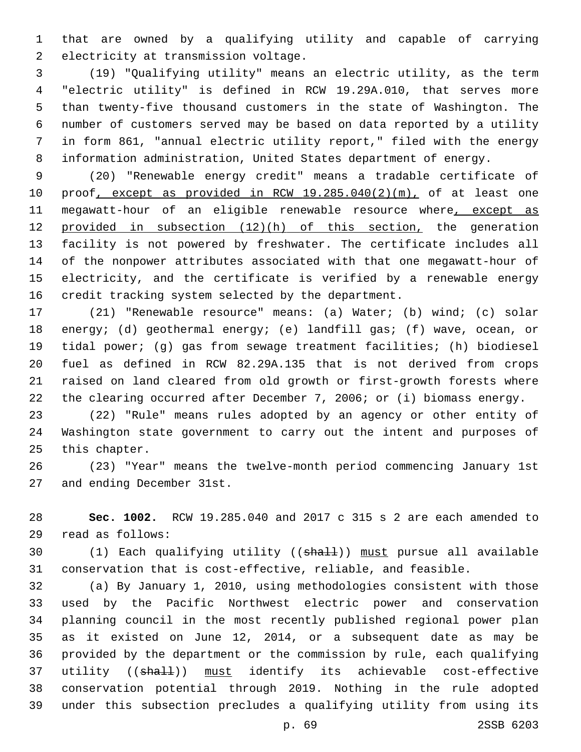that are owned by a qualifying utility and capable of carrying 2 electricity at transmission voltage.

 (19) "Qualifying utility" means an electric utility, as the term "electric utility" is defined in RCW 19.29A.010, that serves more than twenty-five thousand customers in the state of Washington. The number of customers served may be based on data reported by a utility in form 861, "annual electric utility report," filed with the energy information administration, United States department of energy.

 (20) "Renewable energy credit" means a tradable certificate of proof, except as provided in RCW 19.285.040(2)(m), of at least one 11 megawatt-hour of an eligible renewable resource where, except as provided in subsection (12)(h) of this section, the generation facility is not powered by freshwater. The certificate includes all of the nonpower attributes associated with that one megawatt-hour of electricity, and the certificate is verified by a renewable energy credit tracking system selected by the department.

 (21) "Renewable resource" means: (a) Water; (b) wind; (c) solar energy; (d) geothermal energy; (e) landfill gas; (f) wave, ocean, or tidal power; (g) gas from sewage treatment facilities; (h) biodiesel fuel as defined in RCW 82.29A.135 that is not derived from crops raised on land cleared from old growth or first-growth forests where the clearing occurred after December 7, 2006; or (i) biomass energy.

 (22) "Rule" means rules adopted by an agency or other entity of Washington state government to carry out the intent and purposes of 25 this chapter.

 (23) "Year" means the twelve-month period commencing January 1st 27 and ending December 31st.

 **Sec. 1002.** RCW 19.285.040 and 2017 c 315 s 2 are each amended to read as follows:29

30 (1) Each qualifying utility ((shall)) must pursue all available conservation that is cost-effective, reliable, and feasible.

 (a) By January 1, 2010, using methodologies consistent with those used by the Pacific Northwest electric power and conservation planning council in the most recently published regional power plan as it existed on June 12, 2014, or a subsequent date as may be provided by the department or the commission by rule, each qualifying 37 utility ((shall)) must identify its achievable cost-effective conservation potential through 2019. Nothing in the rule adopted under this subsection precludes a qualifying utility from using its

p. 69 2SSB 6203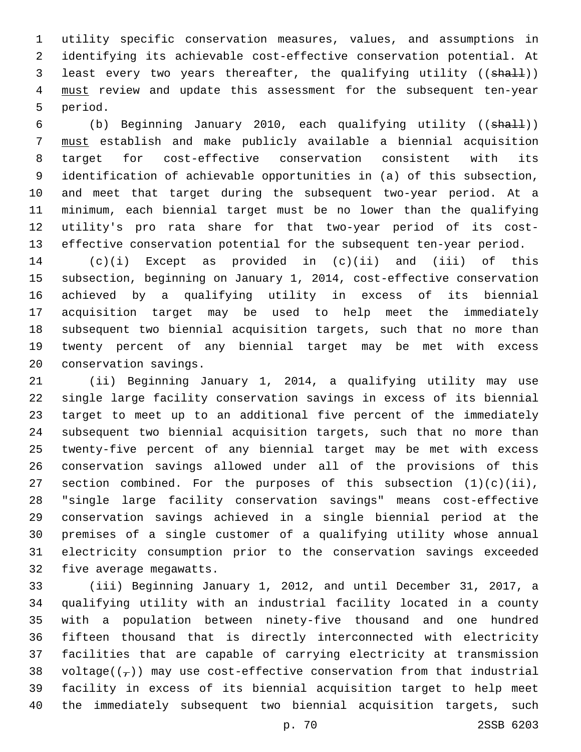utility specific conservation measures, values, and assumptions in identifying its achievable cost-effective conservation potential. At 3 least every two years thereafter, the qualifying utility ((shall)) 4 must review and update this assessment for the subsequent ten-year 5 period.

 (b) Beginning January 2010, each qualifying utility ((shall)) must establish and make publicly available a biennial acquisition target for cost-effective conservation consistent with its identification of achievable opportunities in (a) of this subsection, and meet that target during the subsequent two-year period. At a minimum, each biennial target must be no lower than the qualifying utility's pro rata share for that two-year period of its cost-effective conservation potential for the subsequent ten-year period.

 (c)(i) Except as provided in (c)(ii) and (iii) of this subsection, beginning on January 1, 2014, cost-effective conservation achieved by a qualifying utility in excess of its biennial acquisition target may be used to help meet the immediately subsequent two biennial acquisition targets, such that no more than twenty percent of any biennial target may be met with excess 20 conservation savings.

 (ii) Beginning January 1, 2014, a qualifying utility may use single large facility conservation savings in excess of its biennial target to meet up to an additional five percent of the immediately subsequent two biennial acquisition targets, such that no more than twenty-five percent of any biennial target may be met with excess conservation savings allowed under all of the provisions of this 27 section combined. For the purposes of this subsection  $(1)(c)(ii)$ , "single large facility conservation savings" means cost-effective conservation savings achieved in a single biennial period at the premises of a single customer of a qualifying utility whose annual electricity consumption prior to the conservation savings exceeded 32 five average megawatts.

 (iii) Beginning January 1, 2012, and until December 31, 2017, a qualifying utility with an industrial facility located in a county with a population between ninety-five thousand and one hundred fifteen thousand that is directly interconnected with electricity facilities that are capable of carrying electricity at transmission 38 voltage( $(\tau)$ ) may use cost-effective conservation from that industrial facility in excess of its biennial acquisition target to help meet the immediately subsequent two biennial acquisition targets, such

p. 70 2SSB 6203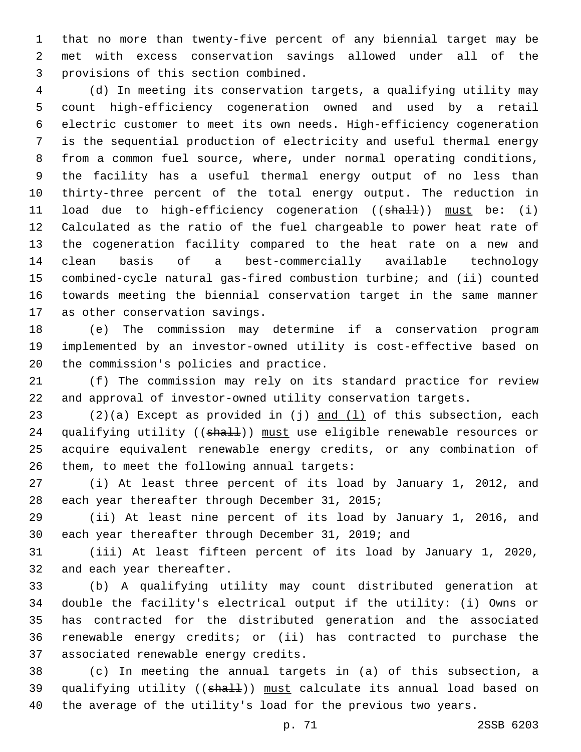that no more than twenty-five percent of any biennial target may be met with excess conservation savings allowed under all of the provisions of this section combined.3

 (d) In meeting its conservation targets, a qualifying utility may count high-efficiency cogeneration owned and used by a retail electric customer to meet its own needs. High-efficiency cogeneration is the sequential production of electricity and useful thermal energy from a common fuel source, where, under normal operating conditions, the facility has a useful thermal energy output of no less than thirty-three percent of the total energy output. The reduction in 11 load due to high-efficiency cogeneration ((shall)) must be: (i) Calculated as the ratio of the fuel chargeable to power heat rate of the cogeneration facility compared to the heat rate on a new and clean basis of a best-commercially available technology combined-cycle natural gas-fired combustion turbine; and (ii) counted towards meeting the biennial conservation target in the same manner 17 as other conservation savings.

 (e) The commission may determine if a conservation program implemented by an investor-owned utility is cost-effective based on 20 the commission's policies and practice.

 (f) The commission may rely on its standard practice for review and approval of investor-owned utility conservation targets.

 $(2)(a)$  Except as provided in (j) and  $(1)$  of this subsection, each 24 qualifying utility ((shall)) must use eligible renewable resources or acquire equivalent renewable energy credits, or any combination of them, to meet the following annual targets:

 (i) At least three percent of its load by January 1, 2012, and 28 each year thereafter through December 31, 2015;

 (ii) At least nine percent of its load by January 1, 2016, and each year thereafter through December 31, 2019; and

 (iii) At least fifteen percent of its load by January 1, 2020, 32 and each year thereafter.

 (b) A qualifying utility may count distributed generation at double the facility's electrical output if the utility: (i) Owns or has contracted for the distributed generation and the associated renewable energy credits; or (ii) has contracted to purchase the 37 associated renewable energy credits.

 (c) In meeting the annual targets in (a) of this subsection, a 39 qualifying utility ((shall)) must calculate its annual load based on the average of the utility's load for the previous two years.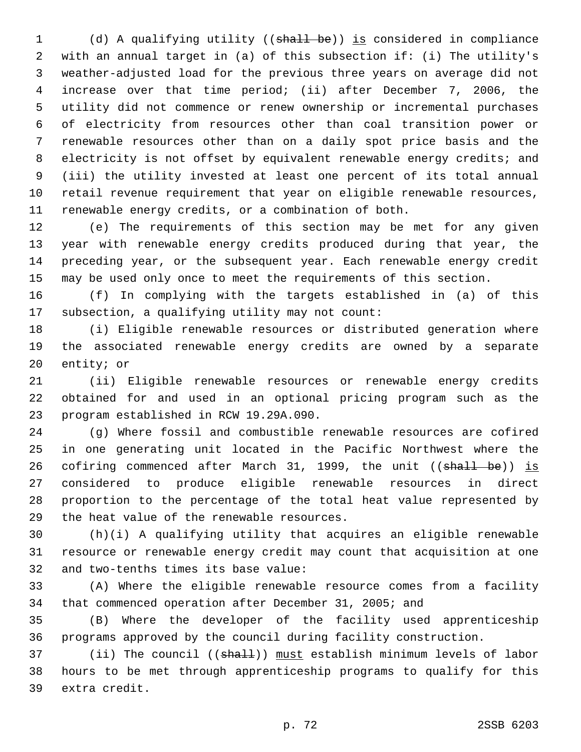(d) A qualifying utility ((shall be)) is considered in compliance with an annual target in (a) of this subsection if: (i) The utility's weather-adjusted load for the previous three years on average did not increase over that time period; (ii) after December 7, 2006, the utility did not commence or renew ownership or incremental purchases of electricity from resources other than coal transition power or renewable resources other than on a daily spot price basis and the electricity is not offset by equivalent renewable energy credits; and (iii) the utility invested at least one percent of its total annual retail revenue requirement that year on eligible renewable resources, renewable energy credits, or a combination of both.

 (e) The requirements of this section may be met for any given year with renewable energy credits produced during that year, the preceding year, or the subsequent year. Each renewable energy credit may be used only once to meet the requirements of this section.

 (f) In complying with the targets established in (a) of this 17 subsection, a qualifying utility may not count:

 (i) Eligible renewable resources or distributed generation where the associated renewable energy credits are owned by a separate 20 entity; or

 (ii) Eligible renewable resources or renewable energy credits obtained for and used in an optional pricing program such as the 23 program established in RCW 19.29A.090.

 (g) Where fossil and combustible renewable resources are cofired in one generating unit located in the Pacific Northwest where the 26 cofiring commenced after March 31, 1999, the unit ((shall be)) is considered to produce eligible renewable resources in direct proportion to the percentage of the total heat value represented by 29 the heat value of the renewable resources.

 (h)(i) A qualifying utility that acquires an eligible renewable resource or renewable energy credit may count that acquisition at one 32 and two-tenths times its base value:

 (A) Where the eligible renewable resource comes from a facility that commenced operation after December 31, 2005; and

 (B) Where the developer of the facility used apprenticeship programs approved by the council during facility construction.

37 (ii) The council ((shall)) must establish minimum levels of labor hours to be met through apprenticeship programs to qualify for this 39 extra credit.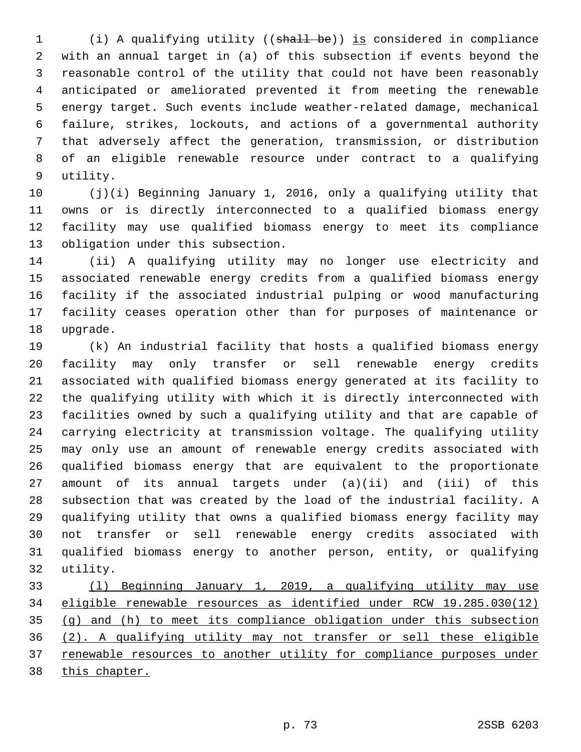(i) A qualifying utility ((shall be)) is considered in compliance with an annual target in (a) of this subsection if events beyond the reasonable control of the utility that could not have been reasonably anticipated or ameliorated prevented it from meeting the renewable energy target. Such events include weather-related damage, mechanical failure, strikes, lockouts, and actions of a governmental authority that adversely affect the generation, transmission, or distribution of an eligible renewable resource under contract to a qualifying 9 utility.

 (j)(i) Beginning January 1, 2016, only a qualifying utility that owns or is directly interconnected to a qualified biomass energy facility may use qualified biomass energy to meet its compliance 13 obligation under this subsection.

 (ii) A qualifying utility may no longer use electricity and associated renewable energy credits from a qualified biomass energy facility if the associated industrial pulping or wood manufacturing facility ceases operation other than for purposes of maintenance or 18 upgrade.

 (k) An industrial facility that hosts a qualified biomass energy facility may only transfer or sell renewable energy credits associated with qualified biomass energy generated at its facility to the qualifying utility with which it is directly interconnected with facilities owned by such a qualifying utility and that are capable of carrying electricity at transmission voltage. The qualifying utility may only use an amount of renewable energy credits associated with qualified biomass energy that are equivalent to the proportionate amount of its annual targets under (a)(ii) and (iii) of this subsection that was created by the load of the industrial facility. A qualifying utility that owns a qualified biomass energy facility may not transfer or sell renewable energy credits associated with qualified biomass energy to another person, entity, or qualifying 32 utility.

 (l) Beginning January 1, 2019, a qualifying utility may use eligible renewable resources as identified under RCW 19.285.030(12) (g) and (h) to meet its compliance obligation under this subsection (2). A qualifying utility may not transfer or sell these eligible renewable resources to another utility for compliance purposes under this chapter.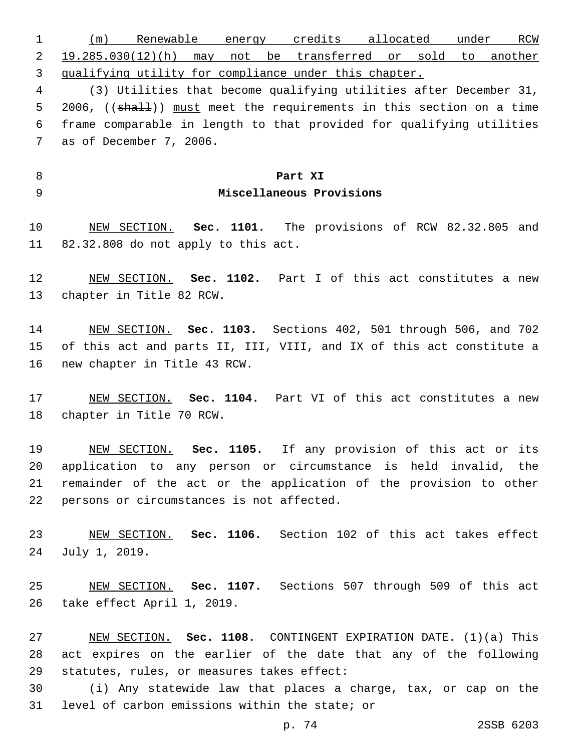(m) Renewable energy credits allocated under RCW 19.285.030(12)(h) may not be transferred or sold to another qualifying utility for compliance under this chapter. (3) Utilities that become qualifying utilities after December 31, 5 2006, ((shall)) must meet the requirements in this section on a time frame comparable in length to that provided for qualifying utilities 7 as of December 7, 2006.

## **Part XI**

## **Miscellaneous Provisions**

 NEW SECTION. **Sec. 1101.** The provisions of RCW 82.32.805 and 82.32.808 do not apply to this act.

 NEW SECTION. **Sec. 1102.** Part I of this act constitutes a new chapter in Title 82 RCW.

 NEW SECTION. **Sec. 1103.** Sections 402, 501 through 506, and 702 of this act and parts II, III, VIII, and IX of this act constitute a new chapter in Title 43 RCW.

 NEW SECTION. **Sec. 1104.** Part VI of this act constitutes a new chapter in Title 70 RCW.

 NEW SECTION. **Sec. 1105.** If any provision of this act or its application to any person or circumstance is held invalid, the remainder of the act or the application of the provision to other persons or circumstances is not affected.

 NEW SECTION. **Sec. 1106.** Section 102 of this act takes effect July 1, 2019.

 NEW SECTION. **Sec. 1107.** Sections 507 through 509 of this act take effect April 1, 2019.

 NEW SECTION. **Sec. 1108.** CONTINGENT EXPIRATION DATE. (1)(a) This act expires on the earlier of the date that any of the following statutes, rules, or measures takes effect:

 (i) Any statewide law that places a charge, tax, or cap on the 31 level of carbon emissions within the state; or